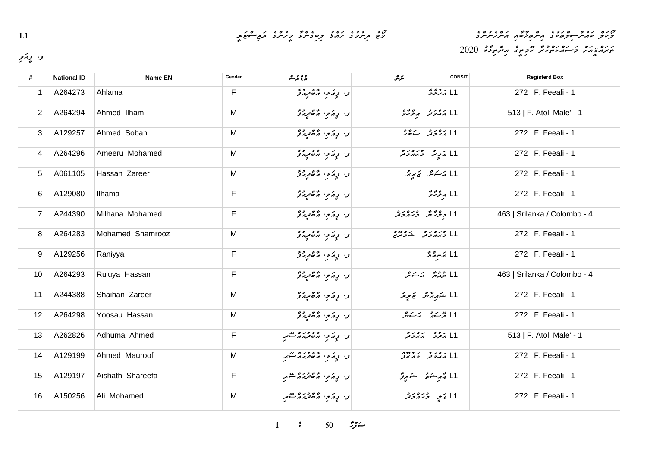*sCw7q7s5w7m< o<n9nOoAw7o< sCq;mAwBoEw7q<m; wBm;vB* م من المرة المرة المرة المرة المرة المرة العربية 2020<br>مجم*د المريض المريض المربع المربع المربع المراجع المراجع ال* 

| ナハヌ | - 2 |
|-----|-----|

| #              | <b>National ID</b> | Name EN          | Gender       | ړي پرے                           | سرپر                                             | <b>CONSIT</b> | <b>Registerd Box</b>         |
|----------------|--------------------|------------------|--------------|----------------------------------|--------------------------------------------------|---------------|------------------------------|
|                | A264273            | Ahlama           | F            | ا و و مرد مقدم و در              | 333/11                                           |               | 272   F. Feeali - 1          |
| 2 <sup>1</sup> | A264294            | Ahmed Ilham      | M            | او ومرو مقومة                    | L1 <i>גיב</i> تر ب <i>ورُو</i>                   |               | 513   F. Atoll Male' - 1     |
| 3 <sup>1</sup> | A129257            | Ahmed Sobah      | M            | ا و و مرد المقرمانی              | $222 - 222$                                      |               | 272   F. Feeali - 1          |
| 4              | A264296            | Ameeru Mohamed   | M            | او. وٍ مَرَى مُقَدِّرِ مُرَّ     | L1 <i>ړې په دې ورو</i> تر                        |               | 272   F. Feeali - 1          |
| 5 <sup>5</sup> | A061105            | Hassan Zareer    | M            | او ، وٍ مَرَو ، مُرَضَّوِ مَرَوَ | L1   پرستدش تج م <sub>ی</sub> ریز                |               | 272   F. Feeali - 1          |
| 6              | A129080            | Ilhama           | $\mathsf{F}$ | اور ومزوا مُتَقْدِمُ وَمُحَمَّدَ | L1 ب <i>روُرٌوَّ</i>                             |               | 272   F. Feeali - 1          |
|                | A244390            | Milhana Mohamed  | F            | اور ومزوا مُتَقْدِمُ وَ          | L1  <sub>ج</sub> و <i>دْنَدَّ دَيَهُ</i> دَنَّرَ |               | 463   Srilanka / Colombo - 4 |
| 8              | A264283            | Mohamed Shamrooz | M            | اور ومزوا مُتَقْدِمُ وَمُحَمَّدِ | 1] <i>27.0 من 27.0 موج</i> ع                     |               | 272   F. Feeali - 1          |
| 9              | A129256            | Raniyya          | F            | و ، وٍ مَرَدٍ ، مُقَدِّرٍ مَرَّ  | L1 ئەس <i>بە</i> ممە                             |               | 272   F. Feeali - 1          |
| 10             | A264293            | Ru'uya Hassan    | $\mathsf F$  | اور ومروا مُقْعِدِمُوْ           | L1 پرچم پر <i>سک</i> ھر                          |               | 463   Srilanka / Colombo - 4 |
| 11             | A244388            | Shaihan Zareer   | M            | او٠ وٍ مَرَو ٤ مُقَوِّمَةٌ       | L1 ىش <i>ەر بۇ بىر تىم بويت</i> ر                |               | 272   F. Feeali - 1          |
| 12             | A264298            | Yoosau Hassan    | M            | و٠ وٍ مَرَى مُتَعَمِّدِهِ رَّ    | L1  پژسته <sup>2</sup> پر سکنگر                  |               | 272   F. Feeali - 1          |
| 13             | A262826            | Adhuma Ahmed     | $\mathsf F$  | و . و مرکز ، مرک دره علی         | L1 <i>مَعْرَةً مَدْوَمْ</i> ر                    |               | 513   F. Atoll Male' - 1     |
| 14             | A129199            | Ahmed Mauroof    | M            | و. ومر والمعدد والمعد            | L1 <i>הُגُوَنْزَ وَمُ</i> مَرِّزُ                |               | 272   F. Feeali - 1          |
| 15             | A129197            | Aishath Shareefa | $\mathsf F$  | و. ويكو، مصر مدين                | L1 مَّەرِحَىمَ حَمَىرِرَّ                        |               | 272   F. Feeali - 1          |
| 16             | A150256            | Ali Mohamed      | M            | و . و مر و از محمد مره من        | L1 <i>جَرِحٍ وَبَرُوْدَوْ</i>                    |               | 272   F. Feeali - 1          |

*1 s* 50 *i*<sub>s</sub> $\approx$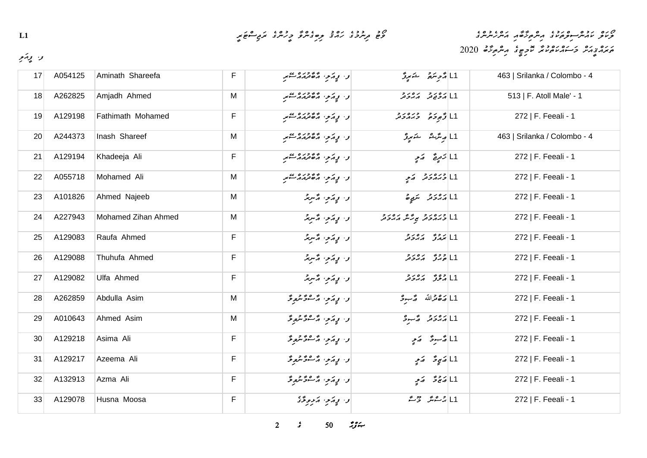*sCw7q7s5w7m< o<n9nOoAw7o< sCq;mAwBoEw7q<m; wBm;vB* م من المرة المرة المرة المرجع المرجع في المركبة 2020<br>مجم*د المريض المربوط المربع المرجع في المراجع المركبة* 

| 17              | A054125 | Aminath Shareefa    | $\mathsf F$  | و ورو، مەدرە مەر                 | L1 مَرْحِ سَوَ سَوَ سِرْزٌ                 | 463   Srilanka / Colombo - 4 |
|-----------------|---------|---------------------|--------------|----------------------------------|--------------------------------------------|------------------------------|
| 18              | A262825 | Amjadh Ahmed        | M            | و و مرد مقدم مس                  | L1 , ژوي تر در د                           | 513   F. Atoll Male' - 1     |
| 19              | A129198 | Fathimath Mohamed   | $\mathsf F$  | و. وٍ مَرْدٍ، مُصْرَمَ مَرَ مِنْ | L1 <i>وُّجِوَدُو</i> دَيَرُ <i>دُ</i> د    | 272   F. Feeali - 1          |
| 20              | A244373 | Inash Shareef       | M            | و. ومر و معمد مده سم             | L1 مِسَّرْتْہ خَمَعِيْرٌ                   | 463   Srilanka / Colombo - 4 |
| 21              | A129194 | Khadeeja Ali        | $\mathsf F$  | و . و مر و از محمد مر من         | L1 دَمِيعٌ     رَمِ                        | 272   F. Feeali - 1          |
| 22              | A055718 | Mohamed Ali         | M            | و. وأرد المقدم من                | L1 <i>وَبَرْدُوَنْھُ مَ</i> عِ             | 272   F. Feeali - 1          |
| 23              | A101826 | Ahmed Najeeb        | M            | اور ويرتو، برهيد                 | L1  رَرُدَ دَ سَ سَ صَ                     | 272   F. Feeali - 1          |
| 24              | A227943 | Mohamed Zihan Ahmed | M            | اور ومكور مجلوبكر                | 1] <i>ورورو بي ژ</i> مر <sub>م پرو</sub> ر | 272   F. Feeali - 1          |
| 25              | A129083 | Raufa Ahmed         | F            | ار، ويربو، ماسيلا                | L1 <i>بَدْهُ قُدْ دُ</i> حَمَّدُ           | 272   F. Feeali - 1          |
| 26              | A129088 | Thuhufa Ahmed       | $\mathsf{F}$ | ار، رِيرَمُ، ايسمه               | L1 <i>وده پره دو</i>                       | 272   F. Feeali - 1          |
| 27              | A129082 | Ulfa Ahmed          | F            | اور ويركوا المسرنم               | L1 پروژ پروژنر                             | 272   F. Feeali - 1          |
| 28              | A262859 | Abdulla Asim        | M            | و- وٍمَعٍ، مُّسْوَمُّعُومٌ       | L1 مَهْ مِّرَاللَّهُ مَّ سِوْ              | 272   F. Feeali - 1          |
| 29              | A010643 | Ahmed Asim          | M            | ار، روكر المحافظ من المحدد الم   | L1 <i>مَدْوَنْ مُ</i> سِوْ                 | 272   F. Feeali - 1          |
| 30 <sup>°</sup> | A129218 | Asima Ali           | $\mathsf F$  | ادا وٍ رَسِ الْمُسْافَسْعِيقَ    | L1 م <sup>ح</sup> بور محمو                 | 272   F. Feeali - 1          |
| 31              | A129217 | Azeema Ali          | F            | و. وٍمَنْ مُسَافَسُونَ           | L1 <i>ڇُپوءُ ڇُ</i> پِ                     | 272   F. Feeali - 1          |
| 32              | A132913 | Azma Ali            | F            | وسوخوس المستوقيمون               | L1 رَج دَمِ                                | 272   F. Feeali - 1          |
| 33              | A129078 | Husna Moosa         | $\mathsf F$  | والإمكن مكووفرة                  | $23$ $22$ $11$                             | 272   F. Feeali - 1          |

*2 sC 50 nNw?mS*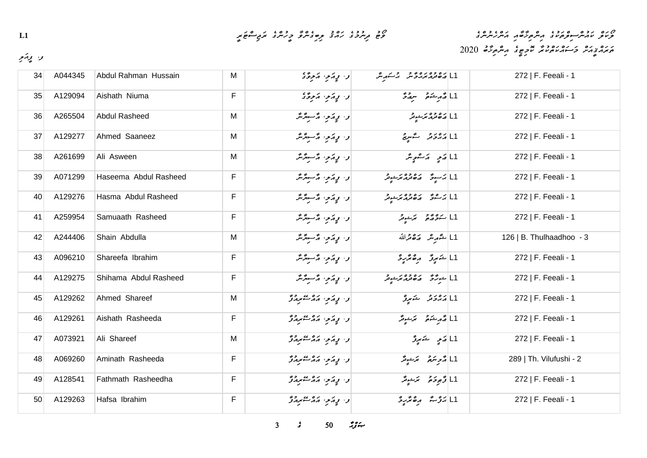*sCw7q7s5w7m< o<n9nOoAw7o< sCq;mAwBoEw7q<m; wBm;vB* م من المرة المرة المرة المرجع المرجع في المركبة 2020<br>مجم*د المريض المربوط المربع المرجع في المراجع المركبة* 

| 34 | A044345 | Abdul Rahman Hussain  | M            | اوسمي تمريح تجويح تحا       | L1 <i>مەمەمەدە بىر بىر بىر بىر</i>                  | 272   F. Feeali - 1      |
|----|---------|-----------------------|--------------|-----------------------------|-----------------------------------------------------|--------------------------|
| 35 | A129094 | Aishath Niuma         | F            | وا وٍ مَرِ مَرِ مَرَّوَّةً  | L1 مَّہشَمَّ سِمْرَةً                               | 272   F. Feeali - 1      |
| 36 | A265504 | <b>Abdul Rasheed</b>  | M            | و- وٍمَرَمٍ، مُرْسِيرٌ مَرُ | L1 رَەقەرە ئەنەبەر                                  | 272   F. Feeali - 1      |
| 37 | A129277 | Ahmed Saaneez         | M            | وا وٍمَوا مُسَيَّرَ مُنْ    | L1 رَمَرْدَتْرَ سَمَّسِيَّ                          | 272   F. Feeali - 1      |
| 38 | A261699 | Ali Asween            | M            | اور ويمور ماسلونگر          | L1 <i>چَرِ پَرَ هُوِينَ</i> ر                       | 272   F. Feeali - 1      |
| 39 | A071299 | Haseema Abdul Rasheed | $\mathsf{F}$ | اور ويزوا المسترس           | L1 ئەسىر <i>ۇ مەھەرمەخ</i> ىسى <i>ر</i>             | 272   F. Feeali - 1      |
| 40 | A129276 | Hasma Abdul Rasheed   | F            | اور ويمور ماسلونگر          | L1 ئەشىۋە مەھ <i>ەرە بىر</i> ىئونىر                 | 272   F. Feeali - 1      |
| 41 | A259954 | Samuaath Rasheed      | $\mathsf F$  | وا ومكوا محاسنهم            | L1 س <i>ئۇم<sup>ۇم</sup>ۇ</i> برَ <sub>ىشو</sub> مۇ | 272   F. Feeali - 1      |
| 42 | A244406 | Shain Abdulla         | M            | و. وٍمَعٍ، مُستَرَسٌ        | L1 څم <i>ر شه ش</i> ه ترالله                        | 126   B. Thulhaadhoo - 3 |
| 43 | A096210 | Shareefa Ibrahim      | $\mathsf{F}$ | اور ويزوا المسترس           | L1 خوروً م <i>ەھمەر</i> 3                           | 272   F. Feeali - 1      |
| 44 | A129275 | Shihama Abdul Rasheed | $\mathsf F$  | ار، روزیر، اژگسترنتر        | L1 جر <i>زۇ مەمەمەمۇ</i> مۇر                        | 272   F. Feeali - 1      |
| 45 | A129262 | Ahmed Shareef         | M            | و٠ وٍ ٦ مَرَ د عمر ١        | L1 <i>مەندى ئىمبى</i> ر                             | 272   F. Feeali - 1      |
| 46 | A129261 | Aishath Rasheeda      | $\mathsf F$  | والإمكام الممام المستعمدة   | L1 مُّەمِسْتَمْ كَرَسْوِتْرٌ                        | 272   F. Feeali - 1      |
| 47 | A073921 | Ali Shareef           | M            | و. وٍمَنْ مُمَسِّعِمَةٌ     | L1  رَمِ شَمِيرٌ                                    | 272   F. Feeali - 1      |
| 48 | A069260 | Aminath Rasheeda      | $\mathsf F$  | و٠ وٍ ٦ مَرَ د عمر د        | L1 مۇج <sup>ىرى</sup> ئىر ئىسىدىگە                  | 289   Th. Vilufushi - 2  |
| 49 | A128541 | Fathmath Rasheedha    | F            | ن وٍ مَنْ مَمْ شَمِيمَوٌ    | L1 <i>وَّجوحَ</i> عْ مَمَسْبِعْدَ                   | 272   F. Feeali - 1      |
| 50 | A129263 | Hafsa Ibrahim         | $\mathsf F$  | ن وٍ مَرَ مَمْ سَمِيمَرٌ    | L1 بروج م <b>ەئ</b> رىبى                            | 272   F. Feeali - 1      |

**3** *3* **<b>50** *f f s*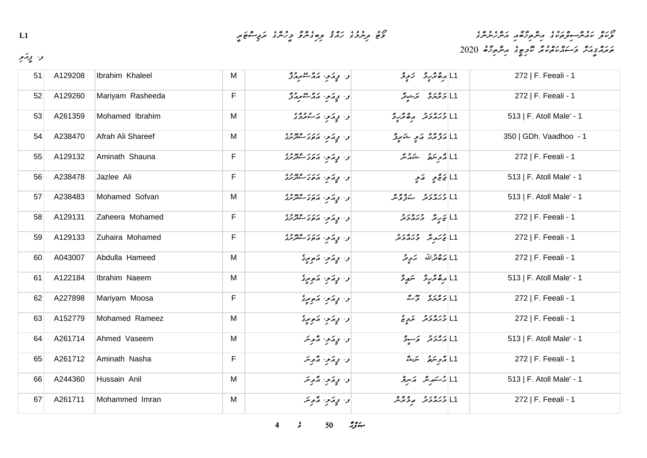*sCw7q7s5w7m< o<n9nOoAw7o< sCq;mAwBoEw7q<m; wBm;vB* م من المرة المرة المرة المرجع المرجع في المركبة 2020<br>مجم*د المريض المربوط المربع المرجع في المراجع المركبة* 

| 51 | A129208 | Ibrahim Khaleel   | M           | ن پەتو، مەسىمەت              | L1 ب <i>ر&amp;ټڙر وي ڏوِي</i>               | 272   F. Feeali - 1      |
|----|---------|-------------------|-------------|------------------------------|---------------------------------------------|--------------------------|
| 52 | A129260 | Mariyam Rasheeda  | F           | اور ومكور ممار مصر وو        | L1  <i>5نگەدى - م</i> ەنبەن <i>گ</i>        | 272   F. Feeali - 1      |
| 53 | A261359 | Mohamed Ibrahim   | M           | ن وٍ مَسْ مَسْتَعْرَى        | L1  <i>دبرەرو م</i> ەئزىرى                  | 513   F. Atoll Male' - 1 |
| 54 | A238470 | Afrah Ali Shareef | M           | وسوچي په در معدده            | L1  پَرُوْتُرُدُ کَرِ مِنْ حَدَيْرُوْ       | 350   GDh. Vaadhoo - 1   |
| 55 | A129132 | Aminath Shauna    | F           | ل کړې په په ده ده ده ده ده د | L1 أَمَّ حِسَنَةً مُسَوَّرَ مَّتَّ          | 272   F. Feeali - 1      |
| 56 | A238478 | Jazlee Ali        | F           | و . و پرس امروز ۲۵ و د       | L1  <sub>تح</sub> ج محتجم تحتجي             | 513   F. Atoll Male' - 1 |
| 57 | A238483 | Mohamed Sofvan    | M           | و . و پرس امروز ۵۶۰۰         | L1  <i>دبرەرەپ بەۋەتگ</i>                   | 513   F. Atoll Male' - 1 |
| 58 | A129131 | Zaheera Mohamed   | F           | وسومنوس متوى سعروه           | L1 ئ <sub>ى پە</sub> ئز بەللەر دېر          | 272   F. Feeali - 1      |
| 59 | A129133 | Zuhaira Mohamed   | $\mathsf F$ | او . وٍ پڑو ، پروه دوه .     | L1 ىن ئىرىگە ئەيرە ئىر                      | 272   F. Feeali - 1      |
| 60 | A043007 | Abdulla Hameed    | M           | وا وٍمَوا مَعِيدٌ            | L1 رَجْعَتْراللَّهُ بَرَجِتْرُ              | 272   F. Feeali - 1      |
| 61 | A122184 | Ibrahim Naeem     | M           | ن وٍ پَسِ په په              | L1 رەئزىر ئىرگ                              | 513   F. Atoll Male' - 1 |
| 62 | A227898 | Mariyam Moosa     | $\mathsf F$ | وا وٍمَوا مَعِيدٌ            | $23$ $272$ $\le$ 11                         | 272   F. Feeali - 1      |
| 63 | A152779 | Mohamed Rameez    | M           | ادا ويمن معبدة               | L1  <i>وبروبرو برَوبي</i>                   | 272   F. Feeali - 1      |
| 64 | A261714 | Ahmed Vaseem      | M           | وسوميوس مجويتر               | L1  <i>ړې</i> وته <sub>قرسو</sub> و         | 513   F. Atoll Male' - 1 |
| 65 | A261712 | Aminath Nasha     | $\mathsf F$ | وا وٍ مَرَمٍ الْمُرْمِدَ     | L1 مُرْحِ مَرَى مَرْتُمْ __________________ | 272   F. Feeali - 1      |
| 66 | A244360 | Hussain Anil      | M           | ار، وٍړَو، رُوپر             | L1 بڑے پہ شہد محمد پر تقریبات               | 513   F. Atoll Male' - 1 |
| 67 | A261711 | Mohammed Imran    | M           | وا وٍ مَوا مُتَوَسَ          | L1 <i>دېرورو پومرس</i>                      | 272   F. Feeali - 1      |

*4 50*  $\frac{1}{2}$  *50*  $\frac{1}{2}$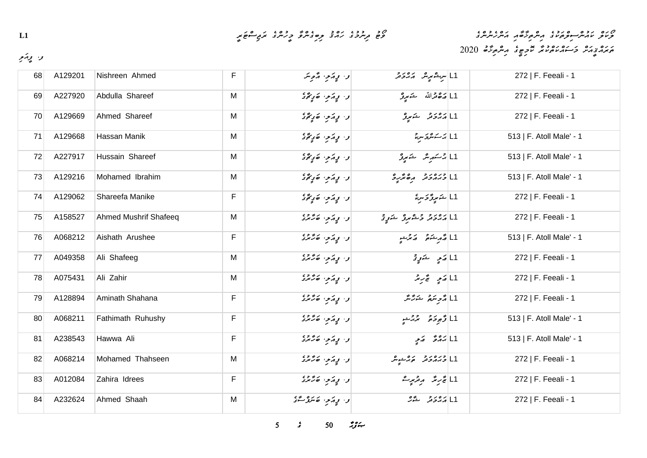*sCw7q7s5w7m< o<n9nOoAw7o< sCq;mAwBoEw7q<m; wBm;vB* م من المرة المرة المرة المرجع المرجع في المركبة 2020<br>مجم*د المريض المربوط المربع المرجع في المراجع المركبة* 

| 68 | A129201 | Nishreen Ahmed               | $\mathsf F$ | اور وٍ مَرَمٍ، مَرَّوِ مَرَ | L1 سرڪميري <i>گ مذڪ</i> فر             | 272   F. Feeali - 1      |
|----|---------|------------------------------|-------------|-----------------------------|----------------------------------------|--------------------------|
| 69 | A227920 | Abdulla Shareef              | M           | الاستجدة فيجي               | L1 مَەھىراللە خ <i>ەمرى</i> ر          | 272   F. Feeali - 1      |
| 70 | A129669 | Ahmed Shareef                | M           | والإمكن كالمحكى             | L1 <i>ړې دی ـ شمېرو</i>                | 272   F. Feeali - 1      |
| 71 | A129668 | Hassan Manik                 | M           | ار په زمې ځونځو             | L1 ئەسەھە <i>ي بىرى</i> ق              | 513   F. Atoll Male' - 1 |
| 72 | A227917 | Hussain Shareef              | M           | اور ومكور كالمحمومي         | L1 پرستمبر ش متعریق<br>سیاست           | 513   F. Atoll Male' - 1 |
| 73 | A129216 | Mohamed Ibrahim              | M           | و . وٍ مَرَمَ کَ کَمَ کَ    | L1 دبره در مقتربه د                    | 513   F. Atoll Male' - 1 |
| 74 | A129062 | Shareefa Manike              | F           | ار پېښو، ځونځو              | L1 شەمرى <i>گ</i> ىرىتىكى              | 272   F. Feeali - 1      |
| 75 | A158527 | <b>Ahmed Mushrif Shafeeq</b> | M           | اور وٍ مَرَمَو، کار پری     | L1  رَرْدَوَتْر وَحْمَىنِ وْ حَمَوٍ وْ | 272   F. Feeali - 1      |
| 76 | A068212 | Aishath Arushee              | F           | اور ويمنوا كالمنعمى         | L1 مُرمِشَعْ مَرْمُشِي                 | 513   F. Atoll Male' - 1 |
| 77 | A049358 | Ali Shafeeg                  | M           | و . وٍ پرس کار ده           | 1L <i>مکو شون</i> ځ                    | 272   F. Feeali - 1      |
| 78 | A075431 | Ali Zahir                    | M           | والإمكوا كالمتعرى           | 1] رَمِ گَرِيْرُ                       | 272   F. Feeali - 1      |
| 79 | A128894 | Aminath Shahana              | F           | و . وٍ پرس کار ده           | L1 مَّ حِ سَمَّةَ شَدَّرْ سَّرَ        | 272   F. Feeali - 1      |
| 80 | A068211 | Fathimath Ruhushy            | $\mathsf F$ | وسوخوا كالممزى              | L1 <i>وُّجِوَدَة</i> بَرَبْرَ مِهِ     | 513   F. Atoll Male' - 1 |
| 81 | A238543 | Hawwa Ali                    | F           | اور ويمنوا كالمتعدى         |                                        | 513   F. Atoll Male' - 1 |
| 82 | A068214 | Mohamed Thahseen             | M           | و . وٍ مَرَ و کار الله و ،  | L1 <i>دېره ده د</i> ه کارونکر          | 272   F. Feeali - 1      |
| 83 | A012084 | Zahira Idrees                | F           | و . وٍ پرس کار ده           | L1  تج سِعَمَّة مستقريب مستقب          | 272   F. Feeali - 1      |
| 84 | A232624 | Ahmed Shaah                  | M           | ن پەترە قەتلاشى             | $22 - 222$                             | 272   F. Feeali - 1      |

 $5$   $5$   $50$   $75$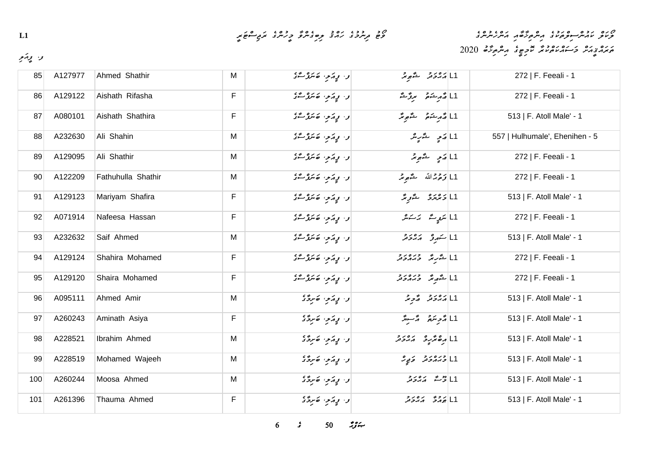*sCw7q7s5w7m< o<n9nOoAw7o< sCq;mAwBoEw7q<m; wBm;vB* م من المرة المرة المرة المرجع المرجع في المركبة 2020<br>مجم*د المريض المربوط المربع المرجع في المراجع المركبة* 

| 85  | A127977 | Ahmed Shathir      | M           | اور وٍ مَرَمٍ، صَنَوْسُوْ                 | L1 رَبَّرْدَتْرَ شَ <sub>ّجْ</sub> بِرْ       | 272   F. Feeali - 1            |
|-----|---------|--------------------|-------------|-------------------------------------------|-----------------------------------------------|--------------------------------|
| 86  | A129122 | Aishath Rifasha    | F           | اوا ويكوا كالترويجي                       | L1 مَّەرِحَمَّةً مِرَّحَدَّ                   | 272   F. Feeali - 1            |
| 87  | A080101 | Aishath Shathira   | $\mathsf F$ | اور وٍمَنْ صَنَوْسَنَى                    | L1 مۇم شۇم ئىستىم ئىستىر                      | 513   F. Atoll Male' - 1       |
| 88  | A232630 | Ali Shahin         | M           | اور ويكور كالترويج                        | L1 <i>ڇَجِ</i> گَيِسُ                         | 557   Hulhumale', Ehenihen - 5 |
| 89  | A129095 | Ali Shathir        | M           | اوا ويكوا كالترويجي                       | L1 ر <sub>َم</sub> ح حَ <sub>م</sub> جر       | 272   F. Feeali - 1            |
| 90  | A122209 | Fathuhulla Shathir | M           | والمجامع المحاسبين والمجيمة               | L1 وَحَدِّدَاللَّهُ شَعَّعِ مِرَّ             | 272   F. Feeali - 1            |
| 91  | A129123 | Mariyam Shafira    | F           | ن په ټورن ځانگړ شي                        | L1  <sub>خ</sub> ىرى <i>زى</i> ش <i>ۆپ</i> تى | 513   F. Atoll Male' - 1       |
| 92  | A071914 | Nafeesa Hassan     | $\mathsf F$ | وا وٍمَنْ صَنَوْسُنَى                     | L1  سَموِتْ - بَرَسَہْ سُ                     | 272   F. Feeali - 1            |
| 93  | A232632 | Saif Ahmed         | M           | اور ومزمر، كاستوسكو                       | L1 س <i>ەمبۇ مەجبى</i> قىر                    | 513   F. Atoll Male' - 1       |
| 94  | A129124 | Shahira Mohamed    | $\mathsf F$ | ل و د کار استان کار کار د کار استان کار ک | L1  ش <i>ۇرىگە 25مەدى</i> ر                   | 272   F. Feeali - 1            |
| 95  | A129120 | Shaira Mohamed     | $\mathsf F$ | ن پەترە ئەترىقى                           | L1 څم <i>ه پر ډېرونر</i>                      | 272   F. Feeali - 1            |
| 96  | A095111 | Ahmed Amir         | M           | ادا وٍ مَعِ، صَرِوَى                      | L1 <i>مَدْدَنْدَ</i> مُدْمِتْر                | 513   F. Atoll Male' - 1       |
| 97  | A260243 | Aminath Asiya      | F           | ادا وٍ مَعِ الصَّرِوَّةُ                  | L1 مُجِسَعَة مُجَسِعَةً                       | 513   F. Atoll Male' - 1       |
| 98  | A228521 | Ibrahim Ahmed      | M           | وا وٍ مَنْ صَرِوَّةً                      | L1 مەھم <i>گىي</i> ھەممەد قىر                 | 513   F. Atoll Male' - 1       |
| 99  | A228519 | Mohamed Wajeeh     | M           | ن وٍ دَمٍ صَرِدٌ مَ                       | L1  <i>ورەرو ك</i> ېڭ                         | 513   F. Atoll Male' - 1       |
| 100 | A260244 | Moosa Ahmed        | M           | اور ويزوا ځېږدنه                          | L1 تۇنئە ئەيرى ئەر                            | 513   F. Atoll Male' - 1       |
| 101 | A261396 | Thauma Ahmed       | F           | وا وٍ مَرَوا صَرِدَّةً                    | 2222221                                       | 513   F. Atoll Male' - 1       |

 $6$   $3$   $50$   $23$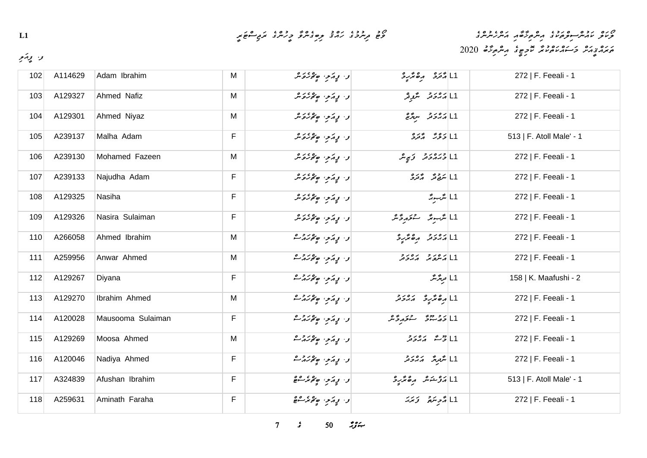*sCw7q7s5w7m< o<n9nOoAw7o< sCq;mAwBoEw7q<m; wBm;vB* م من المرة المرة المرة المرجع المرجع في المركبة 2020<br>مجم*د المريض المربوط المربع المرجع في المراجع المركبة* 

| 102 | A114629 | Adam Ibrahim      | M            | ن پېړو، ھۆركەش                  | L1 ا <i>ړندی م</i> ی <i>ټرب</i> و              | 272   F. Feeali - 1      |
|-----|---------|-------------------|--------------|---------------------------------|------------------------------------------------|--------------------------|
| 103 | A129327 | Ahmed Nafiz       | M            | والإمكن كالمحارقات              | L1 <i>ړې دی</i> س <i>گو</i> نگر                | 272   F. Feeali - 1      |
| 104 | A129301 | Ahmed Niyaz       | M            | والإمكان كالمحاكم كالمر         | L1 <i>مَدْوَنْتْهِ سِرْجْ</i>                  | 272   F. Feeali - 1      |
| 105 | A239137 | Malha Adam        | $\mathsf F$  | والإمكن كالمحاكم كالمر          | L1 رَءُبَّ مُمَرَّدُ                           | 513   F. Atoll Male' - 1 |
| 106 | A239130 | Mohamed Fazeen    | M            | و ومرد گرده م                   | L1 <i>ۋېزو چې توپی</i> ر                       | 272   F. Feeali - 1      |
| 107 | A239133 | Najudha Adam      | $\mathsf F$  | ار. ومدر گوره می                | L1 يَرْدِقُ مَ <i>مَّرْدُ</i>                  | 272   F. Feeali - 1      |
| 108 | A129325 | Nasiha            | F            | ار. ومدر گوروس                  | L1 مُدْسِدة.                                   | 272   F. Feeali - 1      |
| 109 | A129326 | Nasira Sulaiman   | $\mathsf F$  | ار. وٍ مَرَمٍ الصَّحْرَ وَ مَرْ | L1 مَ <i>رْسِعِدٌ</i> سَ <i>مْوَرِدُ</i> مَّدْ | 272   F. Feeali - 1      |
| 110 | A266058 | Ahmed Ibrahim     | M            | ار. ويدَمَ ھِگُرُدُ م           | L1 <i>مَدْدَوتر م</i> ِ <i>مَدْبِ</i> دْ       | 272   F. Feeali - 1      |
| 111 | A259956 | Anwar Ahmed       | M            | ار. وٍ مَرْمٍ، ھِ مُحْرَمَهُ -  | L1 كەشھەم كەبرەر د                             | 272   F. Feeali - 1      |
| 112 | A129267 | Diyana            | $\mathsf F$  | و وړو ځورکړ ک                   | L1 مرمز میں                                    | 158   K. Maafushi - 2    |
| 113 | A129270 | Ibrahim Ahmed     | M            | ار. ويدَمْ، ھەجمەس              | L1 مِر <i>ە مَدَّرٍدە مەدەن</i> ر              | 272   F. Feeali - 1      |
| 114 | A120028 | Mausooma Sulaiman | $\mathsf F$  | و. ومدَو، ھەمدىر م              | L1  <i>خەشىنىڭ سۇمبۇ</i> ش                     | 272   F. Feeali - 1      |
| 115 | A129269 | Moosa Ahmed       | M            | و وړو په ده.                    | L1 ترقيقه بروبرد                               | 272   F. Feeali - 1      |
| 116 | A120046 | Nadiya Ahmed      | $\mathsf{F}$ | ن ويدَمْ ، مَعْ رَبَّ           | L1 بَرْبِرِيرٌ    دَيْرَوَبْرُ                 | 272   F. Feeali - 1      |
| 117 | A324839 | Afushan Ibrahim   | $\mathsf F$  | ار. ويدَمْ، ھەممىسى             | L1 مَرْزَّىنَە مَرەمَّدَرٍ مَنْ                | 513   F. Atoll Male' - 1 |
| 118 | A259631 | Aminath Faraha    | $\mathsf F$  | وسوموس ھەممىس                   | L1 مَّ <i>وِسَع</i> ْرَ وَسَرَتَهَ             | 272   F. Feeali - 1      |

*7 sC 50 nNw?mS*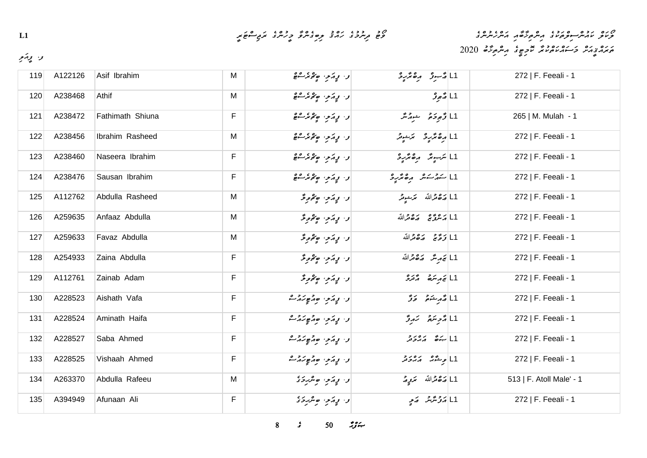*sCw7q7s5w7m< o<n9nOoAw7o< sCq;mAwBoEw7q<m; wBm;vB* م من المرة المرة المرة المرجع المرجع في المركبة 2020<br>مجم*د المريض المربوط المربع المرجع في المراجع المركبة* 

| 119 | A122126 | Asif Ibrahim     | M | ار. روز موکوکر کامح       | L1 مەسور مەھرىبەد                                             | 272   F. Feeali - 1      |
|-----|---------|------------------|---|---------------------------|---------------------------------------------------------------|--------------------------|
| 120 | A238468 | Athif            | M | ن ويرو، ھەجمىسى           | L1 مَّ جو <b>رٌ</b>                                           | 272   F. Feeali - 1      |
| 121 | A238472 | Fathimath Shiuna | F | ار ويكو ھەممى             | L1 <i>وَّجِوحَ</i> هُمْ سُبِ <i>مْ مَدَّ</i>                  | 265   M. Mulah - 1       |
| 122 | A238456 | Ibrahim Rasheed  | M | و. ويزمن ھەممىسى          | L1 م <i>وھ مگرچ</i> و محتصوفر                                 | 272   F. Feeali - 1      |
| 123 | A238460 | Naseera Ibrahim  | F | اور ويرو، ھەجمىسى         | L1 مَرْسِومُرٌ مِنْ مُرْكِزِرْ                                | 272   F. Feeali - 1      |
| 124 | A238476 | Sausan Ibrahim   | F | ار. وړې په د کره          | L1 سەر ئەسىر مەھ <i>ترى</i> رى                                | 272   F. Feeali - 1      |
| 125 | A112762 | Abdulla Rasheed  | M | و وړې په دو               | L1 مَەھمَّدْاللە مَمَسْوِمْر                                  | 272   F. Feeali - 1      |
| 126 | A259635 | Anfaaz Abdulla   | M | وا ومكوا ھاھوى            | L1 مَسْتَرَجْ مَصْحَرِاللَّهُ                                 | 272   F. Feeali - 1      |
| 127 | A259633 | Favaz Abdulla    | M | و وړې هڅونه               | L1 <i>وَوَّى مَەھ</i> تراللە                                  | 272   F. Feeali - 1      |
| 128 | A254933 | Zaina Abdulla    | F | ار پېړو، ھڅوڅ             | L1 تج م <i>ر مثر مذه قر</i> الله                              | 272   F. Feeali - 1      |
| 129 | A112761 | Zainab Adam      | F | وا ويكوا ھائوق            | $5.3$ $\frac{2}{3}$ $\frac{2}{3}$ $\frac{1}{2}$ $\frac{1}{2}$ | 272   F. Feeali - 1      |
| 130 | A228523 | Aishath Vafa     | F | و وړو، مدم درو د          | L1 مُدِينَة وَتَرَ                                            | 272   F. Feeali - 1      |
| 131 | A228524 | Aminath Haifa    | F | و وړو مده عده کر          | L1 مُ <i>جِسَعْہ سَہونَّ</i>                                  | 272   F. Feeali - 1      |
| 132 | A228527 | Saba Ahmed       | F | و . وٍ مَرْمٍ و مرتوبر مش | $2222 - 221$                                                  | 272   F. Feeali - 1      |
| 133 | A228525 | Vishaah Ahmed    | F | و وړې ورو ده              | L1  <sub>جى</sub> شەر كەردىتە                                 | 272   F. Feeali - 1      |
| 134 | A263370 | Abdulla Rafeeu   | M | ار وړی و هریزه            | L1 <i>مَذَّة مَّاتِيمُ</i>                                    | 513   F. Atoll Male' - 1 |
| 135 | A394949 | Afunaan Ali      | F | ن وٍ پرو، ھِ شرد دُمَّ    | L1 <i>مَوْمَّة مَ</i> حٍ                                      | 272   F. Feeali - 1      |

**8** *s* **50** *f f*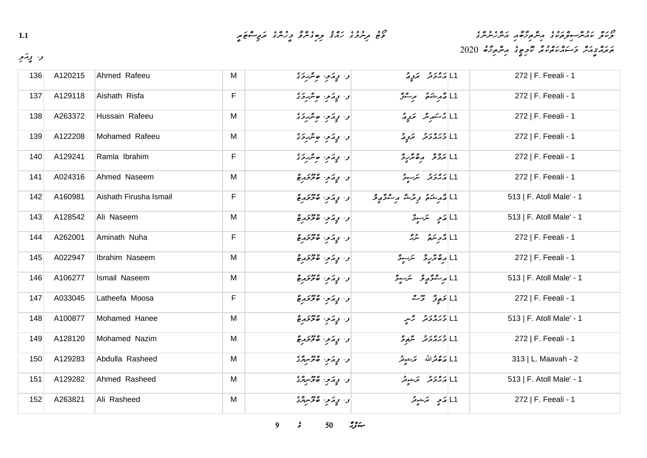*sCw7q7s5w7m< o<n9nOoAw7o< sCq;mAwBoEw7q<m; wBm;vB* م من المرة المرة المرة المرجع المرجع في المركبة 2020<br>مجم*د المريض المربوط المربع المرجع في المراجع المركبة* 

| 136 | A120215 | Ahmed Rafeeu           | M            | و وړو و شرخه            | L1 <i>ړې څو پرو</i> ژ                                      | 272   F. Feeali - 1      |
|-----|---------|------------------------|--------------|-------------------------|------------------------------------------------------------|--------------------------|
| 137 | A129118 | Aishath Risfa          | F            | ار پېړو، ھېرود          | L1 مەم ھەم موسىق                                           | 272   F. Feeali - 1      |
| 138 | A263372 | Hussain Rafeeu         | M            | والإمكوا كالمردئ        | L1 پر <i>شہر مگرو</i> یژ                                   | 272   F. Feeali - 1      |
| 139 | A122208 | Mohamed Rafeeu         | M            | ار وړی و هریزه          | L1 <i>2222 بَرُوهُ</i>                                     | 272   F. Feeali - 1      |
| 140 | A129241 | Ramla Ibrahim          | $\mathsf{F}$ | و وړو و شرخه            | L1 بَرَوْءٌ مِنْ بِرْدِ 2                                  | 272   F. Feeali - 1      |
| 141 | A024316 | Ahmed Naseem           | M            | والمحمد والمتحركم       | L1 <i>مَہُدُوَنَہ</i> مَرَسِوَتَ                           | 272   F. Feeali - 1      |
| 142 | A160981 | Aishath Firusha Ismail | $\mathsf F$  | اور ويكور ودويدة        | 1] مُرمِسُمْ رِبْرُتُهُ رِحْدُهُ وِ                        | 513   F. Atoll Male' - 1 |
| 143 | A128542 | Ali Naseem             | M            | وسومكوس ودوره           | L1 ر <sub>َم</sub> ح سَ <i>رَ-دِوْ</i>                     | 513   F. Atoll Male' - 1 |
| 144 | A262001 | Aminath Nuha           | F            | وسي مرد معتقده          | L1 مُرْحِبَتِهُ مِنْتُهُ                                   | 272   F. Feeali - 1      |
| 145 | A022947 | Ibrahim Naseem         | M            | وسومكوا كالمحركم وكالمح | L1 <sub>م</sub> ەم <i>گرى</i> مىرسوم                       | 272   F. Feeali - 1      |
| 146 | A106277 | Ismail Naseem          | M            | وسي مرد معمومه          | L1  <sub>م</sub> رےد <sub>گھو</sub> تھ <sub>مترجو</sub> تھ | 513   F. Atoll Male' - 1 |
| 147 | A033045 | Latheefa Moosa         | F            | و ويدو معزوم            | L1 <i>خووڈ</i> ترمئے                                       | 272   F. Feeali - 1      |
| 148 | A100877 | Mohamed Hanee          | M            | والإمكن معز والمحمد     | L1 <i>32325</i> رئيس                                       | 513   F. Atoll Male' - 1 |
| 149 | A128120 | Mohamed Nazim          | M            | والمحرقر والمتحركم      | L1  <i>وبروبرو سمّغ</i> و و                                | 272   F. Feeali - 1      |
| 150 | A129283 | Abdulla Rasheed        | M            | و وركو موسوع            | L1 مَەھەراللە مَرْسِوتر                                    | 313   L. Maavah - 2      |
| 151 | A129282 | Ahmed Rasheed          | M            | و. وأرو، مؤسر وه        | L1 رژد تر مر <sub>شو</sub> تر                              | 513   F. Atoll Male' - 1 |
| 152 | A263821 | Ali Rasheed            | M            | و ومرد محمد الم         | L1 <i>ھَي</i> مَڻيو <i>ھُ</i>                              | 272   F. Feeali - 1      |

*9 s* 50 *i*<sub>s</sub>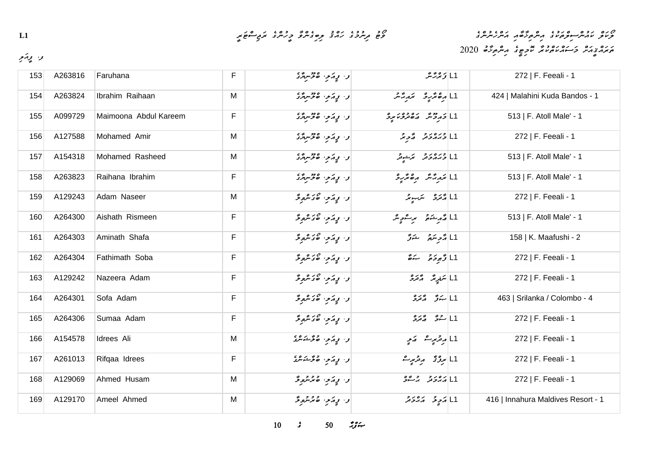*sCw7q7s5w7m< o<n9nOoAw7o< sCq;mAwBoEw7q<m; wBm;vB* م من المرة المرة المرة المرجع المرجع في المركبة 2020<br>مجم*د المريض المربوط المربع المرجع في المراجع المركبة* 

| 153 | A263816 | Faruhana              | $\mathsf F$ | و ، وٍ ړَو ، ۵۵ سرگرو        | L1 وَ بِرْرَّتَرَ                      | 272   F. Feeali - 1                |
|-----|---------|-----------------------|-------------|------------------------------|----------------------------------------|------------------------------------|
| 154 | A263824 | Ibrahim Raihaan       | M           | و ورزو مؤسره                 | L1 مەھم <i>گىي</i> ئىمەر مىشىر         | 424   Malahini Kuda Bandos - 1     |
| 155 | A099729 | Maimoona Abdul Kareem | F           | و. ومرد، مؤسر ده             | L1 <i>خەرجىش مەھەر جىرى</i>            | 513   F. Atoll Male' - 1           |
| 156 | A127588 | Mohamed Amir          | M           | و ومرد محمد الم              | L1 <i>ڈیزوڈوڈ مڈویز</i>                | 272   F. Feeali - 1                |
| 157 | A154318 | Mohamed Rasheed       | M           | و وركو محمود الم             | L1  <i>وُبَہُ دُونہ بَرَجہِ پُر</i> ُ  | 513   F. Atoll Male' - 1           |
| 158 | A263823 | Raihana Ibrahim       | $\mathsf F$ | و ومرد معر سر                | L1 <i>تمدینگ م</i> ی <i>مرگیب</i> و    | 513   F. Atoll Male' - 1           |
| 159 | A129243 | Adam Naseer           | M           | و· وٍمَعٍ، صَحَّمْهِ قَرْ    | L1 ا <i>ڑ تر</i> 5 س <i>رجی</i> تر     | 272   F. Feeali - 1                |
| 160 | A264300 | Aishath Rismeen       | $\mathsf F$ | والإمكن كالاشهاق             | L1  ئەمرىشىق <sub>ە مو</sub> سىۋېتىر   | 513   F. Atoll Male' - 1           |
| 161 | A264303 | Aminath Shafa         | F           | ار پېړو، ځوشوڅه              | L1 مُرْحِسَمُ شَرَرٌ                   | 158   K. Maafushi - 2              |
| 162 | A264304 | Fathimath Soba        | $\mathsf F$ | ن پېړو، ځو شوڅ               | 1] زَّەپرە ئەڭ                         | 272   F. Feeali - 1                |
| 163 | A129242 | Nazeera Adam          | F           | وا وٍمَعٍ، صَحَامُوعٌ        | L1 سَمْدِيَّر مُرَّمَرَّدُ             | 272   F. Feeali - 1                |
| 164 | A264301 | Sofa Adam             | F           | والإمكن كالمحافظ ومحمدهم فخر | L1 بَذَتَرَ مَ <i>قَدَّد</i> َ         | 463   Srilanka / Colombo - 4       |
| 165 | A264306 | Sumaa Adam            | $\mathsf F$ | والإمكان كالاشهامي           | $25.3$ $\approx$ $\sim$ 11             | 272   F. Feeali - 1                |
| 166 | A154578 | Idrees Ali            | M           | ن پِهُ په وَقَسْمَه          | L1 ریژمی <sup>ر</sup> مَی <sub>ج</sub> | 272   F. Feeali - 1                |
| 167 | A261013 | Rifqaa Idrees         | $\mathsf F$ | ن پِهُ مِن هُوَ شَهْرَ       | L1 برونۇ مەقرىرىشە                     | 272   F. Feeali - 1                |
| 168 | A129069 | Ahmed Husam           | M           | ن وٍ مَنْ صَمَّسْعِ مَّ      | L1 <i>222 برخ</i> و                    | 272   F. Feeali - 1                |
| 169 | A129170 | Ameel Ahmed           | M           | ن وٍمَن صَمَّسْعِدً          | L1 ړَ <sub>جِ</sub> دُ پرُدُونَرُ      | 416   Innahura Maldives Resort - 1 |

 $10$  *s* 50  $23$   $\div$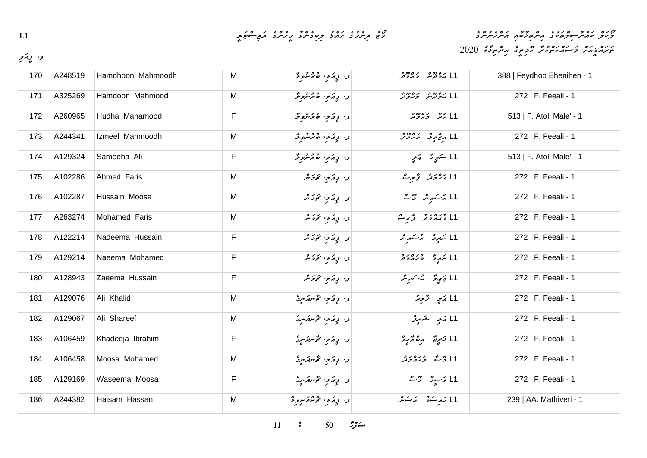*sCw7q7s5w7m< o<n9nOoAw7o< sCq;mAwBoEw7q<m; wBm;vB* م من المرة المرة المرة المرجع المرجع في المركبة 2020<br>مجم*د المريض المربوط المربع المرجع في المراجع المركبة* 

| 170 | A248519 | Hamdhoon Mahmoodh | M            | ن پېړو، ځېژمنونو            | L1 كەفتەر بەھقە                              | 388   Feydhoo Ehenihen - 1 |
|-----|---------|-------------------|--------------|-----------------------------|----------------------------------------------|----------------------------|
| 171 | A325269 | Hamdoon Mahmood   | M            | ن وٍ مَنْ صَمَّسْمَعِ مَّ   | L1 ژوپور کردور                               | 272   F. Feeali - 1        |
| 172 | A260965 | Hudha Mahamood    | $\mathsf F$  | ار. روزې ھېرشوڅه            | L1  رُمَّز ك <sup>999</sup> دور              | 513   F. Atoll Male' - 1   |
| 173 | A244341 | Izmeel Mahmoodh   | M            | ار. روزې ھېرسمونځه          | L1 <sub>م</sub> وج و دورو                    | 272   F. Feeali - 1        |
| 174 | A129324 | Sameeha Ali       | $\mathsf F$  | ار. روزې ھېرسمونځ           | L1 ڪوپڙ <i>چو</i>                            | 513   F. Atoll Male' - 1   |
| 175 | A102286 | Ahmed Faris       | M            | اوس ويمنوا مخافاش           | L1 <i>مَدْوَمْہ</i> وَمِرْ م                 | 272   F. Feeali - 1        |
| 176 | A102287 | Hussain Moosa     | M            | اوس ومكوسكات كالمحافظ       | L1 برڪبرير وحيد                              | 272   F. Feeali - 1        |
| 177 | A263274 | Mohamed Faris     | M            | اوس ومكوا كالحاص            | L1 <i>وُبَرُوْدَوْ</i> وَ <sub>مِر</sub> ْ   | 272   F. Feeali - 1        |
| 178 | A122214 | Nadeema Hussain   | $\mathsf F$  | اوس ومكوسكا كالمحافظ        | L1 سَعِرِیَّ پُرْسَمب <sup>و</sup> ر         | 272   F. Feeali - 1        |
| 179 | A129214 | Naeema Mohamed    | $\mathsf{F}$ | اور وٍ دَمَوٍ، مَحَمَّدَ شَ | L1 <i>سَمِيعٌ حَمَدُومٌ</i>                  | 272   F. Feeali - 1        |
| 180 | A128943 | Zaeema Hussain    | $\mathsf F$  | اوس ومكوسكات كالمحافظ       | L1 ئ <sub>ىم بو</sub> ۇ ب <sub>ە</sub> شىرىش | 272   F. Feeali - 1        |
| 181 | A129076 | Ali Khalid        | M            | اور ويدو، گاملانيون         | L1 صَعِ رَّحِومُرَ                           | 272   F. Feeali - 1        |
| 182 | A129067 | Ali Shareef       | M            | و- وٍمَرِ گُرِ مُعَرَ مِنْ  | 1] ∫ي سي ميرو<br>ا                           | 272   F. Feeali - 1        |
| 183 | A106459 | Khadeeja Ibrahim  | $\mathsf F$  | اور ومكور المستكر المع      | L1 دَمِيعٌ مِنْ مُرْرِدْ                     | 272   F. Feeali - 1        |
| 184 | A106458 | Moosa Mohamed     | M            | و- وٍ مَرَو، گاسترسری       | L1 ح. ح. د. د. د. د                          | 272   F. Feeali - 1        |
| 185 | A129169 | Waseema Moosa     | F            | والمحارق المحاملاتين        | L1   <sub>قریبو</sub> ڈ تڑتے                 | 272   F. Feeali - 1        |
| 186 | A244382 | Haisam Hassan     | M            | والإمكان كالملاكير للبعاث   | L1  <i>تەب - ئاسىمىل</i> ە                   | 239   AA. Mathiveri - 1    |

 $11$  *s* 50  $23$   $\div$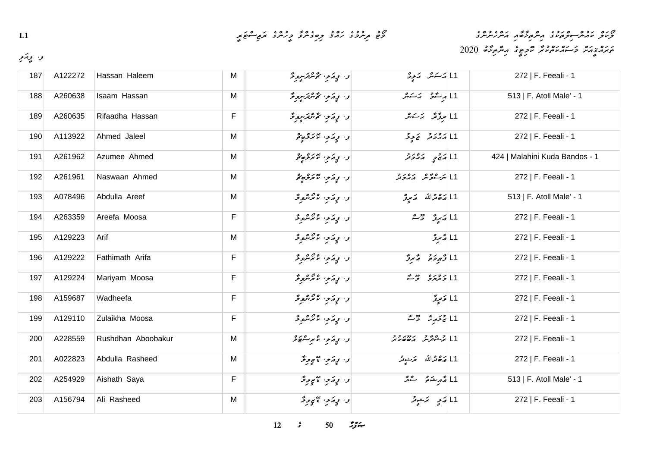*sCw7q7s5w7m< o<n9nOoAw7o< sCq;mAwBoEw7q<m; wBm;vB* م من المرة المرة المرة المرجع المرجع في المركبة 2020<br>مجم*د المريض المربوط المربع المرجع في المراجع المركبة* 

| 187 | A122272 | Hassan Haleem      | M            | و٠ وٍ؞ کو د گوهرسو و گ                 | L1 ټرسکر ټر <i>و</i> و                                           | 272   F. Feeali - 1            |
|-----|---------|--------------------|--------------|----------------------------------------|------------------------------------------------------------------|--------------------------------|
| 188 | A260638 | Isaam Hassan       | M            | و٠ وٍ دَمو، گامگرموهو گا               | L1 مرسمتى - ئەسەئىر                                              | 513   F. Atoll Male' - 1       |
| 189 | A260635 | Rifaadha Hassan    | $\mathsf F$  | و. وٍمَنْ گُمُسْھَسِعِیٌ               | L1 بروَّتَر – رَسَ <sup>م</sup> َرُ                              | 272   F. Feeali - 1            |
| 190 | A113922 | Ahmed Jaleel       | M            | والإمكع المعروفي                       | L1 پژگر تھی تھ                                                   | 272   F. Feeali - 1            |
| 191 | A261962 | Azumee Ahmed       | M            | و ويدو معروه و                         | L1 <i>הُجْعِ הُدُوَنْدُ</i>                                      | 424   Malahini Kuda Bandos - 1 |
| 192 | A261961 | Naswaan Ahmed      | M            | والإمام المتروها                       | L1 مَ <i>رْحُوڤُ مْدُونْد</i>                                    | 272   F. Feeali - 1            |
| 193 | A078496 | Abdulla Areef      | M            | اد پېړو، مېرسمونځ                      | L1 مَەھىراللە م <i>ەيبى</i> ر                                    | 513   F. Atoll Male' - 1       |
| 194 | A263359 | Areefa Moosa       | $\mathsf F$  | ن وٍمَنْ لانْمَسْعِدَّ                 | L1 <i>مَبِرڈ</i> جُٹ                                             | 272   F. Feeali - 1            |
| 195 | A129223 | Arif               | M            | ن وٍمَنْ لاندمهونَّ                    | L1 محجمبر <i>و</i>                                               | 272   F. Feeali - 1            |
| 196 | A129222 | Fathimath Arifa    | $\mathsf{F}$ | ن پەير ئەرگە ئەر                       | L1 رَّج <i>وحَمْ م</i> ُسِرَّ                                    | 272   F. Feeali - 1            |
| 197 | A129224 | Mariyam Moosa      | F            | والمحضر والمحاطبوق                     | $23$ $22/5$ $\vert$ $\vert$ 1                                    | 272   F. Feeali - 1            |
| 198 | A159687 | Wadheefa           | F            | ن وٍمَنْ للمَسْمَعْ                    | L1   <sub>حک</sub> میروگر                                        | 272   F. Feeali - 1            |
| 199 | A129110 | Zulaikha Moosa     | $\mathsf F$  | والإمكع، المكرسمونج                    | $23 - 5$ $\frac{2}{5}$ $\frac{2}{5}$ $\frac{2}{5}$ $\frac{1}{1}$ | 272   F. Feeali - 1            |
| 200 | A228559 | Rushdhan Aboobakur | M            | ادا ويكوا المبر المفافر                | 1] برشوترس م‱سمر                                                 | 272   F. Feeali - 1            |
| 201 | A022823 | Abdulla Rasheed    | M            | ادا ديدوا مېموند                       | L1 مَەھىراللە   مَرَىش <sub>ى</sub> قر                           | 272   F. Feeali - 1            |
| 202 | A254929 | Aishath Saya       | $\mathsf F$  | ادا دٍ مَرَمٌ السَّمَوِمُ الْمُحَمَّدُ | L1 مەم ئىشقى مەشر                                                | 513   F. Atoll Male' - 1       |
| 203 | A156794 | Ali Rasheed        | M            | ن په دې مې دوگ                         | L1 <i>ھَ۔</i> پَرَشوش                                            | 272   F. Feeali - 1            |

*12 sC 50 nNw?mS*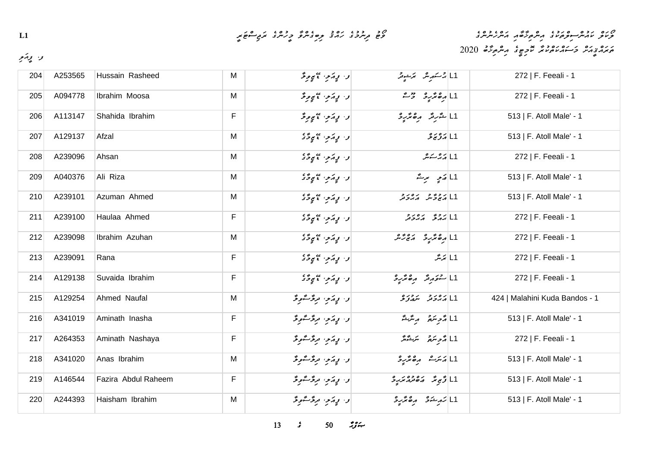*sCw7q7s5w7m< o<n9nOoAw7o< sCq;mAwBoEw7q<m; wBm;vB* م من المرة المرة المرة المرجع المرجع في المركبة 2020<br>مجم*د المريض المربوط المربع المرجع في المراجع المركبة* 

| 204 | A253565 | Hussain Rasheed     | M           | ادا دٍ مَرَمٍ الْمَبْمِومُّ                                                         | L1  پرسکوریٹر کر <sub>شو</sub> یٹر | 272   F. Feeali - 1            |
|-----|---------|---------------------|-------------|-------------------------------------------------------------------------------------|------------------------------------|--------------------------------|
| 205 | A094778 | Ibrahim Moosa       | M           | ادا دٍ پرَمُوا سُمَبِي وِمُحَ                                                       | L1 رەئزى <sub>ر</sub> و بىستە      | 272   F. Feeali - 1            |
| 206 | A113147 | Shahida Ibrahim     | F           | ادا دٍ پَرَمُ السَّجْمِعِ وَ حَ                                                     | L1 شَرىرَ م <i>ەھترى</i> رى        | 513   F. Atoll Male' - 1       |
| 207 | A129137 | Afzal               | M           | $\left  \mathcal{E} \right\rangle$ و. دې کامونځ                                     | L1 پروپړی                          | 513   F. Atoll Male' - 1       |
| 208 | A239096 | Ahsan               | M           | $\left  \mathcal{E} \right\rangle$ لا، وړکو، $\left  \mathcal{E} \right\rangle$ وگا | L1  پزشکسٹر                        | 272   F. Feeali - 1            |
| 209 | A040376 | Ali Riza            | M           | ار . دٍ ړَی په په په د                                                              | 1] رَمِ برِتَہ                     | 513   F. Atoll Male' - 1       |
| 210 | A239101 | Azuman Ahmed        | M           | ن پېژمن کې د چې                                                                     | L1  مَیۡوَّسۡ مَدۡدَوۡد            | 513   F. Atoll Male' - 1       |
| 211 | A239100 | Haulaa Ahmed        | $\mathsf F$ | ار ، رٍمَنِ ، ۽ پرڻئ                                                                | L1 ئەترى ئەرەر بور                 | 272   F. Feeali - 1            |
| 212 | A239098 | Ibrahim Azuhan      | M           | $\left  \mathcal{E} \right\rangle$ لا، وړکړې چې                                     | L1 م <i>ِ هغَربِ حَمَّيْتُ مَ</i>  | 272   F. Feeali - 1            |
| 213 | A239091 | Rana                | F           | $ v_1 $ لا، وړکو، $ v_2 $ و                                                         | L1 برنگر                           | 272   F. Feeali - 1            |
| 214 | A129138 | Suvaida Ibrahim     | F           | $\left  \psi \right\rangle _{i}$ لا، پوړۍ کالمج                                     | L1 ستق موقد مقصد مصر بيز           | 272   F. Feeali - 1            |
| 215 | A129254 | Ahmed Naufal        | M           | و- وٍړَو اووگرگونٌ                                                                  | L1 پروتر ش <i>م</i> وره            | 424   Malahini Kuda Bandos - 1 |
| 216 | A341019 | Aminath Inasha      | $\mathsf F$ | و- وٍړَوِ، مِروَّسَمُووَ                                                            | L1 مُرْحِسَمُ مِسْرَسْةً           | 513   F. Atoll Male' - 1       |
| 217 | A264353 | Aminath Nashaya     | $\mathsf F$ | ادا دٍ په دار د وگر شوی                                                             | L1 مَّ حِ سَمَّعَ سَرَ يَشْهَرُّ   | 272   F. Feeali - 1            |
| 218 | A341020 | Anas Ibrahim        | M           | وا وٍړَی مرِوَّسُووَ                                                                | L1 رَ یَرَے م <i>ِی مُ</i> رْبِ    | 513   F. Atoll Male' - 1       |
| 219 | A146544 | Fazira Abdul Raheem | F           | وا وٍړَی مروَّسٌووٌ                                                                 | 1] <i>ۇي ئۇ مەھەرە ئەب</i> رۇ      | 513   F. Atoll Male' - 1       |
| 220 | A244393 | Haisham Ibrahim     | M           | وا وٍمَنْ مِرَوَّسُودٌ                                                              | L1 <i>كەخۇ مۇمۇرۇ</i>              | 513   F. Atoll Male' - 1       |

 $13$  *s* 50  $23$   $\div$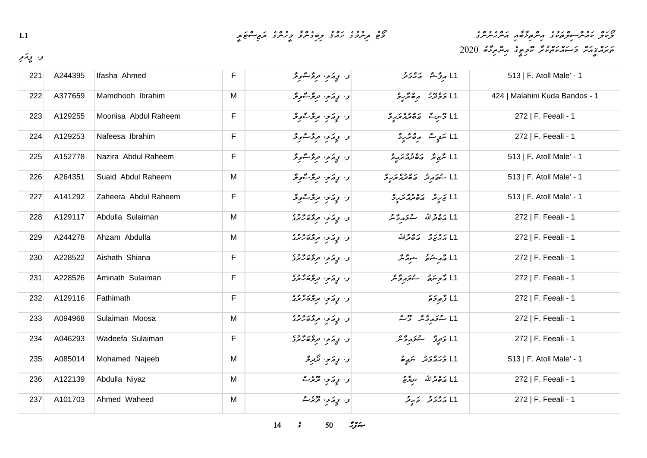*sCw7q7s5w7m< o<n9nOoAw7o< sCq;mAwBoEw7q<m; wBm;vB* م من المرة المرة المرة المرجع المرجع في المركبة 2020<br>مجم*د المريض المربوط المربع المرجع في المراجع المركبة* 

| 221 | A244395 | Ifasha Ahmed         | $\mathsf{F}$ | اد . دٍ پَرَمِ ِ مِروَّسَمُوتَر | L1 مۇش مەددىر                                       | 513   F. Atoll Male' - 1       |
|-----|---------|----------------------|--------------|---------------------------------|-----------------------------------------------------|--------------------------------|
| 222 | A377659 | Mamdhooh Ibrahim     | M            | وسمية كمروسي ويحري              | L1 5دور م <i>ەمگ</i> رىدى                           | 424   Malahini Kuda Bandos - 1 |
| 223 | A129255 | Moonisa Abdul Raheem | $\mathsf F$  | و- وٍړَو اووگونگونگ             | 1] وسرے مص <i>ر م</i> عدد                           | 272   F. Feeali - 1            |
| 224 | A129253 | Nafeesa Ibrahim      | $\mathsf F$  | و- دٍمَنٍ مِرَّتَّ مِرَّ        | L1 ىندىسە بەھ <i>ت</i> رىيى                         | 272   F. Feeali - 1            |
| 225 | A152778 | Nazira Abdul Raheem  | $\mathsf F$  | او- وٍړَی مروَّسَمُونَی         | L1 مَّتِيجَد مَصْرَ <i>مْ مَدْبِ</i> رْ             | 513   F. Atoll Male' - 1       |
| 226 | A264351 | Suaid Abdul Raheem   | M            | و- وٍړَو- دِوَّسَمُونَّ         | L1 شهرمر مصرم مرد                                   | 513   F. Atoll Male' - 1       |
| 227 | A141292 | Zaheera Abdul Raheem | $\mathsf F$  | وا وٍړُموا مروَّسهُونَّ         | L1 <i>تمرينگ مەھەرمەتب</i> و                        | 513   F. Atoll Male' - 1       |
| 228 | A129117 | Abdulla Sulaiman     | M            | و٠ وٍ ٦ و ٠ و و ٥ و ٥           | L1 رَصْعَرْاللَّهُ تَحْوَرِ وَتَعْرَ                | 272   F. Feeali - 1            |
| 229 | A244278 | Ahzam Abdulla        | M            | و٠ وٍ ٦ و و و و و و و و و       | L1 <i>مَجَدَّ مَدَّهْ مِ</i> رْاللَّه               | 272   F. Feeali - 1            |
| 230 | A228522 | Aishath Shiana       | $\mathsf F$  | او ، وٍ ړٌی مرده روه            | L1 صَّمِيسَة صَبِّرَ سَّدَ سَرَّ                    | 272   F. Feeali - 1            |
| 231 | A228526 | Aminath Sulaiman     | $\mathsf F$  | ا و و مرد مرده زنده             | L1 مُ <i>جِيبُرة سُنْوَ مِ</i> قُبْلُ               | 272   F. Feeali - 1            |
| 232 | A129116 | Fathimath            | F            | و٠ وٍ ٦ و و و ٥ و و ٥           | L1 ۇ <sub>ج</sub> وخۇ                               | 272   F. Feeali - 1            |
| 233 | A094968 | Sulaiman Moosa       | M            | و٠ وٍ ٦ و و و ٥ و و ٥           | L1 جۇمۇش ۋىشە                                       | 272   F. Feeali - 1            |
| 234 | A046293 | Wadeefa Sulaiman     | F            | و . وٍ پرو مروه ژبره            | L1   <sub>ھَ</sub> سِرِدَّ سُنَحَم <i>ِ دُ</i> سُرُ | 272   F. Feeali - 1            |
| 235 | A085014 | Mohamed Najeeb       | M            | وسمج أيركموا المحمود والمحمد    | L1 <i>وُبَرُوُدَوْ</i> سَر <i>َبِي ص</i> َّ         | 513   F. Atoll Male' - 1       |
| 236 | A122139 | Abdulla Niyaz        | M            | ن پېړو، پرچمن                   | L1 رَصْحَرْاللَّهُ سِمَّرَى                         | 272   F. Feeali - 1            |
| 237 | A101703 | Ahmed Waheed         | M            | ار. رٍ پرَ مِن پِر پُر مِن      | L1 <i>مَدْدَوْرْ وَبِ</i> يْر                       | 272   F. Feeali - 1            |

*14 sC 50 nNw?mS*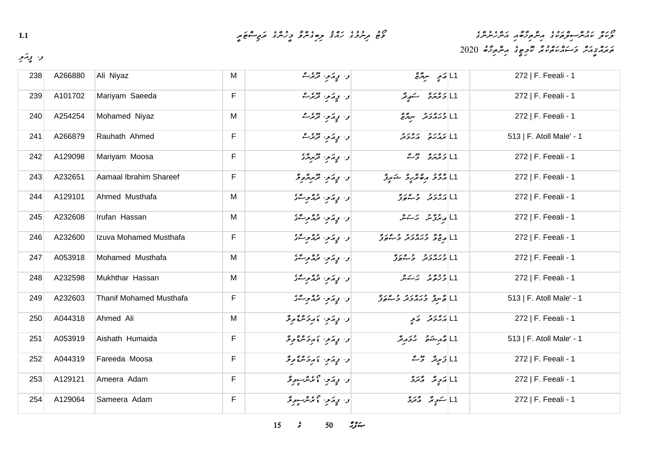*sCw7q7s5w7m< o<n9nOoAw7o< sCq;mAwBoEw7q<m; wBm;vB* م من المرة المرة المرة المرجع المرجع المرجع في 2020<br>مجم*د المريض المرجع المرجع المرجع المرجع المراجع المراجع الم*رجع

| 238 | A266880 | Ali Niyaz                      | M            | ا وس ويرمو، فرعر م               | L1 <i>ھَ جِ</i> سِ <i>مَّةٌ</i>         | 272   F. Feeali - 1      |
|-----|---------|--------------------------------|--------------|----------------------------------|-----------------------------------------|--------------------------|
| 239 | A101702 | Mariyam Saeeda                 | $\mathsf F$  | ار. رٍ پرس دی س                  | L1 دیمبرڈ سکھ <sup>و</sup> ٹر           | 272   F. Feeali - 1      |
| 240 | A254254 | Mohamed Niyaz                  | M            | و- وٍ پرس میں ش                  | L1 دره د د سرگړي                        | 272   F. Feeali - 1      |
| 241 | A266879 | Rauhath Ahmed                  | $\mathsf F$  | ن پېړو، پرېږه                    | L1 <i>بزور و م</i> رور و                | 513   F. Atoll Male' - 1 |
| 242 | A129098 | Mariyam Moosa                  | $\mathsf{F}$ | ال ويركوا فرمهر                  | $23$ $22/5$ $11$                        | 272   F. Feeali - 1      |
| 243 | A232651 | Aamaal Ibrahim Shareef         | $\mathsf F$  | ار. وٍمَنْ مُرْمِرْمُومٌ         | L1 مُرَدَّدٌ مِـ2 مُرْرِدٌ حَمَدٍ وَ    | 272   F. Feeali - 1      |
| 244 | A129101 | Ahmed Musthafa                 | M            | ادا وٍ مَرَمٍ الْمُمْرِسُوَةُ وَ | L1 كەبرو بور بورگە                      | 272   F. Feeali - 1      |
| 245 | A232608 | Irufan Hassan                  | M            | كي ومكو، فرم وسكي                | L1 م <i>بەترۇنتر برسەنت</i> ر           | 272   F. Feeali - 1      |
| 246 | A232600 | Izuva Mohamed Musthafa         | $\mathsf F$  | اور ويموا فرم وسكي               | 39.00000000000001                       | 272   F. Feeali - 1      |
| 247 | A053918 | Mohamed Musthafa               | M            | اور ويرو، وهوجد                  | 1] <i>دې ده د و ده د</i> و              | 272   F. Feeali - 1      |
| 248 | A232598 | Mukhthar Hassan                | M            | ادا ويروا فالموسوع               | L1  3 <i>3 3 3 4 2 2 2 2</i>            | 272   F. Feeali - 1      |
| 249 | A232603 | <b>Thanif Mohamed Musthafa</b> | $\mathsf F$  | ادا وٍ په داره وروستو            | 1] پُه دور در در درو                    | 513   F. Atoll Male' - 1 |
| 250 | A044318 | Ahmed Ali                      | M            | والإمكع الامرة مرواوقر           | L1  <i>ړَ ب</i> حقر کاموٍ               | 272   F. Feeali - 1      |
| 251 | A053919 | Aishath Humaida                | $\mathsf F$  | ن روكو، ئەركىمى ئوق              | L1 مۇم شەمۇ بەر ئەترى <i>م</i> ىگە      | 513   F. Atoll Male' - 1 |
| 252 | A044319 | Fareeda Moosa                  | $\mathsf F$  | والإمكع، المركز مركوفر           | 1] <i>وَمِيعٌ</i> حِيْثُ                | 272   F. Feeali - 1      |
| 253 | A129121 | Ameera Adam                    | F            | وا وٍمَنوا لِإِيمانِ وَمُوسِومِ  | L1 <sub>مَرْحِبَ</sub> رَ مَ <i>قرة</i> | 272   F. Feeali - 1      |
| 254 | A129064 | Sameera Adam                   | F            | ن پەيمۇ، قىمىشىرە ئ              | L1 سَموِیمْ م <i>حْمَدْ</i> دْ          | 272   F. Feeali - 1      |

 $15$  *s* 50  $23$   $\div$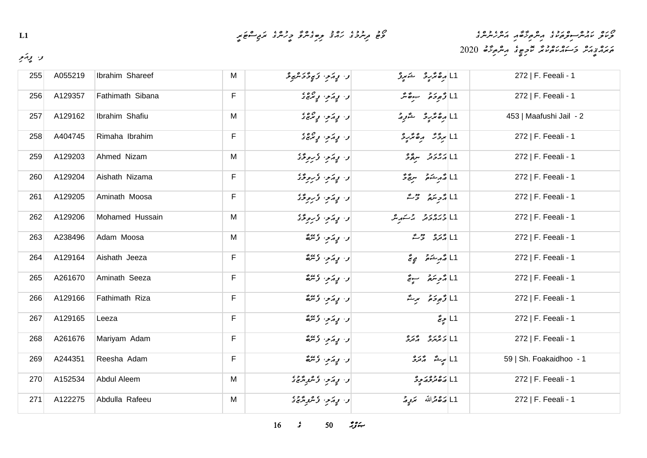*sCw7q7s5w7m< o<n9nOoAw7o< sCq;mAwBoEw7q<m; wBm;vB* م من المرة المرة المرة المرجع المرجع المرجع في 2020<br>مجم*د المريض المرجع المرجع المرجع المرجع المراجع المراجع الم*رجع

| 255 | A055219 | Ibrahim Shareef  | M            | ر ، رٍړۡی کے پِوَوَسُولِو   | L1 مەھم <i>گىي</i> ۇ شىمبى <sup>1</sup> ى   | 272   F. Feeali - 1     |
|-----|---------|------------------|--------------|-----------------------------|---------------------------------------------|-------------------------|
| 256 | A129357 | Fathimath Sibana | F            | ن وٍ دَمَوا وِ مُنْ دَمَ    | L1 <i>وَّجِوَدَة</i> سِب <i>عَةَ مَّ</i> رَ | 272   F. Feeali - 1     |
| 257 | A129162 | Ibrahim Shafiu   | M            | ادا ومكوا ومعاني            | L1 مەھم <i>گىر</i> ئىش <i>رو</i> گە         | 453   Maafushi Jail - 2 |
| 258 | A404745 | Rimaha Ibrahim   | $\mathsf F$  | اد ، پېښو، په پنځ           | L1 بردَّرَ م <i>ەشْر</i> د                  | 272   F. Feeali - 1     |
| 259 | A129203 | Ahmed Nizam      | M            | ادا دٍ په دس وګرونونی       | L1 <i>252.5 سِمَّ</i> و                     | 272   F. Feeali - 1     |
| 260 | A129204 | Aishath Nizama   | $\mathsf F$  | ادا دٍ په دادا و در دولود ک | L1 مەم ئىستىم ئىس ئىستىم                    | 272   F. Feeali - 1     |
| 261 | A129205 | Aminath Moosa    | $\mathsf F$  | والإرتوا وتوقونى            | L1 أُمُّ حِسَنَةً مَصَّصَّ                  | 272   F. Feeali - 1     |
| 262 | A129206 | Mohamed Hussain  | M            | ادا دٍ پَرَمٍ اوْرِهِ وُنَ  | L1 دېرونو برخېږمر                           | 272   F. Feeali - 1     |
| 263 | A238496 | Adam Moosa       | M            | اد . دٍ پرَ دِ ، وَ سَرْه   | $23$ $22$ $11$                              | 272   F. Feeali - 1     |
| 264 | A129164 | Aishath Jeeza    | $\mathsf F$  | ادا وٍ رَمِن وَنَبْهَ       | 1] مُرمِسَمُ وي                             | 272   F. Feeali - 1     |
| 265 | A261670 | Aminath Seeza    | $\mathsf F$  | والإيكوا وتنتظ              | L1 مُرْمِتْهُ بِ مِعَّ                      | 272   F. Feeali - 1     |
| 266 | A129166 | Fathimath Riza   | $\mathsf F$  | ار. وٍ مَنْ وَتَعْبَةُ      | L1 <i>وَّج</i> وحَة مِ سِنَّة               | 272   F. Feeali - 1     |
| 267 | A129165 | Leeza            | $\mathsf{F}$ | والإيكوا وتنتظ              | L1 م <sub>ح</sub> بحً                       | 272   F. Feeali - 1     |
| 268 | A261676 | Mariyam Adam     | $\mathsf{F}$ | ادر ويرو، وعدة              | L1 <i>و</i> يرمرو مجمود                     | 272   F. Feeali - 1     |
| 269 | A244351 | Reesha Adam      | $\mathsf F$  | ادر ويرو، وتنه              | L1  مربعٌ گ <i>ر گرو</i> گر                 | 59   Sh. Foakaidhoo - 1 |
| 270 | A152534 | Abdul Aleem      | M            | ادا وٍمَنْ وَعْدِمَّةً      | L1 <i>مەھىرى بو</i> د                       | 272   F. Feeali - 1     |
| 271 | A122275 | Abdulla Rafeeu   | M            | ن رٍمَن وَعْدِمَى           | L1 مَەھىراللە   مَرَى مَد                   | 272   F. Feeali - 1     |

 $16$  *s* 50  $23$   $\div$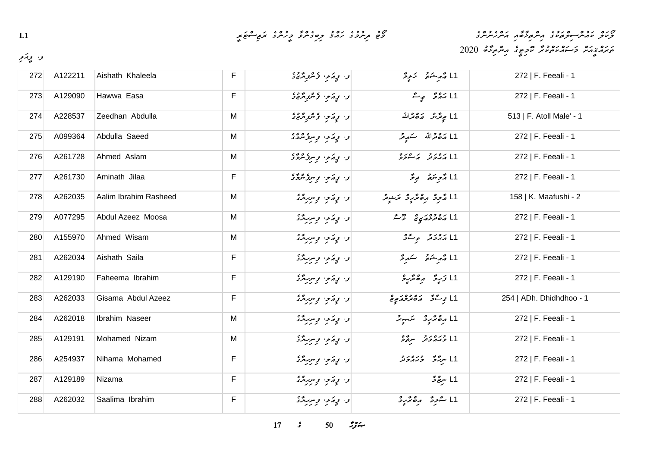*sCw7q7s5w7m< o<n9nOoAw7o< sCq;mAwBoEw7q<m; wBm;vB* م من المرة المرة المرة المرجع المرجع المرجع في 2020<br>مجم*د المريض المرجع المرجع المرجع المرجع المراجع المراجع الم*رجع

| 272 | A122211 | Aishath Khaleela      | F | ن وٍچَی وَعْرِ چُی ا     | L1 مەم شەم ئىچۇ                                    | 272   F. Feeali - 1      |
|-----|---------|-----------------------|---|--------------------------|----------------------------------------------------|--------------------------|
| 273 | A129090 | Hawwa Easa            | F | ار ومرو وعرمي            | L1 ئەبۇق مەت                                       | 272   F. Feeali - 1      |
| 274 | A228537 | Zeedhan Abdulla       | M | ار. دٍمَن ژَمْدِ ژَمَّ   | L1 بومَدَیْتر ک <i>ے گھ</i> تراللّہ                | 513   F. Atoll Male' - 1 |
| 275 | A099364 | Abdulla Saeed         | M | ادا ويموا وسؤندة و       | L1 مَەھقراللە س <i>ەم</i> ەم <i>ت</i>              | 272   F. Feeali - 1      |
| 276 | A261728 | Ahmed Aslam           | M | اد. دٍمَنِ دِسِدْسَمَّةٌ | L1 <i>הُمْ</i> حَمَّدُ مُسْتَخَرَّدُ               | 272   F. Feeali - 1      |
| 277 | A261730 | Aminath Jilaa         | F | اد. ويرو، وسؤلمدة و      | L1 م <i>ُّرْحِ مَعْهُ</i> مِعَّ                    | 272   F. Feeali - 1      |
| 278 | A262035 | Aalim Ibrahim Rasheed | M | اور ويكور وسرائدة        | L1 مَّروڤ مەھە <i>ئرى</i> دۇ ئر <sub>ىشو</sub> تر  | 158   K. Maafushi - 2    |
| 279 | A077295 | Abdul Azeez Moosa     | M | والإمكن وسينكز           | L1 خەمز <i>دە بىغ</i> ق <sup>ەت</sup>              | 272   F. Feeali - 1      |
| 280 | A155970 | Ahmed Wisam           | M | والإمكن وسرامي           | L1 <i>ړېږي و</i> څو                                | 272   F. Feeali - 1      |
| 281 | A262034 | Aishath Saila         | F | والإرتوا وسيدرج          | L1 مەم ئىقتىمە سى <i>م</i> بەقت                    | 272   F. Feeali - 1      |
| 282 | A129190 | Faheema Ibrahim       | F | والإرتوا ومرزادة         | L1 زَرِةَ مِصْدَرِةِ                               | 272   F. Feeali - 1      |
| 283 | A262033 | Gisama Abdul Azeez    | F | والإمكن وسدادة           | 1] ت <sub>ې</sub> شمځ په <i>م</i> صور <i>حرم</i> ي | 254   ADh. Dhidhdhoo - 1 |
| 284 | A262018 | Ibrahim Naseer        | M | اور ويكور وسرائدة        | L1 مەھمەر ئىسىم ئىسىم                              | 272   F. Feeali - 1      |
| 285 | A129191 | Mohamed Nizam         | M | اور ويكور وسريري         | L1 <i>وُبَرُوْدَوْ</i> سِهُوْ                      | 272   F. Feeali - 1      |
| 286 | A254937 | Nihama Mohamed        | F | والإمكن وسرامي           | L1 س <i>رگ</i> وگ وبرورور                          | 272   F. Feeali - 1      |
| 287 | A129189 | Nizama                | F | والإمكان وسرامي          | L1 س <sub>ن</sub> مح مح                            | 272   F. Feeali - 1      |
| 288 | A262032 | Saalima Ibrahim       | F | والإيكن وسرائدة          | L1 ستَعرِدَ م <i>ِ هِ مَدْرِ</i> دْ                | 272   F. Feeali - 1      |

 $17$  *s* 50  $23$   $\div$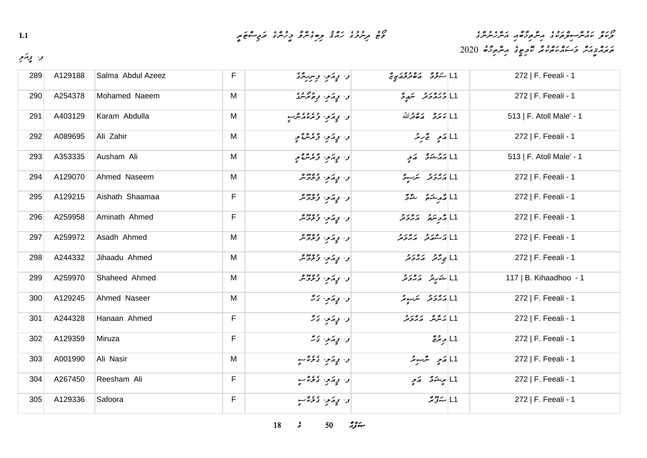*sCw7q7s5w7m< o<n9nOoAw7o< sCq;mAwBoEw7q<m; wBm;vB* م من المرة المرة المرة المرجع المرجع المرجع في 2020<br>مجم*د المريض المرجع المرجع المرجع المرجع المراجع المراجع الم*رجع

| 289 | A129188 | Salma Abdul Azeez | $\mathsf F$ | والإرتوا والرامجة          | L1  سَوْدَ مەھىر <i>ۈم يى</i>     | 272   F. Feeali - 1      |
|-----|---------|-------------------|-------------|----------------------------|-----------------------------------|--------------------------|
| 290 | A254378 | Mohamed Naeem     | M           | وسوچي وه چرخه              | L1 <i>3223 سَمِي</i> ۇ            | 272   F. Feeali - 1      |
| 291 | A403129 | Karam Abdulla     | M           | والإمكوا وتملامها المسا    | L1 يَدَى حَدَّةَ مِدَاللَّه       | 513   F. Atoll Male' - 1 |
| 292 | A089695 | Ali Zahir         | M           | ادا دٍ پهَ دار و پرسه د    | L1 رَمِ بِمَ <i>بِ</i>            | 272   F. Feeali - 1      |
| 293 | A353335 | Ausham Ali        | M           | والمحضر وتمسكم والمحلوب    | L1 <i>مَمْشَوْ مَ</i> مِ          | 513   F. Atoll Male' - 1 |
| 294 | A129070 | Ahmed Naseem      | M           | والإرتماء وفوقاها          | L1 <i>مەندى مەسو</i> ر            | 272   F. Feeali - 1      |
| 295 | A129215 | Aishath Shaamaa   | F           | ادا وٍ په واروژه ک         | L1 مَّەرِ شَمَّةَ شَدَّدَّ        | 272   F. Feeali - 1      |
| 296 | A259958 | Aminath Ahmed     | $\mathsf F$ | والإركب وفحوقهما           | L1 أَمُّ حِسَمَةٌ مَمْهُ حَمْد    | 272   F. Feeali - 1      |
| 297 | A259972 | Asadh Ahmed       | M           | والمحضر والمحصص            | L1 كەشھەر بەرەر                   | 272   F. Feeali - 1      |
| 298 | A244332 | Jihaadu Ahmed     | M           | ادر دٍ پرَمِرِ، وُوُوْمَرُ | L1 م <i>ع رَّقر مَدْوَقر</i> ُ    | 272   F. Feeali - 1      |
| 299 | A259970 | Shaheed Ahmed     | M           | والإرتجاء وفروهر           | L1 خەرى <i>ز مەدەن</i> ر          | 117   B. Kihaadhoo - 1   |
| 300 | A129245 | Ahmed Naseer      | M           | اوس ويمنوس تماثر           | L1  <i>مَدْوَنْزِ</i> - سَرَسِيشْ | 272   F. Feeali - 1      |
| 301 | A244328 | Hanaan Ahmed      | $\mathsf F$ | وسمية كمركز تحارث          | L1 ئەنگەش ئە <i>زدەن</i> ز        | 272   F. Feeali - 1      |
| 302 | A129359 | Miruza            | $\mathsf F$ | اوا وٍړٌی دَرٌ             | L1   <i>ج</i> هندنج               | 272   F. Feeali - 1      |
| 303 | A001990 | Ali Nasir         | M           | ن پېړې د دوسي              | L1 <i>ڇُجِ سُنَ</i> ج <i>ينُ</i>  | 272   F. Feeali - 1      |
| 304 | A267450 | Reesham Ali       | F           | ادا ويركب وكالمعاشي        | 1] <sub>مو</sub> شرو کرم          | 272   F. Feeali - 1      |
| 305 | A129336 | Safoora           | $\mathsf F$ | د ، دٍړَی دُوَای           | L1 يەزىر                          | 272   F. Feeali - 1      |

*18 sC 50 nNw?mS*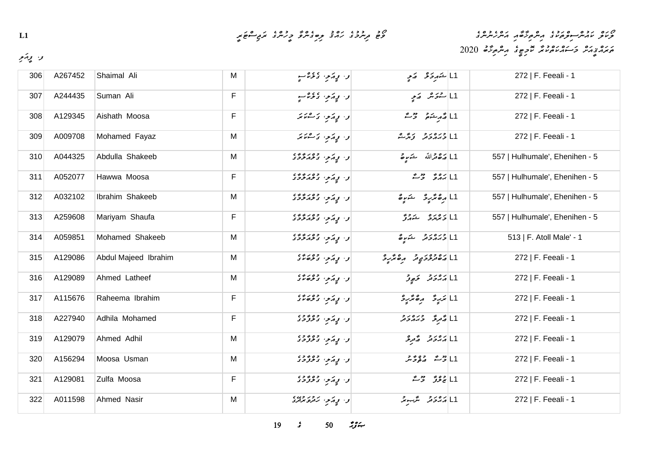*sCw7q7s5w7m< o<n9nOoAw7o< sCq;mAwBoEw7q<m; wBm;vB* م من المرة المرة المرة المرجع المرجع المرجع في 2020<br>مجم*د المريض المرجع المرجع المرجع المرجع المراجع المراجع الم*رجع

| 306 | A267452 | Shaimal Ali          | M           | ار، رٍړَی د د د د ک          | L1 خەرى <i>5ى كى</i> ر                       | 272   F. Feeali - 1            |
|-----|---------|----------------------|-------------|------------------------------|----------------------------------------------|--------------------------------|
| 307 | A244435 | Suman Ali            | F           | ن پېژمه د د د ک              | L1 ڪ <sub>ج</sub> يھ <sub>مگجي</sub>         | 272   F. Feeali - 1            |
| 308 | A129345 | Aishath Moosa        | $\mathsf F$ | والمحضري كالمنافر            | L1 مەم ئەسىم ئەسىم                           | 272   F. Feeali - 1            |
| 309 | A009708 | Mohamed Fayaz        | M           | والمحضرة كالمستمكين          | L1  <i>دېن</i> درور زېژىنه                   | 272   F. Feeali - 1            |
| 310 | A044325 | Abdulla Shakeeb      | M           | والإمكن المصرووي             | L1 مَەھىراللە خىر <i>ە</i>                   | 557   Hulhumale', Ehenihen - 5 |
| 311 | A052077 | Hawwa Moosa          | $\mathsf F$ | و٠ وٍ ٦ د ٢ د ٢ د ٢ د ٢      | $23$ $32$ $L1$                               | 557   Hulhumale', Ehenihen - 5 |
| 312 | A032102 | Ibrahim Shakeeb      | M           | ادا وٍ پَرَمَ الْمُحْمَدُونَ | L1 م <i>وھنڑرو خوری</i>                      | 557   Hulhumale', Ehenihen - 5 |
| 313 | A259608 | Mariyam Shaufa       | $\mathsf F$ | و٠ وٍ ړَی وَ وَ د وَ وَ      | L1 <i>وَبُرْدُوْ</i> هُ دَوَرٌ               | 557   Hulhumale', Ehenihen - 5 |
| 314 | A059851 | Mohamed Shakeeb      | M           | ر په ده ده دوه ده            | L1 <i>وَبَرْهُ دَوَ</i> تَرَ شَرَ <i>ّبٍ</i> | 513   F. Atoll Male' - 1       |
| 315 | A129086 | Abdul Majeed Ibrahim | M           | ن وٍ مَسْ وَوَرَهِ وَ        | L1 رەدەرى <sub>چە مەھ</sub> رىد              | 272   F. Feeali - 1            |
| 316 | A129089 | Ahmed Latheef        | M           | وسومنوس وورده                | L1 <i>גَ بَدْوَنْ وَجِ</i> وْ                | 272   F. Feeali - 1            |
| 317 | A115676 | Raheema Ibrahim      | F           | و٠ وٍ ړَی وی وه ده           | L1 <i>بَدَي</i> رِ دَ مِنْ مِرْرِدْ          | 272   F. Feeali - 1            |
| 318 | A227940 | Adhila Mohamed       | $\mathsf F$ | و٠ وٍ پَرَمٍ ٤ ووُووه        | L1 مەمبۇ ئەيرە دىر                           | 272   F. Feeali - 1            |
| 319 | A129079 | Ahmed Adhil          | M           | و٠ وٍ پَرَمٍ ٤ ووووو         | L1 كەردى گەرى                                | 272   F. Feeali - 1            |
| 320 | A156294 | Moosa Usman          | M           | ن پېښې د ووځ ده              | L1 ترقیقہ مقومتیں                            | 272   F. Feeali - 1            |
| 321 | A129081 | Zulfa Moosa          | F           | ن پېړې د وووده               | $23$ $33$ $11$                               | 272   F. Feeali - 1            |
| 322 | A011598 | Ahmed Nasir          | M           | ا و و پرس روز دوه            | L1 رَجْرَدَتْرَ - مَرْسِدَتْرَ               | 272   F. Feeali - 1            |

*19 sC 50 nNw?mS*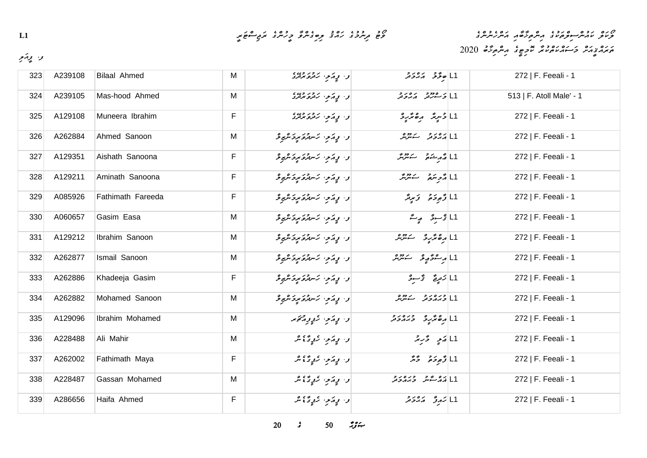*sCw7q7s5w7m< o<n9nOoAw7o< sCq;mAwBoEw7q<m; wBm;vB* م من المرة المرة المرة المرجع المرجع المرجع في 2020<br>مجم*د المريض المرجع المرجع المرجع المرجع المراجع المراجع الم*رجع

| 323 | A239108 | <b>Bilaal Ahmed</b> | M           | و٠ وٍ ٦ و٠ رَوْرَ وَ٥                 | L1 ھۇتى ئە <i>ندى</i> تىر            | 272   F. Feeali - 1      |
|-----|---------|---------------------|-------------|---------------------------------------|--------------------------------------|--------------------------|
| 324 | A239105 | Mas-hood Ahmed      | M           | و٠ وٍ ړَی رَترو پروه                  | L1 كەسىرتىر كەبروتىر                 | 513   F. Atoll Male' - 1 |
| 325 | A129108 | Muneera Ibrahim     | $\mathsf F$ | و . و پرس رور ور .                    | L1 دُسِهً <i>ز م</i> ِهْتَرْبِهْ     | 272   F. Feeali - 1      |
| 326 | A262884 | Ahmed Sanoon        | M           | ار، وٍمَنْ سَعْدَهُ مِنْ مَعْهِ وَ    | L1 رَجْرَة مَرْتَقَرْبَسْر           | 272   F. Feeali - 1      |
| 327 | A129351 | Aishath Sanoona     | F           | ار، وٍمَنِ، رَسِيْرَةَ بِرِةَ سُهِ وَ | L1 مەم ئىشقى ئىستىتىر                | 272   F. Feeali - 1      |
| 328 | A129211 | Aminath Sanoona     | $\mathsf F$ | والمحمر والمستركة بركائبها فليستخرج   | L1 مُ <i>جِبنَهُ سَنَ</i> تَرْ مُرَ  | 272   F. Feeali - 1      |
| 329 | A085926 | Fathimath Fareeda   | F           | و- وٍمَنْ سَيَرْوَيْرِدَسْ وَ         | L1 تَ <i>وْجِ</i> حَةً تَرَمِيَّةً   | 272   F. Feeali - 1      |
| 330 | A060657 | Gasim Easa          | M           | ار، إركاب كالمعروكية وكلي و           | L1 <i>ڈیوڈ پر</i> گ                  | 272   F. Feeali - 1      |
| 331 | A129212 | Ibrahim Sanoon      | M           | ار، رِمَنِ سَرْمَ بِرَسَمَّةِ وَ      | L1 مەھ <i>مگرى</i> ئەسىر سىر         | 272   F. Feeali - 1      |
| 332 | A262877 | Ismail Sanoon       | M           | ار، رِمَنِ سَرْمَهُ بِرِدَسْءِ وَ     | L1 م <sub>ە</sub> سىمۇمەتتى سىتىرىتى | 272   F. Feeali - 1      |
| 333 | A262886 | Khadeeja Gasim      | F           | ار، وٍړَی رَسِرْوَبِرِوَسُ وِ         | L1 زَمِرِجٌ گَرِّرِگُ                | 272   F. Feeali - 1      |
| 334 | A262882 | Mohamed Sanoon      | M           | وا ومكوا كالملكوكوكاللجاني            | L1  <i>دېزو دو</i> سک <i>يټر</i> ش   | 272   F. Feeali - 1      |
| 335 | A129096 | Ibrahim Mohamed     | M           | وسومنوس ترويمنى                       | L1 مەھمەر <i>250.000</i>             | 272   F. Feeali - 1      |
| 336 | A228488 | Ali Mahir           | M           | ادا وٍمَنوا رُوٍ وُلاَ                | 1] <i>مَي</i> وَرِيمَ                | 272   F. Feeali - 1      |
| 337 | A262002 | Fathimath Maya      | $\mathsf F$ | ادا وٍمَنْ رَوِيٌّ مَنْ               | L1 <i>وَّج</i> وحَمَّ حَمَّدُ        | 272   F. Feeali - 1      |
| 338 | A228487 | Gassan Mohamed      | M           | ادا وٍمَعٍا رَوٍ دُنَةٍ مَ            | L1 زور مشتر دره در د                 | 272   F. Feeali - 1      |
| 339 | A286656 | Haifa Ahmed         | F           | ن پېړو، د پرنۍ چې                     | L1 <i>تەبۇ مەدەن</i> ر               | 272   F. Feeali - 1      |

 $20$  *s* 50  $29$   $\div$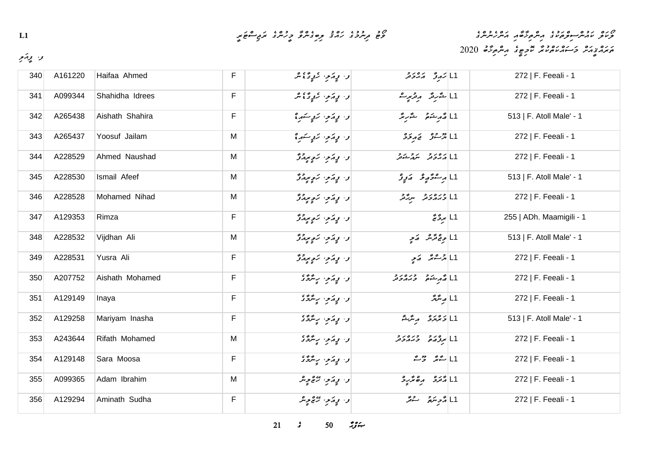*sCw7q7s5w7m< o<n9nOoAw7o< sCq;mAwBoEw7q<m; wBm;vB* م من المرة المرة المرة المرجع المرجع المرجع في 2020<br>مجم*د المريض المرجع المرجع المرجع المرجع المراجع المراجع الم*رجع

| 340 | A161220 | Haifaa Ahmed    | F           | اور ويرموا ريوچ؟ عر                            | L1 <i>تەبۇ مەدى ھى</i>                                                     | 272   F. Feeali - 1      |
|-----|---------|-----------------|-------------|------------------------------------------------|----------------------------------------------------------------------------|--------------------------|
| 341 | A099344 | Shahidha Idrees | $\mathsf F$ | $\left  \psi \right\rangle _{i}^{i}$ و. دېږي ش | L1 ڪُريگر پري <i>گريٽ</i>                                                  | 272   F. Feeali - 1      |
| 342 | A265438 | Aishath Shahira | $\mathsf F$ | ادا دٍ پڻوا ڪريڪري                             | L1 مەم ئىققى ئىق بەشتىر                                                    | 513   F. Atoll Male' - 1 |
| 343 | A265437 | Yoosuf Jailam   | M           | ادا دٍ په دس کرد کرد ؟                         | L1 بر وه و مح بر بحر محمد السلطانية السلطانية<br>السلطانية                 | 272   F. Feeali - 1      |
| 344 | A228529 | Ahmed Naushad   | M           | اور ومكور كالمحيرة في                          | L1 كەبرى ئىرگىنىدىش                                                        | 272   F. Feeali - 1      |
| 345 | A228530 | Ismail Afeef    | M           | و٠ وٍړَی رَ <sub>مٍ مِه</sub> رُوٌ             | L1 <sub>م</sub> رىدۇر بۇ م <i>ۇرۇ</i>                                      | 513   F. Atoll Male' - 1 |
| 346 | A228528 | Mohamed Nihad   | M           | اوا وٍ رَبِّ رَبِّ بِرَ رُبِّ رَبِّ            | L1  <i>32,25 مرت</i> قر                                                    | 272   F. Feeali - 1      |
| 347 | A129353 | Rimza           | F           | وا ومكوا كوميلائي                              | L1 برد <sup>م</sup> چ                                                      | 255   ADh. Maamigili - 1 |
| 348 | A228532 | Vijdhan Ali     | M           | اور ومكور كالمحيرة في                          | L1 <sub>ح</sub> وص گرم کرم کرد کرد.<br>استاد الله علم کرد کرد کرد کرد کرد. | 513   F. Atoll Male' - 1 |
| 349 | A228531 | Yusra Ali       | $\mathsf F$ | اور وٍ مَرَوٍ، رَوِيرِ مُرَّوَّ                | L1 پر شهر په <sub>م</sub> و                                                | 272   F. Feeali - 1      |
| 350 | A207752 | Aishath Mohamed | $\mathsf F$ | ادا وٍ په دادار مورد کا                        | L1 مەمۇم <i>دىمەدىر</i>                                                    | 272   F. Feeali - 1      |
| 351 | A129149 | Inaya           | F           | والإمكن بالمردوع                               | L1 م <i>ی</i> ترنگر                                                        | 272   F. Feeali - 1      |
| 352 | A129258 | Mariyam Inasha  | $\mathsf F$ | ن وٍ پَرَو، رِسُمَّةٌ وَ                       | L1 دېرمرو م <i>ې</i> رشته                                                  | 513   F. Atoll Male' - 1 |
| 353 | A243644 | Rifath Mohamed  | M           | ادا وٍ په داداروی                              | L1 بروره وره در و                                                          | 272   F. Feeali - 1      |
| 354 | A129148 | Sara Moosa      | F           | ن پېښې په پنځه                                 | $23$ $22$ $ 11$                                                            | 272   F. Feeali - 1      |
| 355 | A099365 | Adam Ibrahim    | M           | ادا وٍ مَرَمٍ السَّيْءِ مِسْ                   | L1 أ <i>مُّترَدُ م</i> ِ صُ <i>رَّرٍ دُ</i>                                | 272   F. Feeali - 1      |
| 356 | A129294 | Aminath Sudha   | F           | وا وٍ مَرَمٍ السَّيْءِ مِسْ                    | L1 مَّ حِ سَمَّةٌ مَسَّمَّدٌ                                               | 272   F. Feeali - 1      |

 $21$  *s* 50  $23$   $\div$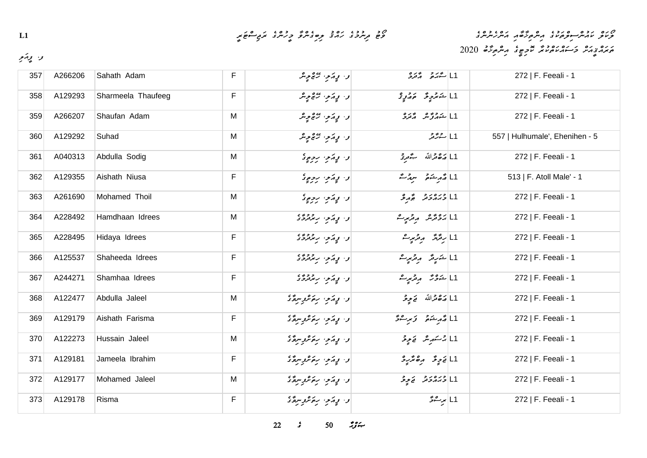*sCw7q7s5w7m< o<n9nOoAw7o< sCq;mAwBoEw7q<m; wBm;vB* م من المرة المرة المرة المرجع المرجع المرجع في 2020<br>مجم*د المريض المرجع المرجع المرجع المرجع المراجع المراجع الم*رجع

| 357 | A266206 | Sahath Adam        | $\mathsf F$  | اور ويرتوا تنقي ويثر  | L1 گەبر بە ئەندى                              | 272   F. Feeali - 1            |
|-----|---------|--------------------|--------------|-----------------------|-----------------------------------------------|--------------------------------|
| 358 | A129293 | Sharmeela Thaufeeg | $\mathsf{F}$ | اور ويرتموا بيهج ويثر | L1 ڪنر <i>چوڭ مَهُوپ</i> ۇ                    | 272   F. Feeali - 1            |
| 359 | A266207 | Shaufan Adam       | M            | والمحضر والمحافية     | L1 شەرىق مەمر <i>ە</i>                        | 272   F. Feeali - 1            |
| 360 | A129292 | Suhad              | M            | ادا ويروا تنفوش       | L1 سترتعر                                     | 557   Hulhumale', Ehenihen - 5 |
| 361 | A040313 | Abdulla Sodig      | M            | اور ويمنوا روموتى     | L1 مَەھىراللە س <sup>ە</sup> مرتى             | 272   F. Feeali - 1            |
| 362 | A129355 | Aishath Niusa      | $\mathsf F$  | وسوچو روه د           | L1 مَّہرِ مَنَّعْوَ سِہ <sup>ر</sup> ُتَّ     | 513   F. Atoll Male' - 1       |
| 363 | A261690 | Mohamed Thoil      | M            | اور ومکور روه و       | L1 دېم دې په پورې                             | 272   F. Feeali - 1            |
| 364 | A228492 | Hamdhaan Idrees    | M            | ادا وٍ ړوا ریژوده     | L1 ئەۋقەم مەق <i>رىپ</i> م                    | 272   F. Feeali - 1            |
| 365 | A228495 | Hidaya Idrees      | F            | ادا وٍ په دار بردده د | L1 بەشق مەش <i>ەب</i> ەشقە                    | 272   F. Feeali - 1            |
| 366 | A125537 | Shaheeda Idrees    | $\mathsf{F}$ | او٠ وٍ پرو ریزوده     | L1 ڪَرِيَّرُ <sub>م</sub> ِيْرَمِّرِيْتُ      | 272   F. Feeali - 1            |
| 367 | A244271 | Shamhaa Idrees     | $\mathsf F$  | اد وړي رنډنډه         | L1 شۇرمىتە مەزىرىشە                           | 272   F. Feeali - 1            |
| 368 | A122477 | Abdulla Jaleel     | M            | ادا ويكوا رەكروسۇكى   | L1 ش&قرالله ق <sub>ح</sub> وٍخر               | 272   F. Feeali - 1            |
| 369 | A129179 | Aishath Farisma    | $\mathsf F$  | ادا ويكوا رەكروسۇكى   | L1 مەم ئىقتىمە ئەس ئىر شە <del>ئە</del>       | 272   F. Feeali - 1            |
| 370 | A122273 | Hussain Jaleel     | M            | وسوميوس سوعوسومي      | L1 پژسمبر کا کار تھا۔<br>ا                    | 272   F. Feeali - 1            |
| 371 | A129181 | Jameela Ibrahim    | $\mathsf F$  | وسوميوس سوعروسرومي    | L1  <sub>قک</sub> رٍوَّ م <i>ِ®مَّرْرٍ</i> وْ | 272   F. Feeali - 1            |
| 372 | A129177 | Mohamed Jaleel     | M            | اوسوپەر بەتەرەپەتى    | L1 <i>ۇنەۋەتى ق</i> وتۇ                       | 272   F. Feeali - 1            |
| 373 | A129178 | Risma              | F            | و٠ وٍړَو، روکورسرونو  | L1 برگ <sup>و</sup> گ                         | 272   F. Feeali - 1            |

*22 sC 50 nNw?mS*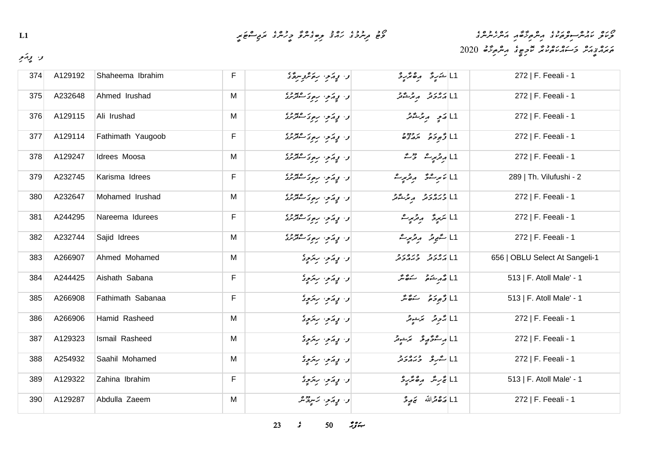*sCw7q7s5w7m< o<n9nOoAw7o< sCq;mAwBoEw7q<m; wBm;vB* م من المرة المرة المرة المرجع المرجع المرجع في 2020<br>مجم*د المريض المرجع المرجع المرجع المرجع المراجع المراجع الم*رجع

| 374 | A129192 | Shaheema Ibrahim  | F           | ن پېړو، رېږو برېږ                                                                                              | L1 ڪَرِدُ مِ®مَّرِدُ                         | 272   F. Feeali - 1            |
|-----|---------|-------------------|-------------|----------------------------------------------------------------------------------------------------------------|----------------------------------------------|--------------------------------|
| 375 | A232648 | Ahmed Irushad     | M           | او . و پرکو ، سعود کارود کارود کارود کارود کارود کارود کارود کارود کارود کارود کارود کارود کارود کارود کارود ک | L1 رَبَرْدَتَرَ بِرَبَّرْشَةَتَر             | 272   F. Feeali - 1            |
| 376 | A129115 | Ali Irushad       | M           | ن پوړې ر <sub>و</sub> ړ موره ده                                                                                | L1 <i>مَنْجِهِ مِعْنَ مِنْ</i> مَ            | 272   F. Feeali - 1            |
| 377 | A129114 | Fathimath Yaugoob | $\mathsf F$ | و . و پرسو ، سوئ ستفرس                                                                                         | L1 ژُجِ دَمَ مَرْرَةٍ وَ                     | 272   F. Feeali - 1            |
| 378 | A129247 | Idrees Moosa      | M           | و . و پرس سعوی مستقر ده                                                                                        | L1 <sub>ا</sub> ریزید شقیقی می               | 272   F. Feeali - 1            |
| 379 | A232745 | Karisma Idrees    | F           | و٠ وٍ پرَمو، ر <sub>ە ت</sub> ەرىبود ،                                                                         | L1 <i>مَبْرِسْدَةً و</i> ِمْرَبِّرِسْهُ      | 289   Th. Vilufushi - 2        |
| 380 | A232647 | Mohamed Irushad   | M           | و . و مرکز ، سعود کاروری                                                                                       | L1 <i>ڈبرویز پریش</i> ور                     | 272   F. Feeali - 1            |
| 381 | A244295 | Nareema Idurees   | F           | و . و پرسو، سعود محمد ده و .<br>د او د برسود محمد محمد محمد در د                                               | L1 سَرِيرةَ م <i>عرَّم</i> ِي <sup>م</sup> َ | 272   F. Feeali - 1            |
| 382 | A232744 | Sajid Idrees      | M           | و . و پرس مور معدو ،                                                                                           | L1 سٹھویٹر پریٹر <i>یپ</i> سے                | 272   F. Feeali - 1            |
| 383 | A266907 | Ahmed Mohamed     | M           | اور ويرتور ستروي                                                                                               | 1] رورو ورەرو                                | 656   OBLU Select At Sangeli-1 |
| 384 | A244425 | Aishath Sabana    | F           | وا وٍ مَنْ الرَّمَوِيُّ                                                                                        | L1 مەم ئىككەنگە ئىسكەنگە                     | 513   F. Atoll Male' - 1       |
| 385 | A266908 | Fathimath Sabanaa | F           | والمحفظ بالمروي                                                                                                | L1 <i>وُجوح</i> و مُتَوَسَّرَ                | 513   F. Atoll Male' - 1       |
| 386 | A266906 | Hamid Rasheed     | M           | والإرتوا بالروع                                                                                                | L1  بَرُوِيْرُ بِمَسْوِيْرُ                  | 272   F. Feeali - 1            |
| 387 | A129323 | Ismail Rasheed    | M           | اور ويكور بالروي                                                                                               | 1] <sub>م</sub> رشۇم <sub>ۇ</sub> تەسىر      | 272   F. Feeali - 1            |
| 388 | A254932 | Saahil Mohamed    | M           | اور ويكور بالركوبي                                                                                             | L1 سترىۋ ت <i>ەندەند</i>                     | 272   F. Feeali - 1            |
| 389 | A129322 | Zahina Ibrahim    | F           | والمحفظ بالمروي                                                                                                | L1 ئ <sub>ى</sub> رىتر ب <i>ەھترى</i> رو     | 513   F. Atoll Male' - 1       |
| 390 | A129287 | Abdulla Zaeem     | M           | ن پېړنو، رسيږچم                                                                                                | L1 رَحْمَدْاللَّهُ بَحَ مِ <sub>ي</sub> ْحَ  | 272   F. Feeali - 1            |

*23 sC 50 nNw?mS*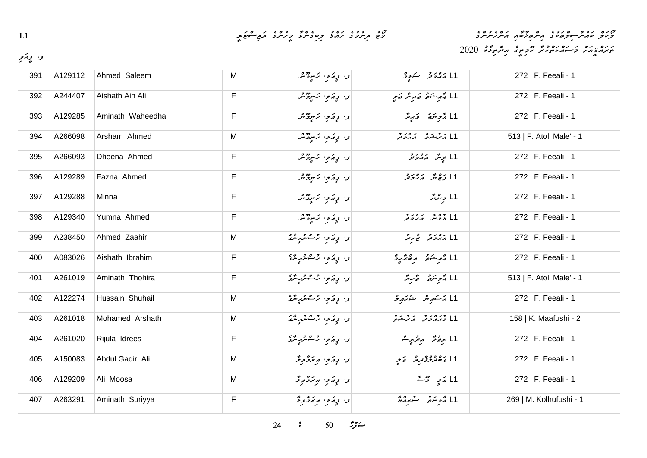*sCw7q7s5w7m< o<n9nOoAw7o< sCq;mAwBoEw7q<m; wBm;vB* م من المرة المرة المرة المرجع المرجع المرجع في 2020<br>مجم*د المريض المرجع المرجع المرجع المرجع المراجع المراجع الم*رجع

| 391 | A129112 | Ahmed Saleem     | M           | ن پېړو، رسيږي                | L1 <i>222 سكو</i> د                   | 272   F. Feeali - 1      |
|-----|---------|------------------|-------------|------------------------------|---------------------------------------|--------------------------|
| 392 | A244407 | Aishath Ain Ali  | F           | ن پېړي رسيږ <i>مبر</i>       | L1 مُەمشەم م <i>ەم</i> ەش م <i>ەي</i> | 272   F. Feeali - 1      |
| 393 | A129285 | Aminath Waheedha | F           | وا وٍمَرَمٍا رَسٍوْسٌ        | L1 مَّ حِ سَمَّةً = حَ رِ مَّدَ       | 272   F. Feeali - 1      |
| 394 | A266098 | Arsham Ahmed     | M           | و. وٍ ړَی رَسِروه            | L1 كەيرىشكى كەردىر                    | 513   F. Atoll Male' - 1 |
| 395 | A266093 | Dheena Ahmed     | F           | او، وٍ ړُئو، رُسٍرونگر       | L1 م <sub>ی</sub> نڈ پر میں تھیں کی   | 272   F. Feeali - 1      |
| 396 | A129289 | Fazna Ahmed      | F           | اد ، وٍ ړَی رَسرچم           | L1 زېږ پر پرديز                       | 272   F. Feeali - 1      |
| 397 | A129288 | Minna            | F           | اد ، پېړو، رسېږيز            | L1 <sub>حب</sub> شرینگه               | 272   F. Feeali - 1      |
| 398 | A129340 | Yumna Ahmed      | F           | اد ، پېړو، رسېږمه            | L1 پرونگر برورو                       | 272   F. Feeali - 1      |
| 399 | A238450 | Ahmed Zaahir     | M           | و٠ وٍ ٦ مَرْ رَ مُسْمَرِسٌ   | L1 <i>مەندى قىم بى</i> ر              | 272   F. Feeali - 1      |
| 400 | A083026 | Aishath Ibrahim  | F           | اد. دٍ پرَ دِ رَ شَمَرِ مَنْ | L1 مەم ئىقتى مەھمەر ئى                | 272   F. Feeali - 1      |
| 401 | A261019 | Aminath Thohira  | $\mathsf F$ | ار، وړی را ده پرېند          | L1 مَّ حِسَمَةً مَحْ سِمَّهُ          | 513   F. Atoll Male' - 1 |
| 402 | A122274 | Hussain Shuhail  | M           | و٠ وٍ ٦ مَرْ رَ مُسْمَرِسٌ   | L1 پرسکوپٹر ہے <i>ترک</i> ویٹر        | 272   F. Feeali - 1      |
| 403 | A261018 | Mohamed Arshath  | M           | ن پەيمە ئەسىرىتى             | L1 دېره د د مخمشمو                    | 158   K. Maafushi - 2    |
| 404 | A261020 | Rijula Idrees    | F           | ار، وړی رژے شریک             | L1 برقمومحر مرمزمو <sup>م</sup>       | 272   F. Feeali - 1      |
| 405 | A150083 | Abdul Gadir Ali  | M           | ار، وٍړَی ریزدُودٌ           | L1   رە دوغ برىز   م <i>ەي</i> ج      | 272   F. Feeali - 1      |
| 406 | A129209 | Ali Moosa        | M           | والإمكن مغرقوق               | L1 <sub>أ</sub> رَم و حيث             | 272   F. Feeali - 1      |
| 407 | A263291 | Aminath Suriyya  | F           | والإمكن مغرقوق               | L1 مُرْحِسَةً شَمْرِمْتُرْ            | 269   M. Kolhufushi - 1  |

*24 sC 50 nNw?mS*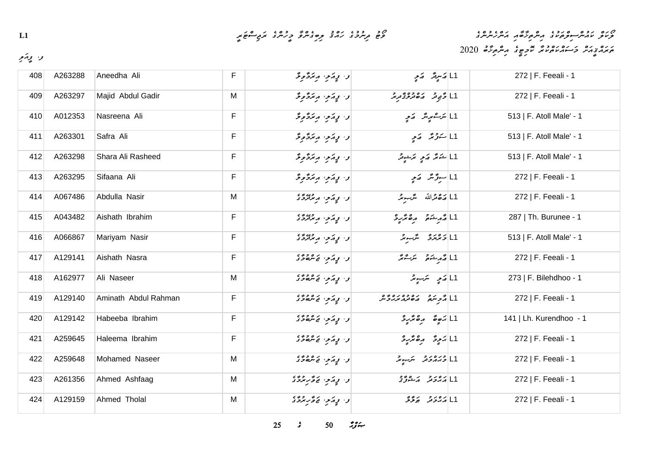*sCw7q7s5w7m< o<n9nOoAw7o< sCq;mAwBoEw7q<m; wBm;vB* م من المرة المرة المرة المرجع المرجع المرجع في 2020<br>مجم*د المريض المرجع المرجع المرجع المرجع المراجع المراجع الم*رجع

| 408 | A263288 | Aneedha Ali          | $\mathsf F$  | وا وٍمَنْ مِعَرَّوَةٌ       | L1 أ <i>مَ</i> سِمَّد مَعٍ             | 272   F. Feeali - 1      |
|-----|---------|----------------------|--------------|-----------------------------|----------------------------------------|--------------------------|
| 409 | A263297 | Majid Abdul Gadir    | M            | ادا دٍ پرَسٍ پریگورنٌ       | L1 حُّەمِرْ مَەھىر <i>ئىتى بىرى</i> مە | 272   F. Feeali - 1      |
| 410 | A012353 | Nasreena Ali         | F            | ادا دٍ پرَوا پرَ پُروُوِ وَ | L1 مَرَسْمبِسَّر   رَمِ                | 513   F. Atoll Male' - 1 |
| 411 | A263301 | Safra Ali            | $\mathsf F$  | ادا وٍمَنْ مِعَدَّوِدٌ      | L1 ستۇنىڭ كەي <u>ج</u>                 | 513   F. Atoll Male' - 1 |
| 412 | A263298 | Shara Ali Rasheed    | $\mathsf F$  | ن پېښو، مختوفو              | L1 شَمَعٌ ضَعٍ مَرْشِيْتُر             | 513   F. Atoll Male' - 1 |
| 413 | A263295 | Sifaana Ali          | F            | والإمكن مغرقوق              | L1 سوژنڈ کھیے                          | 272   F. Feeali - 1      |
| 414 | A067486 | Abdulla Nasir        | M            | و . و پرس پر پروه د .       | L1 مَەھمَّدَاللَّهُ مَمَّرْجِعَّہُ     | 272   F. Feeali - 1      |
| 415 | A043482 | Aishath Ibrahim      | $\mathsf F$  | و . و پرس پر پروه د .       | L1 مُصِنْعَة صِرْوَة بِهِ              | 287   Th. Burunee - 1    |
| 416 | A066867 | Mariyam Nasir        | F            | و . و پرس پر پرس ده         | L1 <i>خىرىدۇ</i> س <i>ىب</i> ىرىم      | 513   F. Atoll Male' - 1 |
| 417 | A129141 | Aishath Nasra        | F            | والمحمد والمعادي            | L1 مەم ئىسىم ئىس ئىسىمگىر              | 272   F. Feeali - 1      |
| 418 | A162977 | Ali Naseer           | M            | والمحرم والمعادي            | L1 <i>مک</i> و مک <i>ربوم</i> گر       | 273   F. Bilehdhoo - 1   |
| 419 | A129140 | Aminath Abdul Rahman | F            | و. وٍ مَرِ وَ عَسْهُ وَ وَ  | 1] مُرْحِسِمِ مُصْرِمْ مُرْمَرْ مِنْ   | 272   F. Feeali - 1      |
| 420 | A129142 | Habeeba Ibrahim      | $\mathsf F$  | والإمكن في المعافرى         | 5, 2, 8, 8                             | 141   Lh. Kurendhoo - 1  |
| 421 | A259645 | Haleema Ibrahim      | $\mathsf{F}$ | والمحمد والمعادي            | L1 بَرْجِعٌ مِنْ مِرْجِعٌ              | 272   F. Feeali - 1      |
| 422 | A259648 | Mohamed Naseer       | M            | والمحرم والمعادي            | L1 <i>دې ده د ترس</i> ونژ              | 272   F. Feeali - 1      |
| 423 | A261356 | Ahmed Ashfaag        | M            | الا ولمكن فأقر فيفاد        | L1  پروتر پر شو <i>ڑی</i>              | 272   F. Feeali - 1      |
| 424 | A129159 | Ahmed Tholal         | M            | ادا وٍ مَنْ وَعَ مُعَدَّدٌ  | L1 <i>ړې دي پروگ</i> و                 | 272   F. Feeali - 1      |

 $25$  *s*  $50$   $25$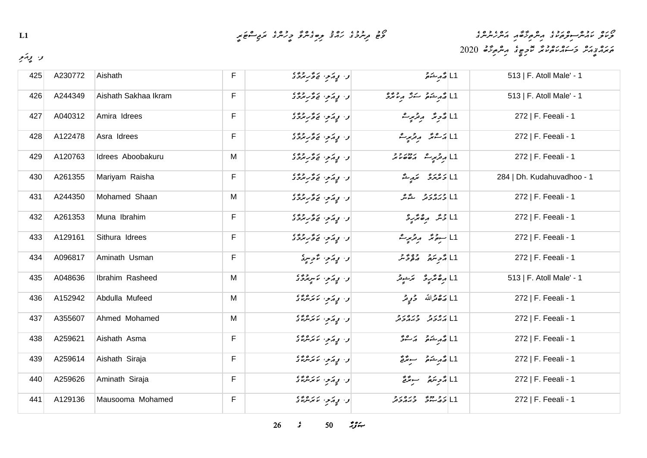*sCw7q7s5w7m< o<n9nOoAw7o< sCq;mAwBoEw7q<m; wBm;vB* م من المرة المرة المرة المرجع المرجع المرجع في 2020<br>مجم*د المريض المرجع المرجع المرجع المرجع المراجع المراجع الم*رجع

| 425 | A230772 | Aishath              | F | وسومي فأقرحهم                    | L1 مۇرىئەت <sub>م</sub>                | 513   F. Atoll Male' - 1   |
|-----|---------|----------------------|---|----------------------------------|----------------------------------------|----------------------------|
| 426 | A244349 | Aishath Sakhaa Ikram | F | الا ولمكوا فأقرحوه               | L1 مەم ئىقتىمى ئىك مەم ئىرى            | 513   F. Atoll Male' - 1   |
| 427 | A040312 | Amira Idrees         | F | ادا وٍ مَرْمٍ الْمَوَارِ مَرْدًى | L1 مَّرْمِتَر مِتْرَمِرِ مَّ           | 272   F. Feeali - 1        |
| 428 | A122478 | Asra Idrees          | F | والمحفظ والمتحفظ والمحفظ         | L1  پرَسْمَتَر بِرِمْرِيبْ             | 272   F. Feeali - 1        |
| 429 | A120763 | Idrees Aboobakuru    | M | و ، وٍمَو، وَعَرَ رَوْء          | L1 روس دور و د                         | 272   F. Feeali - 1        |
| 430 | A261355 | Mariyam Raisha       | F | الا ويركب فأقر بمحدد             | L1 <i>وَ بُرْمَرْ بِمَ</i> مِيشَ       | 284   Dh. Kudahuvadhoo - 1 |
| 431 | A244350 | Mohamed Shaan        | M | الاستجارة والمتحار بمردى         | L1 <i>ۋېرو دۆ</i> شەھر                 | 272   F. Feeali - 1        |
| 432 | A261353 | Muna Ibrahim         | F | والإمكن فأقربهم                  | L1 دْيَرْ مِ <b>عْ</b> جْرِدْ          | 272   F. Feeali - 1        |
| 433 | A129161 | Sithura Idrees       | F | وسومنوس فأقربتهم                 | L1 سو <i>مۇنگە</i> برى <i>ڭزىر</i> ىشە | 272   F. Feeali - 1        |
| 434 | A096817 | Aminath Usman        | F | اور ومكور الأوسط                 | L1 مُجِسَعَ مَقْرَصْرَ                 | 272   F. Feeali - 1        |
| 435 | A048636 | Ibrahim Rasheed      | M | اور ومرو، مستدوق                 | L1 مِر <i>ە مُزْرِدْ مَرَسِ</i> مْر    | 513   F. Atoll Male' - 1   |
| 436 | A152942 | Abdulla Mufeed       | M | والمجامر والمراولات              | L1 كەھەراللە   ق.مومتر                 | 272   F. Feeali - 1        |
| 437 | A355607 | Ahmed Mohamed        | M | والمجامرة المتمامين              | L1  <i>ג' פיצי יציא פיפ</i> ע          | 272   F. Feeali - 1        |
| 438 | A259621 | Aishath Asma         | F | الأرابية والمتحافظة              | L1 مۇم ھۇم ئەركىنى ئىس                 | 272   F. Feeali - 1        |
| 439 | A259614 | Aishath Siraja       | F | اور ومزوا المترام وه             | L1 رچم شوَمَع مَ سِعْرَةً              | 272   F. Feeali - 1        |
| 440 | A259626 | Aminath Siraja       | F | ن وٍمَنْ مَتَرَسْرَةٌ وَ         | L1 مُ <i>جِبنَهُ</i> سِبَنَّةً         | 272   F. Feeali - 1        |
| 441 | A129136 | Mausooma Mohamed     | F | الأراديمي للمرادوق               | 1] زړه دوه دره دره                     | 272   F. Feeali - 1        |

 $26$  *s* 50  $25$   $\div$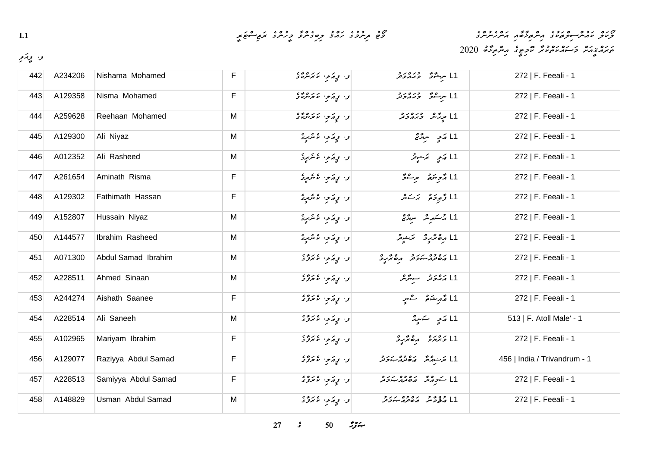*sCw7q7s5w7m< o<n9nOoAw7o< sCq;mAwBoEw7q<m; wBm;vB* م من المرة المرة المرة المرجع المرجع المرجع في 2020<br>مجم*د المريض المرجع المرجع المرجع المرجع المراجع المراجع الم*رجع

| 442 | A234206 | Nishama Mohamed     | F | ن وٍ مَنْ مَعَسْرَةٌ وَ      | L1 س شَرَّقَ وَبَرَهُ وَبَرْ                  | 272   F. Feeali - 1          |
|-----|---------|---------------------|---|------------------------------|-----------------------------------------------|------------------------------|
| 443 | A129358 | Nisma Mohamed       | F | وسوخر مترسما                 | L1 سرگەمى ئەممىر ئەرەپىر                      | 272   F. Feeali - 1          |
| 444 | A259628 | Reehaan Mohamed     | M | والمجامر والمتمامين          | L1 بریمبر <i>محدود و</i>                      | 272   F. Feeali - 1          |
| 445 | A129300 | Ali Niyaz           | M | اوا وٍمَنوا الأنترنيز        | 1] <i>مَ</i> مِ سِرَّج                        | 272   F. Feeali - 1          |
| 446 | A012352 | Ali Rasheed         | M | ار، رٍمَنِ المعمولا          | 1] ر <sub>َم</sub> حٍ بَرَ <sub>ّسُو</sub> رٌ | 272   F. Feeali - 1          |
| 447 | A261654 | Aminath Risma       | F | ن وٍ مَنْ المَسْرِئَ         | L1 مَّ حِسَمَ <sub>ة م</sub> ِسْتَرَّ         | 272   F. Feeali - 1          |
| 448 | A129302 | Fathimath Hassan    | F | وا وٍ مَوا عَسَمِيدَ         | L1 <i>وَّجوحَ</i> هُمْ سَنَسْر                | 272   F. Feeali - 1          |
| 449 | A152807 | Hussain Niyaz       | M | وا وٍمَوا المالكيرى          | L1 بڑےم <i>ہ بھی سرمڑچ</i>                    | 272   F. Feeali - 1          |
| 450 | A144577 | Ibrahim Rasheed     | M | ادا وٍمَوا عَسْمِينٌ         | L1 م <i>وڭ ئۇرۇ م</i> ىن ئىر                  | 272   F. Feeali - 1          |
| 451 | A071300 | Abdul Samad Ibrahim | M | اوس ويمنوا المعرومى          | 1] ره ده رر ده مورد                           | 272   F. Feeali - 1          |
| 452 | A228511 | Ahmed Sinaan        | M | ن دٍ ډَي عبرون               | L1 رَجْرَدَتْرَ سِعْتَبْتَر                   | 272   F. Feeali - 1          |
| 453 | A244274 | Aishath Saanee      | F | وا وٍ مَنْ المَعَرَّوَى      | L1 مۇم <i>رىشقۇ س</i> ىگىر                    | 272   F. Feeali - 1          |
| 454 | A228514 | Ali Saneeh          | M | والمجامرة المائرون           | L1 ر <sub>َم</sub> ح سَسِرَتْہ                | 513   F. Atoll Male' - 1     |
| 455 | A102965 | Mariyam Ibrahim     | F | والإرتوا المعزوى             | L1  <i>خ</i> ىرى <i>زى مەمگرى</i> د           | 272   F. Feeali - 1          |
| 456 | A129077 | Raziyya Abdul Samad | F | اوا وٍ په داروده کاروده      | 1] ترسم مهر مدرد و بر در د                    | 456   India / Trivandrum - 1 |
| 457 | A228513 | Samiyya Abdul Samad | F | اوا ومكوا المعرومي           | 1] کورگرمز رکھور کردو                         | 272   F. Feeali - 1          |
| 458 | A148829 | Usman Abdul Samad   | M | ادا دٍ مَتَوَا المَعَدَّةُ ا | L1 رُهْرِيْ پَر رُهُ دِيْرِ بِرَ دِينِ        | 272   F. Feeali - 1          |

*27 sC 50 nNw?mS*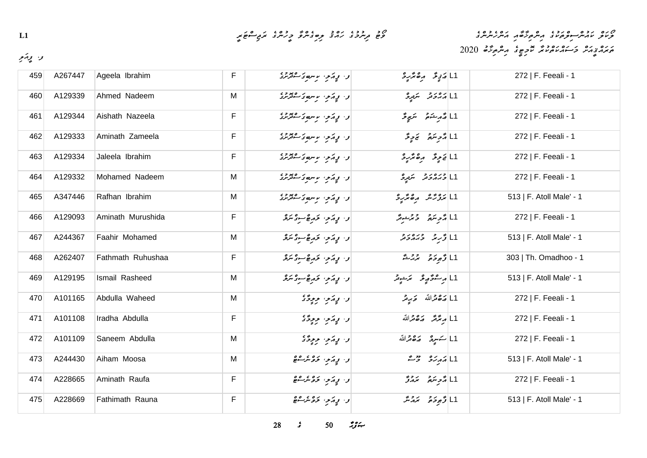*sCw7q7s5w7m< o<n9nOoAw7o< sCq;mAwBoEw7q<m; wBm;vB* م من المرة المرة المرة المرجع المرجع المرجع في 2020<br>مجم*د المريض المرجع المرجع المرجع المرجع المراجع المراجع الم*رجع

| 459 | A267447 | Ageela Ibrahim    | F           | و . و مرد الاسه کامورد                                                                                                                                                                                                          | L1 <sub>مَ</sub> تِوِعٌ مِنْ مُرْرِدْ                 | 272   F. Feeali - 1      |
|-----|---------|-------------------|-------------|---------------------------------------------------------------------------------------------------------------------------------------------------------------------------------------------------------------------------------|-------------------------------------------------------|--------------------------|
| 460 | A129339 | Ahmed Nadeem      | M           | و . و پرکو ، موسی کامی د د ه                                                                                                                                                                                                    | L1 <i>ב</i> بۇ 52 سىر تىرلىق كىل                      | 272   F. Feeali - 1      |
| 461 | A129344 | Aishath Nazeela   | F           | ن و مرد بر سر در در در در در در این در در این در این مرد در این مرد در این مرد در این در این در این در این در<br>مرد این در این در این در این در این در این در این در این در این در این در این در این در این در این در این در ا | L1 مەم ئىشقى ئىسىم ئىگە                               | 272   F. Feeali - 1      |
| 462 | A129333 | Aminath Zameela   | F           | و . و پرکو ، موسره و د در د د                                                                                                                                                                                                   | L1 مُرْجِسَة بِحَرِجَّ                                | 272   F. Feeali - 1      |
| 463 | A129334 | Jaleela Ibrahim   | F           | و . و پرکو ، پرسهای مشهوری                                                                                                                                                                                                      | L1  <sub>قک</sub> رٍوً م <i>ِ</i> ھٹررو               | 272   F. Feeali - 1      |
| 464 | A129332 | Mohamed Nadeem    | M           | و . و مرکز ، موسیعی مشتر در د                                                                                                                                                                                                   | L1  <i>32232°، سَ</i> مِرِدْ                          | 272   F. Feeali - 1      |
| 465 | A347446 | Rafhan Ibrahim    | M           | و . و پرکو ، موسی کامی د د ه                                                                                                                                                                                                    | L1 برو محمد مرکز مرکز برد                             | 513   F. Atoll Male' - 1 |
| 466 | A129093 | Aminath Murushida | F           | المستومنوا الخميفي الموالي المعالجة                                                                                                                                                                                             | L1 مَّ <i>جِسَمَ مَحَمَّ جِمَّ</i> مِسَّر             | 272   F. Feeali - 1      |
| 467 | A244367 | Faahir Mohamed    | M           | ادر ويزوا المروفي المولانين                                                                                                                                                                                                     | L1 وَّرِيمُ حَمَدُ مِنْ مِنْ                          | 513   F. Atoll Male' - 1 |
| 468 | A262407 | Fathmath Ruhushaa | $\mathsf F$ | اور ويموا بحده المواليمون                                                                                                                                                                                                       | L1 <i>وَّجِوَدَهُ</i> بَرَرْتُهُ                      | 303   Th. Omadhoo - 1    |
| 469 | A129195 | Ismail Rasheed    | M           | ادر ويزوا المروفي المولانين                                                                                                                                                                                                     | L1 م <sub>ە</sub> ستىۋە يۇسىمىسى ئىستەر               | 513   F. Atoll Male' - 1 |
| 470 | A101165 | Abdulla Waheed    | M           | د. دٍیکو، ووِدٌک                                                                                                                                                                                                                | L1 مَەھىراللە     ق برىتر                             | 272   F. Feeali - 1      |
| 471 | A101108 | Iradha Abdulla    | F           |                                                                                                                                                                                                                                 | L1 مِتَّدَّقَّہ مَ <b>صَّ</b> قَرَاللَّه              | 272   F. Feeali - 1      |
| 472 | A101109 | Saneem Abdulla    | M           | ر وړې ووځ                                                                                                                                                                                                                       | L1 كەمىر <i>ۇ مەھەتر</i> اللە                         | 272   F. Feeali - 1      |
| 473 | A244430 | Aiham Moosa       | M           | وسمج أتروم المرومين والمحفظ                                                                                                                                                                                                     | $23$ $52/5$ $11$                                      | 513   F. Atoll Male' - 1 |
| 474 | A228665 | Aminath Raufa     | F           | والإرتجاء ووترجيح                                                                                                                                                                                                               | L1 مَّ حِ سَمَّةً مَسَّمَّةً مِّ                      | 272   F. Feeali - 1      |
| 475 | A228669 | Fathimath Rauna   | F           | والإروا بحقائب                                                                                                                                                                                                                  | L1 <i>وَّج</i> وحَء <sub>ُ</sub> بَرَ <i>م</i> ُ سَرَ | 513   F. Atoll Male' - 1 |

*28 sC 50 nNw?mS*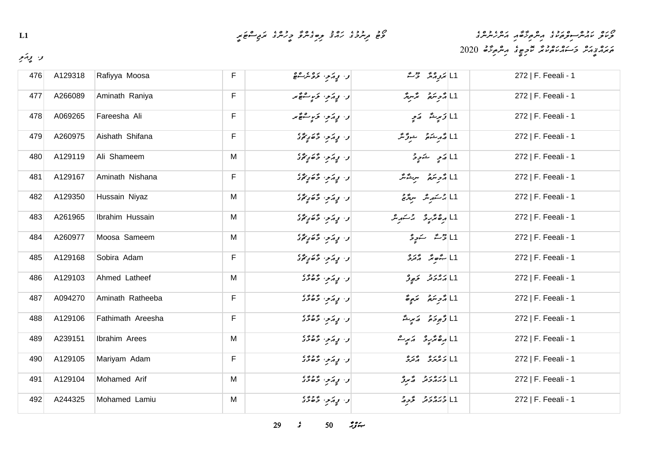*sCw7q7s5w7m< o<n9nOoAw7o< sCq;mAwBoEw7q<m; wBm;vB* م من المرة المرة المرة المرجع المرجع المرجع في 2020<br>مجم*د المريض المرجع المرجع المرجع المرجع المراجع المراجع الم*رجع

| 476 | A129318 | Rafiyya Moosa     | $\mathsf F$ | ادا وٍ مَرَمٍ الرَّوْمَةِ وَهُمْ وَهُمْ الْمَرْجَعَ | L1 بَرَوِ پُرْ پُرْ مُنْ شَرْ مُنْ الْمَنْ | 272   F. Feeali - 1 |
|-----|---------|-------------------|-------------|-----------------------------------------------------|--------------------------------------------|---------------------|
| 477 | A266089 | Aminath Raniya    | F           | الا ومكن كالمستقيم                                  | L1 مُرْحِبَتَهُ مُحَسِ <i>مٌ</i>           | 272   F. Feeali - 1 |
| 478 | A069265 | Fareesha Ali      | $\mathsf F$ | الا وٍ وَرَسٍ لِمَسْ وَاللَّهِ مَدَّ                | 1L  <i>وَم</i> ِيشَ صَعٍ                   | 272   F. Feeali - 1 |
| 479 | A260975 | Aishath Shifana   | F           | اور ومكور ومحكمة                                    | L1 مُرمِّسَمَّ شِوَّسَّر                   | 272   F. Feeali - 1 |
| 480 | A129119 | Ali Shameem       | M           | و. وٍ مَرَو، وَصَحِرَمُوَ                           | L1  رَمِ شَرَدٍ حُ                         | 272   F. Feeali - 1 |
| 481 | A129167 | Aminath Nishana   | $\mathsf F$ | ار ، رٍمَنِ وَصَحِبَمَى                             | L1 أَمَّ حِسَمَةٌ مِن مِشَمَّد             | 272   F. Feeali - 1 |
| 482 | A129350 | Hussain Niyaz     | M           | ار. رٍمَر، وٌصَرِ وُوَ                              | L1 بڑے پہ شہ س <i>رمڑج</i>                 | 272   F. Feeali - 1 |
| 483 | A261965 | Ibrahim Hussain   | M           | ار ، رٍمَر ، وَقَوَمُوَ                             | L1 مەھمەر ئەسىمبە ھ                        | 272   F. Feeali - 1 |
| 484 | A260977 | Moosa Sameem      | M           | ار ، پېښې د څوړنځ                                   | L1 فخرشہ ش <i>و</i> ی                      | 272   F. Feeali - 1 |
| 485 | A129168 | Sobira Adam       | F           | و ، وٍ مَرْمٍ ، وَقَوَى مِمَّى                      | L1 بِيَوْمَدِ مُقَرَّدَ                    | 272   F. Feeali - 1 |
| 486 | A129103 | Ahmed Latheef     | M           | ن وٍ ړَی دُه دُه                                    | L1 <i>גَ بَدْدَ تَدْ وَ بِي</i>            | 272   F. Feeali - 1 |
| 487 | A094270 | Aminath Ratheeba  | $\mathsf F$ | وا وٍ مَنْ وَصَوَّى                                 | L1 مُجِسَعَةٍ مَهْرِ <i>ةٌ</i>             | 272   F. Feeali - 1 |
| 488 | A129106 | Fathimath Areesha | $\mathsf F$ | و٠ وٍ ړَی دُه دُه                                   | L1 <i>وَّجودَة مَبِ</i> يشَ                | 272   F. Feeali - 1 |
| 489 | A239151 | Ibrahim Arees     | M           | اور وٍ مَرَمٍ، وَصَوَّى                             | L1 مِرْحَمَّرِ وَ مَبِرِتْ                 | 272   F. Feeali - 1 |
| 490 | A129105 | Mariyam Adam      | $\mathsf F$ | ادر ويكور وكالملى                                   | L1 <i>وبره وره</i>                         | 272   F. Feeali - 1 |
| 491 | A129104 | Mohamed Arif      | M           | و٠ وٍ ړَی دُه دُه                                   | L1 <i>وُبَرُوُدَ تَدَ وُبِروْ</i>          | 272   F. Feeali - 1 |
| 492 | A244325 | Mohamed Lamiu     | M           | ادر ومزمز ومحفى                                     | L1 <i>5223 قوم</i> 3                       | 272   F. Feeali - 1 |

*29 sC 50 nNw?mS*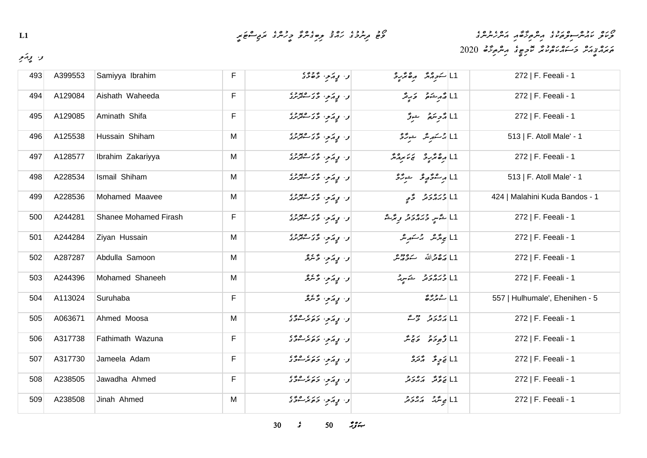*sCw7q7s5w7m< o<n9nOoAw7o< sCq;mAwBoEw7q<m; wBm;vB* م من المرة المرة المرة المرجع المرجع المرجع في 2020<br>مجم*د المريض المرجع المرجع المرجع المرجع المراجع المراجع الم*رجع

| 493 | A399553 | Samiyya Ibrahim       | $\mathsf F$ | و٠ وٍ ٦ دَ دُ ٥ دُ ٢                            | L1 سَو <i>ِهْ مَعْهُ مِعْهُدِ وَ</i>            | 272   F. Feeali - 1            |
|-----|---------|-----------------------|-------------|-------------------------------------------------|-------------------------------------------------|--------------------------------|
| 494 | A129084 | Aishath Waheeda       | F           | و٠ وٍ دَي وَي سُعْرَ وَي                        | L1 مەم ئەم ئەر ئەر                              | 272   F. Feeali - 1            |
| 495 | A129085 | Aminath Shifa         | F           | و٠ وٍ دَي وَي سُعْرَ وَي                        | L1 مُرْحِبَهُمْ سُورٌ                           | 272   F. Feeali - 1            |
| 496 | A125538 | Hussain Shiham        | M           | كي ومكور ويوده                                  | L1  پر سک <i>م</i> بھر مس <i>ور شور</i> محت     | 513   F. Atoll Male' - 1       |
| 497 | A128577 | Ibrahim Zakariyya     | M           | و٠ وٍ دَي وَي سُعْرَ وَي                        | 1] مەھمەر ئەسىم ئىرىدىگە                        | 272   F. Feeali - 1            |
| 498 | A228534 | Ismail Shiham         | M           | د . و پرس اور ۲۵ ده.<br>او . و پرس او دار ۲۵ در | L1  <sub>م</sub> رعو <i>ڈمی</i> و حو <i>ڈ</i> و | 513   F. Atoll Male' - 1       |
| 499 | A228536 | Mohamed Maavee        | M           | و٠ وٍ دَي وَ وَ وَ وَ وَ وَ                     | L1  <i>وُبَرُوْدُو</i> وُمِ                     | 424   Malahini Kuda Bandos - 1 |
| 500 | A244281 | Shanee Mohamed Firash | $\mathsf F$ | و٠ وٍ ٦ کوه ١ کوه ده وه د                       | L1 شَمَسٍ وَبَرَوْرَوْ وِبَرَّتْ ً              | 272   F. Feeali - 1            |
| 501 | A244284 | Ziyan Hussain         | M           | كي ومكور محد معدد ولا                           | L1 ئىرمىگىش ب <sub>ى</sub> ئەسكە <i>ر</i> ىش    | 272   F. Feeali - 1            |
| 502 | A287287 | Abdulla Samoon        | M           | وسمج يرتعب الحاشري                              | L1 مَەقىراللە س <i>ۈدە بىر</i>                  | 272   F. Feeali - 1            |
| 503 | A244396 | Mohamed Shaneeh       | M           | اور وٍ پرتو، وَ نگرو                            | L1 <i>وَبَرُودُوْ</i> شَ <i>سِرُ</i>            | 272   F. Feeali - 1            |
| 504 | A113024 | Suruhaba              | F           | ادر دٍ پرَمَن الْمُسْرَوْرِ                     | $332$ $-11$                                     | 557   Hulhumale', Ehenihen - 5 |
| 505 | A063671 | Ahmed Moosa           | M           | وسوخوس وطارا والماد                             | $23.521$ L1                                     | 272   F. Feeali - 1            |
| 506 | A317738 | Fathimath Wazuna      | $\mathsf F$ | و . وٍ مَرَمٍ . وه مرسوح                        | L1 وَّجوحَہ وَيُ مَّرَ                          | 272   F. Feeali - 1            |
| 507 | A317730 | Jameela Adam          | F           | وسوخوس وطرحوه                                   | L1 <sub>تح</sub> وِوَّ م <i>مَّ</i> مَرَّ       | 272   F. Feeali - 1            |
| 508 | A238505 | Jawadha Ahmed         | $\mathsf F$ | كي ومكور ودره وده                               | L1 ي <sub>نى ھ</sub> ۇتى كەردى ئى               | 272   F. Feeali - 1            |
| 509 | A238508 | Jinah Ahmed           | M           | وسومنوس ومزرع ولاء                              | L1 مٍ مَدَّدَ مَدْرَوْرٌ                        | 272   F. Feeali - 1            |

*30 sC 50 nNw?mS*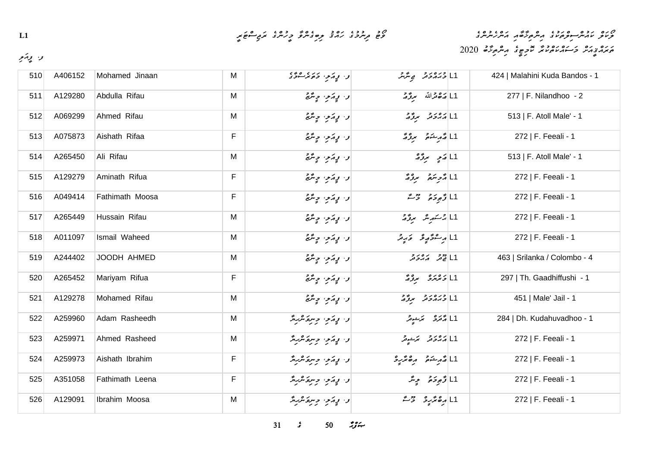*sCw7q7s5w7m< o<n9nOoAw7o< sCq;mAwBoEw7q<m; wBm;vB* م من المرة المرة المرة المرجع المرجع المرجع في 2020<br>مجم*د المريض المرجع المرجع المرجع المرجع المراجع المراجع الم*رجع

| 510 | A406152 | Mohamed Jinaan  | M            | ن وٍ پَرِ دِ دِ دِ دِ دِ دِ دِ دِ دِ | L1  <i>ڈیزہ ڈو</i> یے م <i>گ</i> ر      | 424   Malahini Kuda Bandos - 1 |  |
|-----|---------|-----------------|--------------|--------------------------------------|-----------------------------------------|--------------------------------|--|
| 511 | A129280 | Abdulla Rifau   | M            | ار. رٍړَکو، دٍینځ                    | L1 رَصْحَرْاللَّهُ مَرَوَّهُ            | 277   F. Nilandhoo - 2         |  |
| 512 | A069299 | Ahmed Rifau     | M            | وا وٍ رَموا وِ سَمَّعَ               | L1 <i>ړېری ته بروگ</i>                  | 513   F. Atoll Male' - 1       |  |
| 513 | A075873 | Aishath Rifaa   | F            | وا وٍ رَموا وِ سَمَّعَ               | L1 مەم شىق مىر <i>ۇم</i>                | 272   F. Feeali - 1            |  |
| 514 | A265450 | Ali Rifau       | M            | ار، ويرو، ويژه                       | L1  رَمِ مِر <i>وَّة</i>                | 513   F. Atoll Male' - 1       |  |
| 515 | A129279 | Aminath Rifua   | $\mathsf F$  | وا وٍمَوا وِسَمَّةَ                  | L1 مُصِنعُ بِروْمُ                      | 272   F. Feeali - 1            |  |
| 516 | A049414 | Fathimath Moosa | $\mathsf{F}$ | ر. رٍ پرس چشتی                       | L1 <i>وَّج</i> وحَ حَمَّ حَمَّ          | 272   F. Feeali - 1            |  |
| 517 | A265449 | Hussain Rifau   | M            | ر. رٍ پرس چشتی                       | L1 پرسکویٹر برو <i>گ</i> ھ              | 272   F. Feeali - 1            |  |
| 518 | A011097 | Ismail Waheed   | M            | ار. دٍ پرس چشتی                      | L1 م <i>ېرىنى قېرى</i> تر               | 272   F. Feeali - 1            |  |
| 519 | A244402 | JOODH AHMED     | M            | ار، ويرو، ويژه                       | L1 قع پر پروتر و                        | 463   Srilanka / Colombo - 4   |  |
| 520 | A265452 | Mariyam Rifua   | $\mathsf F$  | ن پېړو، د پرې                        | L1 <i>وَبُرْ جَرَوْهُ</i>               | 297   Th. Gaadhiffushi - 1     |  |
| 521 | A129278 | Mohamed Rifau   | M            | وا وٍمَوا وِسَّعَ                    | L1 <i>32022 بوق</i> ھ                   | 451   Male' Jail - 1           |  |
| 522 | A259960 | Adam Rasheedh   | M            | والإمكان وسقاهها                     | L1 مُرتَّرَدٌ مَرَ <sub>ْشُو</sub> تِرُ | 284   Dh. Kudahuvadhoo - 1     |  |
| 523 | A259971 | Ahmed Rasheed   | M            | اور ومزوا وبرة عرباء                 | L1   <i>زەر بى م</i> ەئبەتر             | 272   F. Feeali - 1            |  |
| 524 | A259973 | Aishath Ibrahim | $\mathsf F$  | اور ويموا وبرة عرباءً                | L1 مُرمِسَمَ مِصْرَبِهِ مِ              | 272   F. Feeali - 1            |  |
| 525 | A351058 | Fathimath Leena | $\mathsf F$  | ار، وأرو، وبرەكرىد                   | 1] <i>وَّج</i> وَدَةُ مِيسَّر           | 272   F. Feeali - 1            |  |
| 526 | A129091 | Ibrahim Moosa   | M            | والإمكن وبرة شريرة                   | L1 رەئزى <sub>ر</sub> و ۋىتە            | 272   F. Feeali - 1            |  |

*31 <i>s*<sub>3</sub> *s*<sub>3</sub> *s*<sub>3</sub> *s*<sub>3</sub> *s*<sub>3</sub> *s*<sub>3</sub> *s*<sub>3</sub> *s*<sub>3</sub> *s*<sub>3</sub> *s*<sub>3</sub> *s*<sub>3</sub> *s*<sub>3</sub> *s*<sub>3</sub> *s*<sub>3</sub> *s*<sub>3</sub> *s*<sub>3</sub> *s*<sub>3</sub> *s*<sub>3</sub> *s*<sub>3</sub> *s*<sub>3</sub> *s*<sub>3</sub> *s*<sub>3</sub> *s*<sub>3</sub> *s*<sub>3</sub> *s*<sub>3</sub> *s*<sub>3</sub> *s*<sub>3</sub> *s*<sub>3</sub> *s*<sub>3</sub> *s*<sub>3</sub> *s*<sub>3</sub>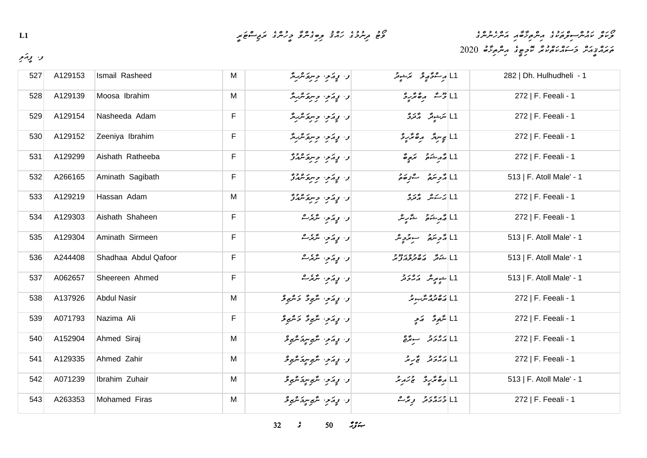*sCw7q7s5w7m< o<n9nOoAw7o< sCq;mAwBoEw7q<m; wBm;vB* م من المرة المرة المرة المرجع المرجع المرجع في 2020<br>مجم*د المريض المرجع المرجع المرجع المرجع المراجع المراجع الم*رجع

| 527 | A129153 | Ismail Rasheed       | M           | اور ويكور وسكانكريم                   | L1  <sub>مر</sub> ىئۇ <sub>م</sub> پۇ ب <sub>ىشى</sub> ت <sub>ە</sub> | 282   Dh. Hulhudheli - 1 |
|-----|---------|----------------------|-------------|---------------------------------------|-----------------------------------------------------------------------|--------------------------|
| 528 | A129139 | Moosa Ibrahim        | M           | والإركوا وللمكرام                     | L1 قرشہ م <i>ی مق</i> ربہ م                                           | 272   F. Feeali - 1      |
| 529 | A129154 | Nasheeda Adam        | F           | والإمكوا وللمشرار                     |                                                                       | 272   F. Feeali - 1      |
| 530 | A129152 | Zeeniya Ibrahim      | F           | اور ومكور وسقاهها                     | L1 <sub>مج</sub> سرمَّر م <i>صمَّ</i> رِدَّ                           | 272   F. Feeali - 1      |
| 531 | A129299 | Aishath Ratheeba     | F           | ادا ويكوا وبرة مهدً                   | L1 مَّ مِسْوَمَّ مَرَمِّ هُ                                           | 272   F. Feeali - 1      |
| 532 | A266165 | Aminath Sagibath     | F           | اور ويكور وبرة مهاج                   | L1 مُ <i>جِيئرمُ</i> مُسَّمِّو <i>هُ م</i> ُ                          | 513   F. Atoll Male' - 1 |
| 533 | A129219 | Hassan Adam          | M           | ن وٍ مَنْ وِسِعَسْمُ وَ               | L1 ئەسەمىر مەم <i>رى</i>                                              | 272   F. Feeali - 1      |
| 534 | A129303 | Aishath Shaheen      | $\mathsf F$ | ار، رٍمَنِ مَمَدٌم                    | L1 مەم ئىكى ئىقىرىشە                                                  | 272   F. Feeali - 1      |
| 535 | A129304 | Aminath Sirmeen      | F           | ار. رٍمَنِ مَمَدٌ -                   | L1 مُرْجِعَة مِسْتَمْجِيْتَر                                          | 513   F. Atoll Male' - 1 |
| 536 | A244408 | Shadhaa Abdul Qafoor | $\mathsf F$ | ار. وٍ پرَمو، سَرَبَرْتُ              | 1] خەش مەھىرودىروم                                                    | 513   F. Atoll Male' - 1 |
| 537 | A062657 | Sheereen Ahmed       | F           | ار. رٍمَنِ مَمَدٌ -                   | L1  سيپر <i>مرد د دونر</i>                                            | 513   F. Atoll Male' - 1 |
| 538 | A137926 | <b>Abdul Nasir</b>   | M           | ن رِمَنِ سَمِينٌ وَسَمِينٌ            | L1 رە <i>دە</i> ئىر ئە                                                | 272   F. Feeali - 1      |
| 539 | A071793 | Nazima Ali           | F           | و. وٍ مَنْ السَّمْعِ فَا فَاسْعِ فَ   | L1 سُموتَہ <i>مَ</i> ی                                                | 272   F. Feeali - 1      |
| 540 | A152904 | Ahmed Siraj          | M           | و. رٍ مَرَمٍ، سَمَّى سِرَ سَمَّى ثَرَ | L1 <i>مەندى قىرىنى</i>                                                | 272   F. Feeali - 1      |
| 541 | A129335 | Ahmed Zahir          | M           | ار، پېژو، شي بېروکليږو                | L1 <i>مەندى قى</i> رىمە                                               | 272   F. Feeali - 1      |
| 542 | A071239 | Ibrahim Zuhair       | M           | و- وٍمَنْ سُمِّ سِيَاسِي وَ           | L1 مەھم <i>گىي</i> ئەرىمىتى ئىر                                       | 513   F. Atoll Male' - 1 |
| 543 | A263353 | Mohamed Firas        | M           | ار، رِمَر، سُمِ سِمَسْهِ وُ           | L1 <i>ۋېزو دېڅر بېرگ</i>                                              | 272   F. Feeali - 1      |

**32** *s* **50** *z***<sub>***f***</sub><sub>s</sub>**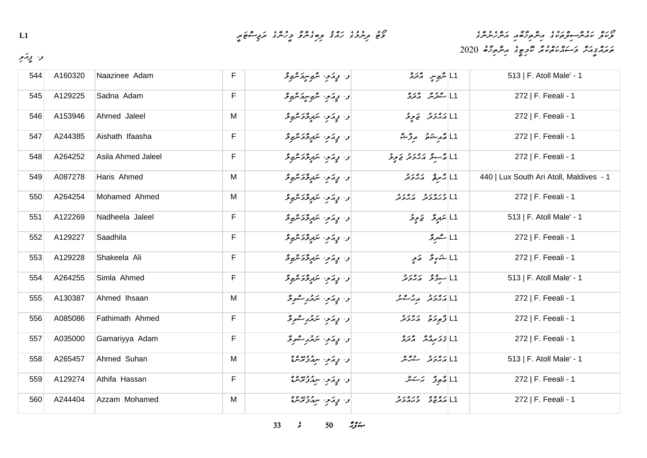*sCw7q7s5w7m< o<n9nOoAw7o< sCq;mAwBoEw7q<m; wBm;vB* م من المرة المرة المرة المرجع المرجع المرجع في 2020<br>مجم*د المريض المرجع المرجع المرجع المرجع المراجع المراجع الم*رجع

| 544 | A160320 | Naazinee Adam      | F           | ر. رٍ پرَ دِ. سَرْي سِرْ سُرْي دْ         | L1 تَمَّعِ سٍ مُرْتَدَدُّ                         | 513   F. Atoll Male' - 1                |
|-----|---------|--------------------|-------------|-------------------------------------------|---------------------------------------------------|-----------------------------------------|
| 545 | A129225 | Sadna Adam         | F           | و- وٍ چَرَمٍ، اللَّهِ سِرْكَانِيْرِ وَالْ | L1 گەنزىتر گەنز <sub>ى</sub>                      | 272   F. Feeali - 1                     |
| 546 | A153946 | Ahmed Jaleel       | M           | ار، پايگو، انگېزگەنگىرى گ                 | L1 <i>גَ بْ</i> دْدَ مْهُ مِوْدْ                  | 272   F. Feeali - 1                     |
| 547 | A244385 | Aishath Ifaasha    | F           | ار، رِمَرِ، سَپِرِوَّدَشْهِ وَ            | L1 مَّ مِشَمَّ مِرَّسَّة                          | 272   F. Feeali - 1                     |
| 548 | A264252 | Asila Ahmed Jaleel | $\mathsf F$ | و ، وٍ مَرَمٍ ، سَمِرِوَّدَشِيْ وَ        | L1 م <sup>ح</sup> سبعً   يَرْدَوَنْر   يَا يِرِوْ | 272   F. Feeali - 1                     |
| 549 | A087278 | Haris Ahmed        | M           | ار . رٍ ۾ پَر سَمِرِ وَ وَ سُمِر وَ       | L1 برَّمبِهْ     رَبُّ دَمَّ                      | 440   Lux South Ari Atoll, Maldives - 1 |
| 550 | A264254 | Mohamed Ahmed      | M           | ار، پايگر، سکيږگرگرگرو گر                 | 1] وبرەرو برەرو                                   | 272   F. Feeali - 1                     |
| 551 | A122269 | Nadheela Jaleel    | F           | ار، پايگر، سَمِيگەنگىي گ                  | 1L سَمِرِمَّ نَے <i>م</i> ِ وُ                    | 513   F. Atoll Male' - 1                |
| 552 | A129227 | Saadhila           | F           | و- ڕٍ؞ۘڬڗٵ؊ڛڕػڗػۺؠٷ                       | L1 سەمبۇ                                          | 272   F. Feeali - 1                     |
| 553 | A129228 | Shakeela Ali       | F           | ار، پايگو، سَمِيگوَسَمَى گ                | L1 ڪَمِدٍ <i>\$</i> صَعٍ                          | 272   F. Feeali - 1                     |
| 554 | A264255 | Simla Ahmed        | F           | ار، پايگو، سکيږوگرسمبولو                  | L1 سوقۇ ئ <i>ەبەدى</i> ر                          | 513   F. Atoll Male' - 1                |
| 555 | A130387 | Ahmed Ihsaan       | M           | و- وٍمَنْ سَمَرُوسُونٌ                    | L1 رَجْرَدَتْرَ مِ <i>جْ</i> سَنَّسْرَ            | 272   F. Feeali - 1                     |
| 556 | A085086 | Fathimath Ahmed    | F           | و- وٍمَرَمٍ، سَرَيْرِي سُمُونَثَ          | L1 زُّجِرَة مَدَّدَتر                             | 272   F. Feeali - 1                     |
| 557 | A035000 | Gamariyya Adam     | F           | و- وٍمَرَمٍ، سَرَيْرُي سُمُونَثَ          | L1 تۇ <i>جىبرە بۇ مەند</i> ۇ                      | 272   F. Feeali - 1                     |
| 558 | A265457 | Ahmed Suhan        | M           | ار. پەر سەر ئىسما                         | L1 <i>مَدْوَدْ</i> حَدَّشْ                        | 513   F. Atoll Male' - 1                |
| 559 | A129274 | Athifa Hassan      | F           | ار. پېړو، سرگرمنده                        | L1 ۾ <i>۾ وَ</i> - پر سَنگر                       | 272   F. Feeali - 1                     |
| 560 | A244404 | Azzam Mohamed      | M           | ار. پەر سەر سەر س                         |                                                   | 272   F. Feeali - 1                     |

**33** *s* **50** *z***<sub>***f***</sub>**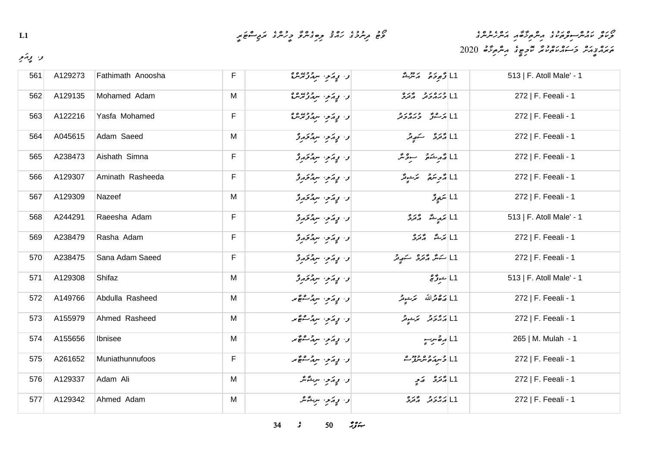*sCw7q7s5w7m< o<n9nOoAw7o< sCq;mAwBoEw7q<m; wBm;vB* م من المرة المرة المرة المرجع المرجع المرجع في 2020<br>مجم*د المريض المرجع المرجع المرجع المرجع المراجع المراجع الم*رجع

| 561 | A129273 | Fathimath Anoosha | $\mathsf F$ | ن پېړو، سروپوسو              | L1 ۇ <sub>جو</sub> خ <sub>ە م</sub> ىر ش | 513   F. Atoll Male' - 1 |
|-----|---------|-------------------|-------------|------------------------------|------------------------------------------|--------------------------|
| 562 | A129135 | Mohamed Adam      | M           | ار. ومر سرور سرور ا          | L1 <i>ڈبزونز پڑو</i> ڑ                   | 272   F. Feeali - 1      |
| 563 | A122216 | Yasfa Mohamed     | F           | ار. رٍ مَنْ سِمْرُمْدَهُمْ   | L1 <sub>م</sub> رمو په دره در            | 272   F. Feeali - 1      |
| 564 | A045615 | Adam Saeed        | M           | وا ومكوا المحمدة             | L1 ۾ُمَرَدُ سَم <i>وِم</i> ُ             | 272   F. Feeali - 1      |
| 565 | A238473 | Aishath Simna     | F           | و ، وٍ ړَو ، سر څرو          | L1 مەم ئىقتى سىزىتر                      | 272   F. Feeali - 1      |
| 566 | A129307 | Aminath Rasheeda  | $\mathsf F$ | والإمكام المتحموق            | L1 مَّ حِ سَمَعَ مَ سَمِيعَ مَّ          | 272   F. Feeali - 1      |
| 567 | A129309 | Nazeef            | M           | والإمكان اللمحموق            | L1   سَمِوِرٌ                            | 272   F. Feeali - 1      |
| 568 | A244291 | Raeesha Adam      | F           | والإمكوا اللمحموق            | L1 <i>مَدمِ</i> مَثَّہُ مُقَرَّدُ        | 513   F. Atoll Male' - 1 |
| 569 | A238479 | Rasha Adam        | $\mathsf F$ | والإمكان اللمحموقى           | L1 بَرْتُ مَ <i>دَّرَدُ</i>              | 272   F. Feeali - 1      |
| 570 | A238475 | Sana Adam Saeed   | F           | والإمكان اللمحموق            | L1 سَتَمَّرَ مُرْتَزَّرَ سَنَ مِرْتَزَ   | 272   F. Feeali - 1      |
| 571 | A129308 | Shifaz            | M           | والإمكان اللمحموقى           | L1 سورمج                                 | 513   F. Atoll Male' - 1 |
| 572 | A149766 | Abdulla Rasheed   | M           | و. وأمر سر المناطق           | L1 مَەھْتَراللە كَرَسْوِتْر              | 272   F. Feeali - 1      |
| 573 | A155979 | Ahmed Rasheed     | M           | و. وٍ مَرَى سِمْ سَمْحَ مَرَ | L1  پَ <i>رُوُوَ تَوَ</i> بَرَحْدِوْرُ   | 272   F. Feeali - 1      |
| 574 | A155656 | Ibnisee           | M           | اور ويدو، سه مقيم            | L1 رەمىرىسە                              | 265   M. Mulah - 1       |
| 575 | A261652 | Muniathunnufoos   | $\mathsf F$ | او، ويرو، سر ماه ع           | L1 خ سرتم تر سر پر م                     | 272   F. Feeali - 1      |
| 576 | A129337 | Adam Ali          | M           | و. وٍیکو، سیشمگ              | L1 <i>مُمَرَدٌ مَ</i> حِ                 | 272   F. Feeali - 1      |
| 577 | A129342 | Ahmed Adam        | M           | او. وٍ پرو، سرڪر             | L1 رور و پره                             | 272   F. Feeali - 1      |

**34** *s* 50 *if***<sub>x</sub>**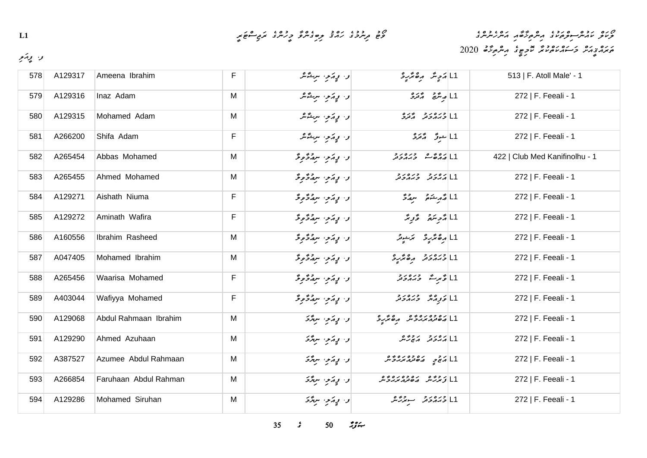*sCw7q7s5w7m< o<n9nOoAw7o< sCq;mAwBoEw7q<m; wBm;vB* م من المرة المرة المرة المرجع المرجع المرجع في 2020<br>مجم*د المريض المرجع المرجع المرجع المرجع المراجع المراجع الم*رجع

| 578 | A129317 | Ameena Ibrahim        | $\mathsf F$ | و. وٍیکو، سرشگر           | L1 مَرجِسٌ م <i>ِ مِعْ</i> رَبِ وَ            | 513   F. Atoll Male' - 1       |
|-----|---------|-----------------------|-------------|---------------------------|-----------------------------------------------|--------------------------------|
| 579 | A129316 | Inaz Adam             | M           | و. وٍیکو، سرشگر           | L1 م <i>جدمن</i> ج محمقر                      | 272   F. Feeali - 1            |
| 580 | A129315 | Mohamed Adam          | M           | و. وٍیکو، سرڪش            | L1 <i>ڈیزون</i> و گرفری                       | 272   F. Feeali - 1            |
| 581 | A266200 | Shifa Adam            | F           | ار. ويرس سيشش             | L1  سوگر گ <sup>ی</sup> <i>م</i> قر           | 272   F. Feeali - 1            |
| 582 | A265454 | Abbas Mohamed         | M           | و. وٍمَنْ سِمْقُومٌ       | $5,000$ $2,000$ $-200$                        | 422   Club Med Kanifinolhu - 1 |
| 583 | A265455 | Ahmed Mohamed         | M           | ن وٍمَنِ سِمْرُوَهِ وَ    | L1 ג׳כנק כגף כפ                               | 272   F. Feeali - 1            |
| 584 | A129271 | Aishath Niuma         | $\mathsf F$ | وا وٍمَنْ اللهُ وَوَفَّ   | L1 مەم شەھ بىر <i>مى</i> ئ                    | 272   F. Feeali - 1            |
| 585 | A129272 | Aminath Wafira        | $\mathsf F$ | ن وٍ مَنْ سِمْتُوَوِنَّ   | L1 م <i>ەّجەمىق قۇبەت</i> گ                   | 272   F. Feeali - 1            |
| 586 | A160556 | Ibrahim Rasheed       | M           | اور ويكور سمكوفو          | L1 م <i>ِ®مَّرُرٍ</i> وْ کَرَشِو <i>نْد</i> ِ | 272   F. Feeali - 1            |
| 587 | A047405 | Mohamed Ibrahim       | M           | و. وٍ ړَو، سِمْنَوْهِ وَ  | L1 دبره در موسی <i>ر و</i>                    | 272   F. Feeali - 1            |
| 588 | A265456 | Waarisa Mohamed       | $\mathsf F$ | و. وٍمَنْ سِمْقُومٌ       | L1 <i>وَّبرتْ وَبَهُ وَوَ</i>                 | 272   F. Feeali - 1            |
| 589 | A403044 | Wafiyya Mohamed       | F           | اور ومكور سمائيونى        | L1 <i>قۇمگر قىمم</i> ۇمر                      | 272   F. Feeali - 1            |
| 590 | A129068 | Abdul Rahmaan Ibrahim | M           | او، وٍ ړَو، سِرُدَ        | L1 رەدەرە بوھ مەھگرى                          | 272   F. Feeali - 1            |
| 591 | A129290 | Ahmed Azuhaan         | M           | و. وٍیکو، سِر <i>وُدُ</i> | L1  پَرْدَوَنْزِ پِرِ پِرْ بِرْ بِرِ          | 272   F. Feeali - 1            |
| 592 | A387527 | Azumee Abdul Rahmaan  | M           | و- وٍمَوِ سِرَّدَ         | 1] زو ده ده ده ده و                           | 272   F. Feeali - 1            |
| 593 | A266854 | Faruhaan Abdul Rahman | M           | اور وٍ مَنْ سِرْدَة       | 1] زومه ده ده ده ده و                         | 272   F. Feeali - 1            |
| 594 | A129286 | Mohamed Siruhan       | M           | وا وٍمَوا سِرَّدَ         | L1 <i>دې ده ده</i> سومرگنگر                   | 272   F. Feeali - 1            |

*35 sC 50 nNw?mS*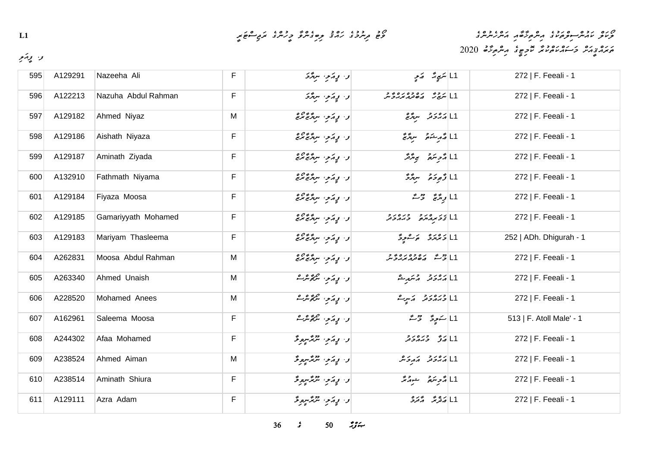*sCw7q7s5w7m< o<n9nOoAw7o< sCq;mAwBoEw7q<m; wBm;vB* م من المرة المرة المرة المرجع المرجع المرجع في 2020<br>مجم*د المريض المرجع المرجع المرجع المرجع المراجع المراجع الم*رجع

| 595 | A129291 | Nazeeha Ali         | $\mathsf F$  | و <sub>`</sub> وٍړو، سرگړي | L1 سَمِهِ مَّة مَدَّمِي                | 272   F. Feeali - 1      |
|-----|---------|---------------------|--------------|----------------------------|----------------------------------------|--------------------------|
| 596 | A122213 | Nazuha Abdul Rahman | F            | اور ويكور سيركز            | L1 شهر مصر مصر مصر در مصر حس           | 272   F. Feeali - 1      |
| 597 | A129182 | Ahmed Niyaz         | M            | و. ويدو، سرد بيره          | L1 <i>مُدْدَوْرْ</i> سِرْمَنْ          | 272   F. Feeali - 1      |
| 598 | A129186 | Aishath Niyaza      | F            | و. ومكو، سرگاه من          |                                        | 272   F. Feeali - 1      |
| 599 | A129187 | Aminath Ziyada      | F            | و. وأكرم سركري             | L1 مۇجەنىھ ب <sub>ې</sub> رگەنگە       | 272   F. Feeali - 1      |
| 600 | A132910 | Fathmath Niyama     | F            | و. ومكو، سرگاه مربع        | L1 رَّج <i>وحَة</i> سِ <i>رْدَة</i> َ  | 272   F. Feeali - 1      |
| 601 | A129184 | Fiyaza Moosa        | F            | و. ومكو، سرگاه من          | L1 وِیژنج حرمشہ                        | 272   F. Feeali - 1      |
| 602 | A129185 | Gamariyyath Mohamed | F            | و. ومكو، سرگاه من          | 1] ترکه برمهره و دره د و               | 272   F. Feeali - 1      |
| 603 | A129183 | Mariyam Thasleema   | $\mathsf{F}$ | اور ومكور سريمي            | L1 <i>خىرىزى بى شېرى</i>               | 252   ADh. Dhigurah - 1  |
| 604 | A262831 | Moosa Abdul Rahman  | M            | و. وٍ مَرَو، سِرَّج مِنَ   | 1] وَمَسَ بِرَه وه بِرِه و و           | 272   F. Feeali - 1      |
| 605 | A263340 | Ahmed Unaish        | M            | او، ويرَو، سرگوشرے         | L1 <i>مَدْوَنْ مُسَمِ</i> ّ            | 272   F. Feeali - 1      |
| 606 | A228520 | Mohamed Anees       | M            | او، ويرَو، سرگوشرے         | L1  <i>وبروبرو م</i> تبر م             | 272   F. Feeali - 1      |
| 607 | A162961 | Saleema Moosa       | F            | و. وٍمَو، سَرَّجَ سُ       | L1 سَموِۃَ قُ <sup>م</sup> ُتُہُ       | 513   F. Atoll Male' - 1 |
| 608 | A244302 | Afaa Mohamed        | F            | ار. وٍمَنْ شَمَّسِهِ وَ    | L1 رَقَّ وَبَرْدُونَر                  | 272   F. Feeali - 1      |
| 609 | A238524 | Ahmed Aiman         | M            | و. وٍ پرَو، شِرْسِوِدْ     | L1 <i>مَدْدَوْرَ مَدِدَ</i> نْد        | 272   F. Feeali - 1      |
| 610 | A238514 | Aminath Shiura      | F            | و. وٍ پرَو، شِرْسِوءٌ      | L1 مُرْحِسَة مِسْتَمَرَّة مُسَ         | 272   F. Feeali - 1      |
| 611 | A129111 | Azra Adam           | F            | ن وٍمَنْ شَمَّسِودٌ        | L1 <i>مَحْدُمَّہ</i> مُحَمَّد <i>ٌ</i> | 272   F. Feeali - 1      |

**36** *s* **50** *z***<sub>***f***</sub>**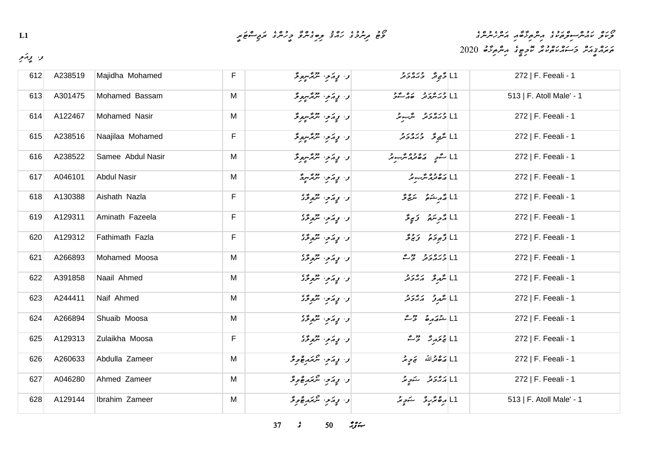*sCw7q7s5w7m< o<n9nOoAw7o< sCq;mAwBoEw7q<m; wBm;vB* م من المرة المرة المرة المرجع المرجع المرجع في 2020<br>مجم*د المريض المرجع المرجع المرجع المرجع المراجع المراجع الم*رجع

| 612 | A238519 | Majidha Mohamed    | $\mathsf{F}$ | ار، وړې شرمسوځ                 | L1 ۇ <sub>ج</sub> ى <i>گ دېم</i> ەرد  | 272   F. Feeali - 1      |
|-----|---------|--------------------|--------------|--------------------------------|---------------------------------------|--------------------------|
| 613 | A301475 | Mohamed Bassam     | M            | اور ومكور التركيبيون           | 1] وبرەرو ھەربىدو                     | 513   F. Atoll Male' - 1 |
| 614 | A122467 | Mohamed Nasir      | M            | ار. وٍمَرَ شَهْرٌ سِعِدٌ       | L1  <i>دېزه دو</i> شبېر               | 272   F. Feeali - 1      |
| 615 | A238516 | Naajilaa Mohamed   | $\mathsf F$  | ار. رٍمَزِ، شَمَّسِودٌ         | L1 سَمْعِ عَمَّ حَدَّمَ حَمَدَ حَمَّد | 272   F. Feeali - 1      |
| 616 | A238522 | Samee Abdul Nasir  | M            | و. وړې شره سره د               | L1 محمود مەھەر مىز بىر                | 272   F. Feeali - 1      |
| 617 | A046101 | <b>Abdul Nasir</b> | M            | ار. وٍمَنْ شَهْرَ الله         | L1 <i>مەھەرمەشبەتر</i>                | 272   F. Feeali - 1      |
| 618 | A130388 | Aishath Nazla      | $\mathsf F$  | ار. دٍ پرَ مِنْ شَعِرْ دُمَّةَ | L1 مەم ئىق ئىق ئىق ئىق ئىق            | 272   F. Feeali - 1      |
| 619 | A129311 | Aminath Fazeela    | $\mathsf F$  | ادا ويمن شمودة                 | L1 مَّ <i>جِسَعَةَ وَي</i> جِدًّ      | 272   F. Feeali - 1      |
| 620 | A129312 | Fathimath Fazla    | F            | ار. رٍمَنِ شَعِرْهُ            | L1 تۇم <sub>ۇ</sub> خۇ تۇڭ ئى         | 272   F. Feeali - 1      |
| 621 | A266893 | Mohamed Moosa      | M            | ار. رٍ پرَ مِن شَعِرْ وَ وَ    | L1 دېم ديز وي.                        | 272   F. Feeali - 1      |
| 622 | A391858 | Naail Ahmed        | M            | ار. رٍ پرَمِ، شَعِرْتُهُ       | L1 سَمَدِ حَدَ الْمَدْوَمَتْر         | 272   F. Feeali - 1      |
| 623 | A244411 | Naif Ahmed         | M            | و. وٍمَنْ شَعْرَتَمَ           | L1 سَمَدِرْ مَ <sup>رو</sup> دَ       | 272   F. Feeali - 1      |
| 624 | A266894 | Shuaib Moosa       | M            | اد. دٍ پرَمٍ، شَعِرْتُهُ       | $23 - 211$                            | 272   F. Feeali - 1      |
| 625 | A129313 | Zulaikha Moosa     | F            | ار. رٍ پرَ مِن شَعِرْ وَ وَ    | $23 - 52$ $\leq$ 11                   | 272   F. Feeali - 1      |
| 626 | A260633 | Abdulla Zameer     | M            | ار، روكرما الكركر هو مح        | L1 مَەھىراللە   ىم جەمئر              | 272   F. Feeali - 1      |
| 627 | A046280 | Ahmed Zameer       | M            | والإمامي الكعكر فالوقر         | L1 رَ <i>وُدُوَدْ سَوِيْر</i> َ       | 272   F. Feeali - 1      |
| 628 | A129144 | Ibrahim Zameer     | M            | ار، رٍمَنِ مَعَمَّدِ وَمِعَ    | L1 بر <i>ھنڙرو خو</i> يتر             | 513   F. Atoll Male' - 1 |

*37 sC 50 nNw?mS*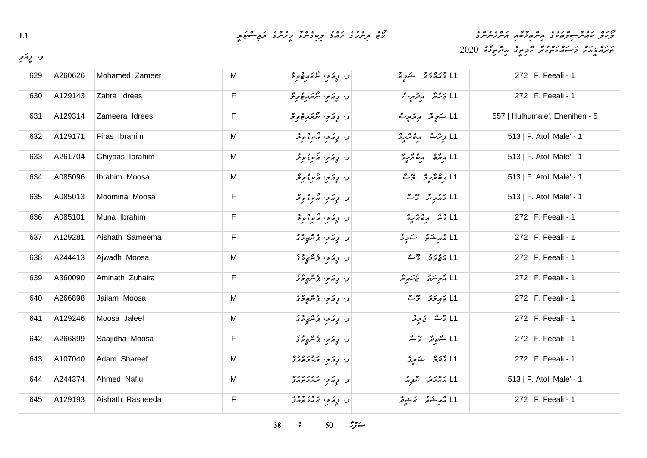*sCw7q7s5w7m< o<n9nOoAw7o< sCq;mAwBoEw7q<m; wBm;vB* م من المرة المرة المرة المرجع المرجع المرجع في 2020<br>مجم*د المريض المرجع المرجع المرجع المرجع المراجع المراجع الم*رجع

| 629 | A260626 | Mohamed Zameer   | M            | والإمكام المتكلم فأوقى    | L1 <i>وُرَهُ دَوْ</i> سَو <i>مِرْ</i>            | 272   F. Feeali - 1            |
|-----|---------|------------------|--------------|---------------------------|--------------------------------------------------|--------------------------------|
| 630 | A129143 | Zahra Idrees     | F            | والإمام المتمام والمحافية | L1 ئۈرگە ئەرتى <i>رىيە</i>                       | 272   F. Feeali - 1            |
| 631 | A129314 | Zameera Idrees   | $\mathsf F$  | والإمكان الكلام فأوقى     | L1 سَوِيرٌ م <i>وترم</i> ِي <sup>م</sup> ُ       | 557   Hulhumale', Ehenihen - 5 |
| 632 | A129171 | Firas Ibrahim    | M            | وا وٍمَنوا مگروهونَّ      | L1 <i>وبڈ</i> شہر مرک <i>م پر</i> ڈ              | 513   F. Atoll Male' - 1       |
| 633 | A261704 | Ghiyaas Ibrahim  | M            | وا وٍمَنوا مگراهونَّی     | L1 م <i>زمده م</i> صمَّرٍ و                      | 513   F. Atoll Male' - 1       |
| 634 | A085096 | Ibrahim Moosa    | M            | د پېړو چوچو               | L1 رەئزىر ئ <sup>ەستە</sup>                      | 513   F. Atoll Male' - 1       |
| 635 | A085013 | Moomina Moosa    | $\mathsf{F}$ | وا وٍمَعٍا مرتوعٍ وَمَحَ  | L1 دېم د بحر ش                                   | 513   F. Atoll Male' - 1       |
| 636 | A085101 | Muna Ibrahim     | $\mathsf F$  | د پېړو چوچو               | L1 دْيَرْ بِرەڭرىرد                              | 272   F. Feeali - 1            |
| 637 | A129281 | Aishath Sameema  | $\mathsf F$  | اور وٍمَنْ وَسُمِوَدَّ    | L1 مەم ئىقتى سىرىدىگە                            | 272   F. Feeali - 1            |
| 638 | A244413 | Ajwadh Moosa     | M            | ار، رٍيَسَ وَعُمَوَدَ     |                                                  | 272   F. Feeali - 1            |
| 639 | A360090 | Aminath Zuhaira  | F            | ار، رٍمَرٍ، وَسُمِوَّةً   | L1 مۇجەنبىر ئى <i>جەنبەت</i> گە                  | 272   F. Feeali - 1            |
| 640 | A266898 | Jailam Moosa     | M            | ار. رٍ ړَی ژَنګیِوُدُ     | $23$ $25/2$                                      | 272   F. Feeali - 1            |
| 641 | A129246 | Moosa Jaleel     | M            | وا وٍمَنْ وَسْمَعِ وَّدَ  | L1  تخریحہ ت <sub>حکیم</sub> تی                  | 272   F. Feeali - 1            |
| 642 | A266899 | Saajidha Moosa   | F            | ن رٍ پرَ دِ رَ عَهِ وَ دَ | L1 ست <sub>ُ</sub> مِهِ تَرْ حَمْدَ الْمُسَمَّدِ | 272   F. Feeali - 1            |
| 643 | A107040 | Adam Shareef     | M            | والمحمد المردود ودو       | L1 مەترى خىمب <i>و</i> گ                         | 272   F. Feeali - 1            |
| 644 | A244374 | Ahmed Nafiu      | M            | ن وٍ مَسِ مَدَوْءِ مِنْ   | L1 <i>ړی څو</i> شمېر ش                           | 513   F. Atoll Male' - 1       |
| 645 | A129193 | Aishath Rasheeda | $\mathsf F$  | والإمكن بملكومون          | L1 مُدْمِرْ مُشَمَّدٌ مَرْسُومُرٌ                | 272   F. Feeali - 1            |

**38** *s* **50** *n***<sub>s</sub>***n***<sub>s</sub>**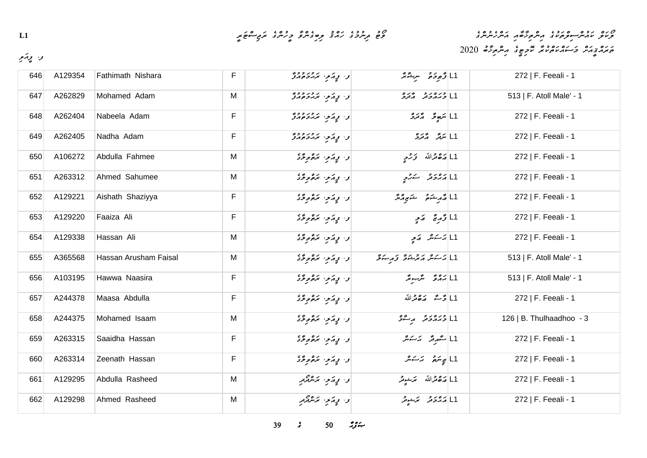*sCw7q7s5w7m< o<n9nOoAw7o< sCq;mAwBoEw7q<m; wBm;vB* م من المرة المرة المرة المرجع المرجع المرجع في 2020<br>مجم*د المريض المرجع المرجع المرجع المرجع المراجع المراجع الم*رجع

| 646 | A129354 | Fathimath Nishara     | F           | والإمكان بملاحقها         | L1 <i>وَّجِودَة</i> سِشَةَ مَدَّ                   | 272   F. Feeali - 1      |
|-----|---------|-----------------------|-------------|---------------------------|----------------------------------------------------|--------------------------|
| 647 | A262829 | Mohamed Adam          | M           | والإمكع المرود ودوا       | L1 <i>32825</i> محمده                              | 513   F. Atoll Male' - 1 |
| 648 | A262404 | Nabeela Adam          | F           | والإمكن للمقاومة          | L1 سَصِعٌ مَقْرَضٍ                                 | 272   F. Feeali - 1      |
| 649 | A262405 | Nadha Adam            | F           | والإمكن المرود ووالمحمد   | L1 سَرْشَہ مُرَّمَرْدُ                             | 272   F. Feeali - 1      |
| 650 | A106272 | Abdulla Fahmee        | M           | والإمكن المكافوق          | L1 رَصْحَرْاللَّهُ وَكَرْحٍ                        | 272   F. Feeali - 1      |
| 651 | A263312 | Ahmed Sahumee         | M           | والإمكن المكاولونى        | L1 <i>مَدْوَمْ سَرْدِ</i>                          | 272   F. Feeali - 1      |
| 652 | A129221 | Aishath Shaziyya      | F           | ادا وٍمَنْ مَعْوَفِوْدٌ   | L1 مُرشَوَّ شَيْءِ مُدَّ                           | 272   F. Feeali - 1      |
| 653 | A129220 | Faaiza Ali            | $\mathsf F$ | ن پېژمو، برگومونژلی       | L1 وٌَربحَ     وَمِرٍ                              | 272   F. Feeali - 1      |
| 654 | A129338 | Hassan Ali            | M           | ار ، رٍمَنِ مَعْوَمِعٌ    | L1 ټريمبر <b>چ</b> ې                               | 272   F. Feeali - 1      |
| 655 | A365568 | Hassan Arusham Faisal | M           | اور وٍ مَنْ مَعْ مِعْوَمْ | L1 بزىكى برى <sub>مىشك</sub> ى ت <sub>ەر</sub> بكى | 513   F. Atoll Male' - 1 |
| 656 | A103195 | Hawwa Naasira         | F           | ن پېښو، برگورونو          | L1 ئەرمۇ ش <i>ىبەت</i> گە                          | 513   F. Atoll Male' - 1 |
| 657 | A244378 | Maasa Abdulla         | F           | والإمكن المكاه وقرد       | L1 حَرْجَهُ صَ <b>صْ</b> قَرْاللّه                 | 272   F. Feeali - 1      |
| 658 | A244375 | Mohamed Isaam         | M           | ن پېژمو، برگومونژو        | L1 <i>دېروند ب</i> رگو                             | 126   B. Thulhaadhoo - 3 |
| 659 | A263315 | Saaidha Hassan        | F           | والإمكن بمقوفي            | L1 ست <sub>م</sub> رمتر برست <i>م</i> شر           | 272   F. Feeali - 1      |
| 660 | A263314 | Zeenath Hassan        | $\mathsf F$ | والإمكن المكاولونى        | L1 يوپئر <i>ة برست</i> ىشر                         | 272   F. Feeali - 1      |
| 661 | A129295 | Abdulla Rasheed       | M           | الأرابية والمتحرمين       | L1 مَەھىراللە مَر <sub>ْشو</sub> مَر               | 272   F. Feeali - 1      |
| 662 | A129298 | Ahmed Rasheed         | M           | اوا ويرتموا برندهمو       | L1 <i>مەندى مى</i> سىمى                            | 272   F. Feeali - 1      |

**39** *s* **50** *z***<sub>***f***</sub>**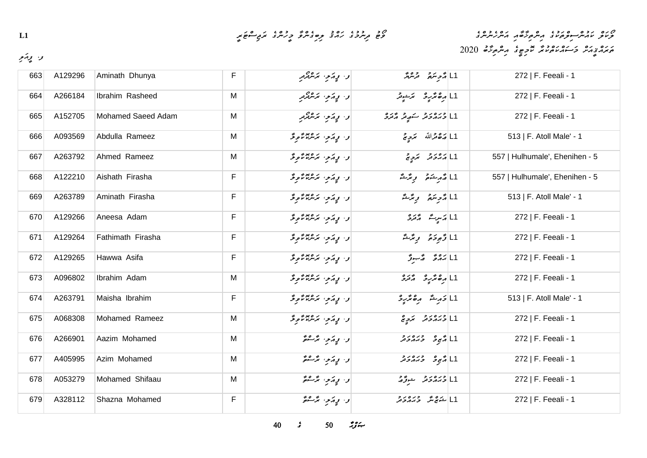*sCw7q7s5w7m< o<n9nOoAw7o< sCq;mAwBoEw7q<m; wBm;vB* م من المرة المرة المرة المرجع المرجع المرجع في 2020<br>مجم*د المريض المرجع المرجع المرجع المرجع المراجع المراجع الم*رجع

| 663 | A129296 | Aminath Dhunya     | F            | و- وٍمَوا مَسْهَمُو                  | L1 أَمَّ مِ سَمَّعَ مَّدَ سَمَّةً      | 272   F. Feeali - 1            |
|-----|---------|--------------------|--------------|--------------------------------------|----------------------------------------|--------------------------------|
| 664 | A266184 | Ibrahim Rasheed    | M            | اور ويكور بمنكفور                    | L1 مِر <i>ە مُدَّرٍدْ مَنْ</i> شِيْتْر | 272   F. Feeali - 1            |
| 665 | A152705 | Mohamed Saeed Adam | M            | أوا ويكوا بمنهمي                     | L1 <i>وَبَرُودُو سَهِيدٌ مُ</i> تَرَوُ | 272   F. Feeali - 1            |
| 666 | A093569 | Abdulla Rameez     | M            | والإمكام بمالم للمعاقبة              | L1 صَرْحَة مِرْاللّه تَمْرَحِيمْ       | 513   F. Atoll Male' - 1       |
| 667 | A263792 | Ahmed Rameez       | M            | و· وٍمَعٍ، مَرْمَنْنَا مَوَعٌ        | L1 <i>مَدْدَوْرْ مَدِي</i> ْ           | 557   Hulhumale', Ehenihen - 5 |
| 668 | A122210 | Aishath Firasha    | $\mathsf F$  | ار، وٍمَرَمٍ، مَرْسِرْمَامَ وَنَحْهِ | L1 شەرىشكى <sub>ۋى</sub> ترىش          | 557   Hulhumale', Ehenihen - 5 |
| 669 | A263789 | Aminath Firasha    | F            | و ويرو برمع شمور                     | L1 مَّرْسَعَةً وِيَمْشَّ               | 513   F. Atoll Male' - 1       |
| 670 | A129266 | Aneesa Adam        | $\mathsf F$  | والإمام المرام المعالم وقر           | L1 رَسِرِ مُنْ مُرْدَدُ                | 272   F. Feeali - 1            |
| 671 | A129264 | Fathimath Firasha  | $\mathsf{F}$ | و ومرو برمعه موقر                    | L1 <i>وَّجِوَدَة</i> وِيَرْتَهُ        | 272   F. Feeali - 1            |
| 672 | A129265 | Hawwa Asifa        | F            | و· وِمَعِ، مَسْرَمَنْتُمُومَّ        |                                        | 272   F. Feeali - 1            |
| 673 | A096802 | Ibrahim Adam       | M            | و· وٍمَعٍ، مَسْرَمَامَوَنَّ          | L1 م <i>وھنڑرو م</i> قر <i>و</i>       | 272   F. Feeali - 1            |
| 674 | A263791 | Maisha Ibrahim     | F            | و· وٍمَعٍ، مَسْرَمَامَوَنَّ          | L1 دَرِےْ رِصْدَرِدْ                   | 513   F. Atoll Male' - 1       |
| 675 | A068308 | Mohamed Rameez     | M            | والإرتجاء المتعملاتموقى              | L1 <i>دېره دو</i> تر <i>و</i> ی        | 272   F. Feeali - 1            |
| 676 | A266901 | Aazim Mohamed      | M            | اوا وٍمَوا مُرْسُمٌ                  | L1  مَّي و مَرَوْدَ تَر                | 272   F. Feeali - 1            |
| 677 | A405995 | Azim Mohamed       | M            | اوا وٍمَنوا مُرْسُمٌ                 | L1 گەنج <i>3 دېم</i> رونر              | 272   F. Feeali - 1            |
| 678 | A053279 | Mohamed Shifaau    | M            | اوا ويمنوا المرحقي                   | L1 <i>دېره دو</i> شو <i>ژه</i> ٔ       | 272   F. Feeali - 1            |
| 679 | A328112 | Shazna Mohamed     | F            | ادا دٍ مَرَمٍ الرَّسْمُ              | L1 خۇي ئەرەرد <i>ەر دىكە</i>           | 272   F. Feeali - 1            |

*40 sC 50 nNw?mS*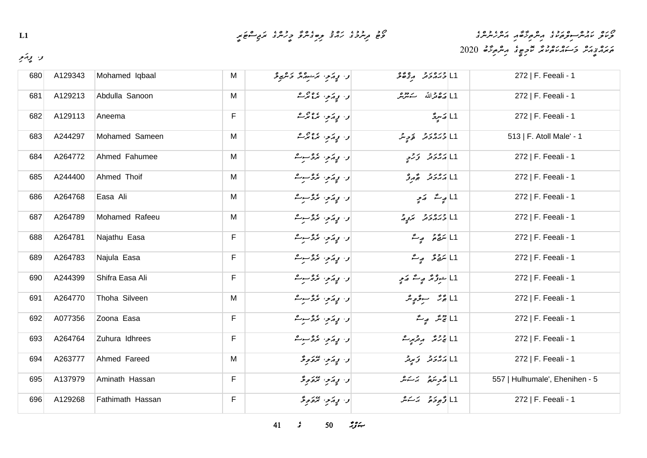*sCw7q7s5w7m< o<n9nOoAw7o< sCq;mAwBoEw7q<m; wBm;vB* م من المرة المرة المرة المرجع المرجع المرجع في 2020<br>مجم*د المريض المرجع المرجع المرجع المرجع المراجع المراجع الم*رجع

| 680 | A129343 | Mohamed Iqbaal   | M            | وا وٍمَنْ الْاسْتِهَارُ وَاللَّهِ وَا | L1 دېرورو مو <b>قو</b>                         | 272   F. Feeali - 1            |
|-----|---------|------------------|--------------|---------------------------------------|------------------------------------------------|--------------------------------|
| 681 | A129213 | Abdulla Sanoon   | M            | اور په ټرې مروضي                      | L1 مَەھْتَراللە سەم <i>ەدە</i>                 | 272   F. Feeali - 1            |
| 682 | A129113 | Aneema           | $\mathsf{F}$ | او، پېړې مروضی                        | L1 مەسىرى <del>چ</del>                         | 272   F. Feeali - 1            |
| 683 | A244297 | Mohamed Sameen   | M            | او په تومو موځ مره ه                  | L1  <i>دېن</i> دونر پ <sub>ۇج</sub> ىتر        | 513   F. Atoll Male' - 1       |
| 684 | A264772 | Ahmed Fahumee    | M            | ار، روزې پرول د                       | L1 <i>גَ بْ</i> دْدَ بْرَ تْرَحِي              | 272   F. Feeali - 1            |
| 685 | A244400 | Ahmed Thoif      | M            | ن پېړې پرولوگ                         | L1 <i>مەمۇمۇ بۇمۇ</i>                          | 272   F. Feeali - 1            |
| 686 | A264768 | Easa Ali         | M            | وا وٍړَی نوو کو                       | L1 ۾ شه ڪيو                                    | 272   F. Feeali - 1            |
| 687 | A264789 | Mohamed Rafeeu   | M            | ن رٍ پرَ پرویده                       | L1 <i>دېره دي بزو</i> ړ                        | 272   F. Feeali - 1            |
| 688 | A264781 | Najathu Easa     | $\mathsf{F}$ | ن رٍړَي رُوب                          | L1 سَقَة مِيسَّ                                | 272   F. Feeali - 1            |
| 689 | A264783 | Najula Easa      | $\mathsf F$  | ن پەير پۇست                           | L1 سَمَعْ قَدِ مِ سَمَّ                        | 272   F. Feeali - 1            |
| 690 | A244399 | Shifra Easa Ali  | F            | وا وٍمَنوا عُرْفَ الله                | L1 حوژنڈ <sub>می</sub> ٹ <sub>م</sub> زمی      | 272   F. Feeali - 1            |
| 691 | A264770 | Thoha Silveen    | M            | و، وٍړَی نوو کر                       | L1  پۇتر سومۇمى <i>گ</i> ە                     | 272   F. Feeali - 1            |
| 692 | A077356 | Zoona Easa       | F            | ن رٍ پرَ پرویده                       | L1 تيمثر پ <i>يٽ</i>                           | 272   F. Feeali - 1            |
| 693 | A264764 | Zuhura Idhrees   | $\mathsf{F}$ | ن پېړو، پرولېت                        | L1 ى <sub>م</sub> 3ىگە م <sub>و</sub> مۇمېرىشە | 272   F. Feeali - 1            |
| 694 | A263777 | Ahmed Fareed     | M            | ل وٍ دَمَنِ مَمْعَ وِمَّ              | L1  <i>ړ ۶۶ توم</i> ی تر                       | 272   F. Feeali - 1            |
| 695 | A137979 | Aminath Hassan   | $\mathsf F$  | ار پەترە ئىقمۇم                       | L1 مَّ حِسَمَعُ سَسَسْر                        | 557   Hulhumale', Ehenihen - 5 |
| 696 | A129268 | Fathimath Hassan | $\mathsf F$  | ن دٍ پَرَمَ بَرْءَهِ مَ               | L1 <i>وَّج</i> وحَ مَحَمَدٌ مِنْ مِنْ مِنْ     | 272   F. Feeali - 1            |

*41 <i>s 50 <i>n*<sub>s</sub>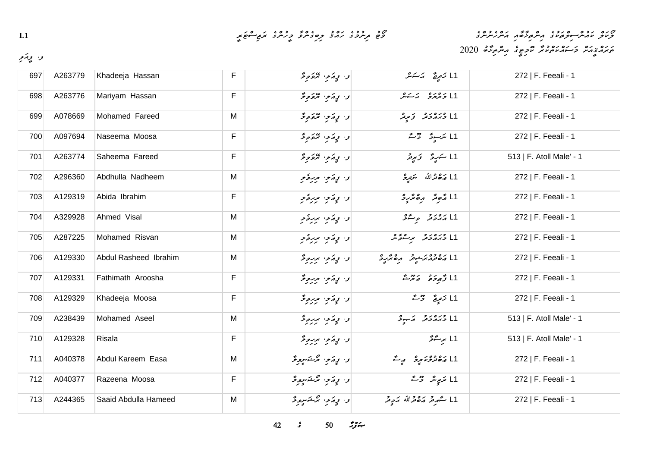*sCw7q7s5w7m< o<n9nOoAw7o< sCq;mAwBoEw7q<m; wBm;vB* م من المرة المرة المرة المرجع المرجع المرجع في 2020<br>مجم*د المريض المرجع المرجع المرجع المرجع المراجع المراجع الم*رجع

| 697 | A263779 | Khadeeja Hassan       | $\mathsf{F}$ | ادا ويقرما عكفوف           |                                          | 272   F. Feeali - 1      |
|-----|---------|-----------------------|--------------|----------------------------|------------------------------------------|--------------------------|
| 698 | A263776 | Mariyam Hassan        | $\mathsf F$  | ن دٍ مَنْ عَمْعَ وِمَّ     | L1  <i>خ</i> ىر <i>مۇھەكەشى</i> گە       | 272   F. Feeali - 1      |
| 699 | A078669 | Mohamed Fareed        | M            | ادا دٍ پرَمُوا مَرْءَهِ مَ | L1  <i>3223 قرىرى</i> تر                 | 272   F. Feeali - 1      |
| 700 | A097694 | Naseema Moosa         | $\mathsf F$  | و· وٍمَنْ عَمَوَهِ فَ      | L1 يتزسونچ همچنگ                         | 272   F. Feeali - 1      |
| 701 | A263774 | Saheema Fareed        | F            | والإمكن المتكافوف          | L1 سَدرٍوَّ کَرَمِیٹر                    | 513   F. Atoll Male' - 1 |
| 702 | A296360 | Abdhulla Nadheem      | M            | والإمكن المردة وا          | L1 ش&قرالله سَعِرِيح                     | 272   F. Feeali - 1      |
| 703 | A129319 | Abida Ibrahim         | F            | اور ويموس بررغو            | L1 مُّحِعَّر مِعْمَٰدِهِ                 | 272   F. Feeali - 1      |
| 704 | A329928 | Ahmed Visal           | M            | ادا وٍ پڑوا ایر روکار      | L1 <i>ړې دی و</i> گو                     | 272   F. Feeali - 1      |
| 705 | A287225 | Mohamed Risvan        | M            | ادا وٍړی برره و            | L1 <i>32025 برحوش</i>                    | 272   F. Feeali - 1      |
| 706 | A129330 | Abdul Rasheed Ibrahim | M            | اوس وتمنوا المرسوقى        |                                          | 272   F. Feeali - 1      |
| 707 | A129331 | Fathimath Aroosha     | F            | وسيخري المربرونج           | L1 <i>وَّجِ</i> وَءُ مَعَرَشَہُ          | 272   F. Feeali - 1      |
| 708 | A129329 | Khadeeja Moosa        | F            | وا وٍمَوا مِرْرُونٌ        | L1 زَمِيعٌ       تَرْتَّ                 | 272   F. Feeali - 1      |
| 709 | A238439 | Mohamed Aseel         | M            | وا وٍمَنْ الرادة           | L1 <i>وُرَهُ دَوَدٌ</i> کَرَ بِدِعْرُ    | 513   F. Atoll Male' - 1 |
| 710 | A129328 | Risala                | F            | اور ويمتوا الرروق          | L1 برسَّنَزَ                             | 513   F. Atoll Male' - 1 |
| 711 | A040378 | Abdul Kareem Easa     | M            | و- وٍړٌو، برڅسيږدٌ         | L1 ئەھىردىسىرد ب <sub>و</sub> ڭ          | 272   F. Feeali - 1      |
| 712 | A040377 | Razeena Moosa         | F            | او، وٍړَی کرې کورونو       | L1 بَرَ <sub>مٍ</sub> بَرٌ دَمْ شَهَ     | 272   F. Feeali - 1      |
| 713 | A244365 | Saaid Abdulla Hameed  | M            | ن ويكوا للمشهود            | L1 ستمریز 1‱مترالله برَ <sub>حی</sub> تر | 272   F. Feeali - 1      |

*42 sC 50 nNw?mS*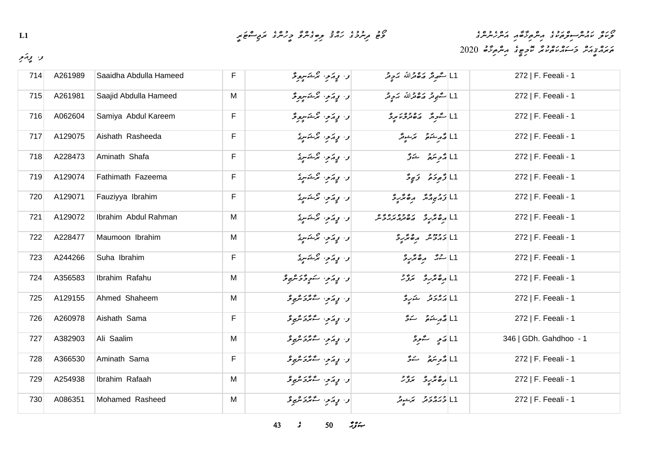*sCw7q7s5w7m< o<n9nOoAw7o< sCq;mAwBoEw7q<m; wBm;vB* م من المرة المرة المرة المرجع المرجع المرجع في 2020<br>مجم*د المريض المرجع المرجع المرجع المرجع المراجع المراجع الم*رجع

| 714 | A261989 | Saaidha Abdulla Hameed | $\mathsf{F}$ | وا وٍمَنْ الرَّحْسِونَ          | L1 گەرى <i>گە مەھە</i> گەاللە ئەربى <i>گ</i>       | 272   F. Feeali - 1    |
|-----|---------|------------------------|--------------|---------------------------------|----------------------------------------------------|------------------------|
| 715 | A261981 | Saajid Abdulla Hameed  | M            | اور ومزور لرحاسيون              | L1 گوه دگرالله بر <sub>و</sub> یز                  | 272   F. Feeali - 1    |
| 716 | A062604 | Samiya Abdul Kareem    | $\mathsf F$  | او، وٍړَی کار شکس دی            | L1 شَعِرْ مَصْرُوْرَ بِرِدْ                        | 272   F. Feeali - 1    |
| 717 | A129075 | Aishath Rasheeda       | $\mathsf{F}$ | ال المحفور المحتضر على المحمد   | L1 مُگهرِسْتَمْ مَمْ مِرْسُومُرٌ                   | 272   F. Feeali - 1    |
| 718 | A228473 | Aminath Shafa          | $\mathsf{F}$ | و- وٍ مَرْسٍ، الرَّحْسَنِينَ    | L1 مُرْحِسَمُ شَرَّ                                | 272   F. Feeali - 1    |
| 719 | A129074 | Fathimath Fazeema      | $\mathsf{F}$ | اور ويرتو، الرحاسي              | 1] <i>وُّجِ دَمَّة وَي</i> جِرًّ                   | 272   F. Feeali - 1    |
| 720 | A129071 | Fauziyya Ibrahim       | F            | اور ومزوا الرحياني              | L1 <i>ۆمىمەمۇ مەھترى</i> د                         | 272   F. Feeali - 1    |
| 721 | A129072 | Ibrahim Abdul Rahman   | M            | اور وٍ مَرَضٍ الْمُرْحَدِينَ    | 1] رەئزىر مەمەرەبور                                | 272   F. Feeali - 1    |
| 722 | A228477 | Maumoon Ibrahim        | M            | ال المحمد المراكبين             | L1 <i>دوده م</i> فتر د                             | 272   F. Feeali - 1    |
| 723 | A244266 | Suha Ibrahim           | $\mathsf{F}$ | ال إيكن للمشهد                  | L1 ينتمد م <i>ت م</i> قتربي                        | 272   F. Feeali - 1    |
| 724 | A356583 | Ibrahim Rafahu         | M            | و . وٍ ډَی سَوِدُدَشو د         | L1 مەھ <i>مگرى ئىم</i> ۇر                          | 272   F. Feeali - 1    |
| 725 | A129155 | Ahmed Shaheem          | M            | وا وٍ مَنْ السَّمَرَةَ مَرْجَعَ | L1 <i>مَدْوَمْ حَرِوْ</i>                          | 272   F. Feeali - 1    |
| 726 | A260978 | Aishath Sama           | $\mathsf{F}$ | والمحضرة والمتعرفة للمعافر      | $5 - 25 - 1$                                       | 272   F. Feeali - 1    |
| 727 | A382903 | Ali Saalim             | M            | ن روكو، سەڭگەشمۇر               | 1] رَمِ گُرودُ                                     | 346   GDh. Gahdhoo - 1 |
| 728 | A366530 | Aminath Sama           | $\mathsf F$  | و ، وٍ مَرَو السَّمَرَةَ شَيْءَ | L1 مُ <i>جِسَعْهِ سَنَ</i> حَّ                     | 272   F. Feeali - 1    |
| 729 | A254938 | Ibrahim Rafaah         | M            | ار. وٍ مَرَمٍ، ڪَنَزَدَ شَيْءٌ  | L1 مەھم <i>گىر</i> ۇ ئىر <i>ۇ</i> ر                | 272   F. Feeali - 1    |
| 730 | A086351 | Mohamed Rasheed        | M            | ن روكو، سەڭگەشمۇ                | L1  <i>وْبَەدْوَ</i> تْرَ بَرَ <sub>ْشِي</sub> تْر | 272   F. Feeali - 1    |

*43 sC 50 nNw?mS*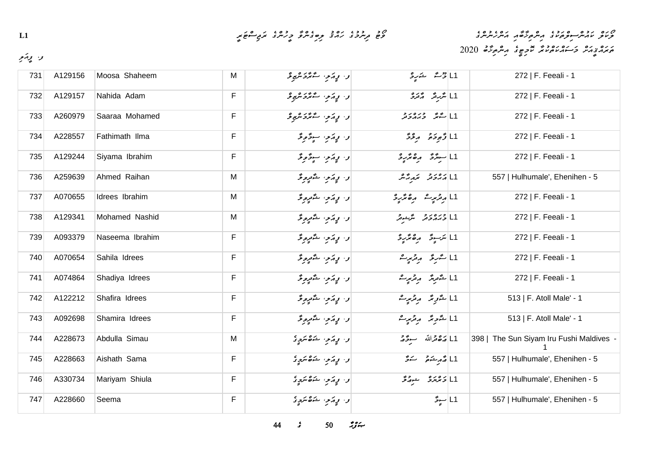*sCw7q7s5w7m< o<n9nOoAw7o< sCq;mAwBoEw7q<m; wBm;vB* م من المرة المرة المرة المرجع المرجع المرجع في 2020<br>مجم*د المريض المرجع المرجع المرجع المرجع المراجع المراجع الم*رجع

| 731 | A129156 | Moosa Shaheem   | M            | و- وٍړَو، ڪَبُرُونگهو و        | L1 رُمْتُہ شَرِوْ                                                 | 272   F. Feeali - 1                      |
|-----|---------|-----------------|--------------|--------------------------------|-------------------------------------------------------------------|------------------------------------------|
| 732 | A129157 | Nahida Adam     | F            | ن روكو، سەڭگەشمۇ               | L1 شَرِيمٌ مُرْتَزَدٌ                                             | 272   F. Feeali - 1                      |
| 733 | A260979 | Saaraa Mohamed  | $\mathsf F$  | ن روكو، سەڭگەش ئ               | L1 گەنز ئ <i>ەزەرە</i>                                            | 272   F. Feeali - 1                      |
| 734 | A228557 | Fathimath Ilma  | $\mathsf F$  | دا دٍ دَيَن سوڤوڤ              | L1 <i>وَّج</i> وحَة مِعْدَّ                                       | 272   F. Feeali - 1                      |
| 735 | A129244 | Siyama Ibrahim  | $\mathsf{F}$ | ادا دٍ پرَمُوا سوڤوڤ           | L1 سورځ مرغ تر د                                                  | 272   F. Feeali - 1                      |
| 736 | A259639 | Ahmed Raihan    | M            | اد ، دٍ پَرَمٍ ، ڪَمَدِهِ وَ   | L1  <i>مَدْحَة بَنْهِ بِ</i> مَّةِ مِنْ                           | 557   Hulhumale', Ehenihen - 5           |
| 737 | A070655 | Idrees Ibrahim  | M            | ادا وٍ پَرَمِ الشَّعِرِهِ مُحَ | L1 مەقرىپە مەھمەر 2                                               | 272   F. Feeali - 1                      |
| 738 | A129341 | Mohamed Nashid  | M            | و- وٍ مَرَمٍ السَّمَوِهِ مُحَ  | L1 <i>دېزون</i> و سگرېنونر                                        | 272   F. Feeali - 1                      |
| 739 | A093379 | Naseema Ibrahim | F            | و- وٍ مَرَمٍ السَّمَوِهِ مُحَ  | L1 <sub>مَرْسِو</sub> دٌ مِنْ مِرْدِدْ                            | 272   F. Feeali - 1                      |
| 740 | A070654 | Sahila Idrees   | $\mathsf F$  | اد اړيکو څېړونگ                | L1 ستَرِعٌ م <i>وترْم</i> رِسُّة                                  | 272   F. Feeali - 1                      |
| 741 | A074864 | Shadiya Idrees  | $\mathsf F$  | وا وٍ مَرَمٍ الشَّوِهِ وَّ     | L1 شَّتْرِيزٌ رِتْرَبِّرِ _ً                                      | 272   F. Feeali - 1                      |
| 742 | A122212 | Shafira Idrees  | $\mathsf F$  | و. وٍړَی څوړونځ                | L1 شۇرىگە برى <i>ڭى</i> مى <sup>م</sup>                           | 513   F. Atoll Male' - 1                 |
| 743 | A092698 | Shamira Idrees  | $\mathsf{F}$ | و. وٍړَو، ڪُمبرونگ             | L1 شَّوبتَر م <i>وترْم</i> رِتْه                                  | 513   F. Atoll Male' - 1                 |
| 744 | A228673 | Abdulla Simau   | M            | وا وٍمَنْ الشَّاهِ مَرْدِةٌ    | $25 - 4$ $\frac{25}{2}$ $\frac{2}{3}$ $\frac{2}{3}$ $\frac{2}{3}$ | 398   The Sun Siyam Iru Fushi Maldives - |
| 745 | A228663 | Aishath Sama    | $\mathsf F$  | و. وٍ مَنْ شَهْمَتِهِ وَ       | L1 مەم ئىشقى مەڭ                                                  | 557   Hulhumale', Ehenihen - 5           |
| 746 | A330734 | Mariyam Shiula  | F            | وا وٍمَنْ الشَّاصَرَةِ وَ      | L1 <i>وبروو جوړو څ</i>                                            | 557   Hulhumale', Ehenihen - 5           |
| 747 | A228660 | Seema           | $\mathsf F$  | ن وٍ رَسِ ڪَھُنَّرِيَ          | $\frac{2}{3}$   L1                                                | 557   Hulhumale', Ehenihen - 5           |

*44 sC 50 nNw?mS*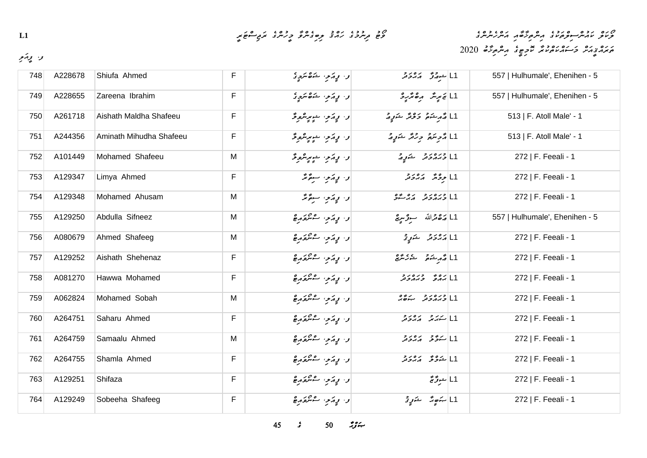*sCw7q7s5w7m< o<n9nOoAw7o< sCq;mAwBoEw7q<m; wBm;vB* م من المرة المرة المرة المرجع المرجع المرجع في 2020<br>مجم*د المريض المرجع المرجع المرجع المرجع المراجع المراجع الم*رجع

| 748 | A228678 | Shiufa Ahmed            | $\mathsf F$  | ن وٍ مَنْ السَّامُ مَرَدِيَّ   | L1 خو <i>ه ق م برور و</i>                 | 557   Hulhumale', Ehenihen - 5 |
|-----|---------|-------------------------|--------------|--------------------------------|-------------------------------------------|--------------------------------|
| 749 | A228655 | Zareena Ibrahim         | F            | اور ومكور كالحامزة وكا         | L1 ئ <sub>ى</sub> رىپى <i>گە مەھەرد</i> ۇ | 557   Hulhumale', Ehenihen - 5 |
| 750 | A261718 | Aishath Maldha Shafeeu  | $\mathsf F$  | ار، ويركو، ڪيپيشونژ            | L1 مَّەمِ شَمَّة وَوْمَّ سَو <i>َوْ</i>   | 513   F. Atoll Male' - 1       |
| 751 | A244356 | Aminath Mihudha Shafeeu | $\mathsf{F}$ | و- وٍمَنْ سِيَسِرْ مِنْ وَمَحْ | L1 مُوِسَمَة وِرْمَّدْ حَدَّدٍ مُ         | 513   F. Atoll Male' - 1       |
| 752 | A101449 | Mohamed Shafeeu         | M            | ار، ويرو، جوبرشورمح            | L1 <i>ۇنەۋەتى خۇي</i> ر                   | 272   F. Feeali - 1            |
| 753 | A129347 | Limya Ahmed             | $\mathsf{F}$ | وا وٍمَوا سَيَمَمُّ            | L1 ود <i>وگر م</i> کرونر                  | 272   F. Feeali - 1            |
| 754 | A129348 | Mohamed Ahusam          | M            | وا وٍمَنوا سَبَحَتَ            | 1] 32000 ده ده شو                         | 272   F. Feeali - 1            |
| 755 | A129250 | Abdulla Sifneez         | M            | والإروا والمقرارة              | L1 كەھەراللە سوۋىيىتى                     | 557   Hulhumale', Ehenihen - 5 |
| 756 | A080679 | Ahmed Shafeeg           | M            | والمحمد والمحصوصي              | L1 كەشكەتقى ئىكت <i>و</i> نى              | 272   F. Feeali - 1            |
| 757 | A129252 | Aishath Shehenaz        | $\mathsf{F}$ | و. ومدر، مشقه                  | L1 مەم ئىشمىر ئىش ئىرتى <i>گى</i> ئى      | 272   F. Feeali - 1            |
| 758 | A081270 | Hawwa Mohamed           | $\mathsf{F}$ | والمحمد والمعتقدة              | L1 يروء درورو                             | 272   F. Feeali - 1            |
| 759 | A062824 | Mohamed Sobah           | M            | والمحمد والمعقوم               | 2222                                      | 272   F. Feeali - 1            |
| 760 | A264751 | Saharu Ahmed            | $\mathsf F$  | والإمكن المشقطة                | L1 سەبرىيە ئەبرە <i>ب</i> و               | 272   F. Feeali - 1            |
| 761 | A264759 | Samaalu Ahmed           | M            | و. ويرو، ساعده و               | L1 يَدُوَّقُ مَدْرَوْرٌ                   | 272   F. Feeali - 1            |
| 762 | A264755 | Shamla Ahmed            | $\mathsf F$  | و. ومدر، مشقه                  | L1 خۇمۇ ئە <i>رەر د</i>                   | 272   F. Feeali - 1            |
| 763 | A129251 | Shifaza                 | $\mathsf{F}$ | و. ويرو، ساعده و               | L1 سورمج                                  | 272   F. Feeali - 1            |
| 764 | A129249 | Sobeeha Shafeeg         | F            | والإروا والمقرارة              | L1 جَم <i>ِيدٌ</i> شَر <i>َ</i> رٍ تُنْ   | 272   F. Feeali - 1            |

*45 sC 50 nNw?mS*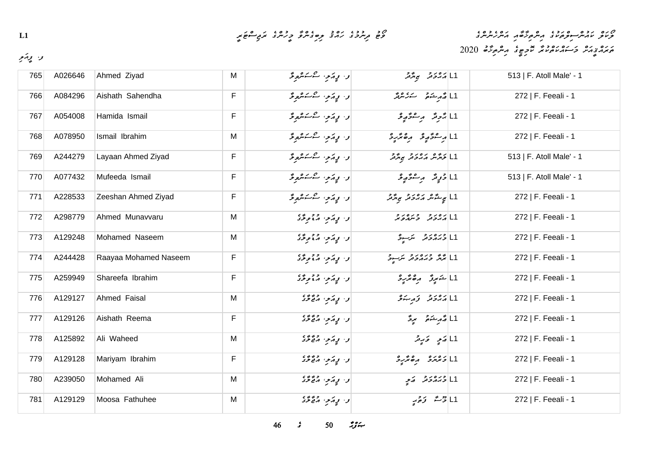*sCw7q7s5w7m< o<n9nOoAw7o< sCq;mAwBoEw7q<m; wBm;vB* م من المرة المرة المرة المرجع المرجع المرجع في 2020<br>مجم*د المريض المرجع المرجع المرجع المرجع المراجع المراجع الم*رجع

| 765 | A026646 | Ahmed Ziyad           | M           | و- وٍړَو، ڪِڪَسُمُونَوُ        | L1 <i>ەندۇقر</i> ب <sub>ې ت</sub> ۇتر     | 513   F. Atoll Male' - 1 |
|-----|---------|-----------------------|-------------|--------------------------------|-------------------------------------------|--------------------------|
| 766 | A084296 | Aishath Sahendha      | F           | وا وٍمَنوا سُكَسَمُونَّى       | L1 مەم ئەھق سىزىتىرىتىگە                  | 272   F. Feeali - 1      |
| 767 | A054008 | Hamida Ismail         | F           | ار، ويرَمُ، سُرْسُهُمْ مَنْ    | L1 تَرْحِعَدُ بِرِسْوَّمِيوْ              | 272   F. Feeali - 1      |
| 768 | A078950 | Ismail Ibrahim        | M           | ار. پەيئو، سەستىرىمۇ           | L1 م <i>ېشۇم</i> بۇ مەھترىپۇ              | 272   F. Feeali - 1      |
| 769 | A244279 | Layaan Ahmed Ziyad    | F           | وا وٍمَرَمٍ، ڪَڪَسُمُونَوُ     | L1 <i>خەنگە مەدەنى</i> ب <sub>ە</sub> رگە | 513   F. Atoll Male' - 1 |
| 770 | A077432 | Mufeeda Ismail        | $\mathsf F$ | وا وٍمَنوا سُكْسَوْءِ وَ       | L1 ۇرى <i>گە م</i> ېشۇم <i>ۇ</i>          | 513   F. Atoll Male' - 1 |
| 771 | A228533 | Zeeshan Ahmed Ziyad   | F           | ار. وٍمَنْ سُرْسُورَ حَمْ      | 1] <sub>م</sub> ېشتر تەرەقرىبەد تەر       | 272   F. Feeali - 1      |
| 772 | A298779 | Ahmed Munavvaru       | M           | ن دٍ پَرَمِن پروُ وِچُرَ       | L1 ג׳כ <sub>فر</sub> ویره د و             | 272   F. Feeali - 1      |
| 773 | A129248 | Mohamed Naseem        | M           | ادا دٍمَن مُنْعِوَدٌ           | L1  <i>وُبَہُ دُوَ مَدْ ہو۔</i>           | 272   F. Feeali - 1      |
| 774 | A244428 | Raayaa Mohamed Naseem | $\mathsf F$ | ل ديدَم چينجو                  | L1 بَرْبَرٌ وَبَرُورُورٌ تَرَبِّبُورٌ     | 272   F. Feeali - 1      |
| 775 | A259949 | Shareefa Ibrahim      | F           | ل ديدو، چيمونځو                | L1 خىرى <i>گە مۇمۇر</i> ۇ                 | 272   F. Feeali - 1      |
| 776 | A129127 | Ahmed Faisal          | M           | وا وٍ مَعَ مُقَوَّى            | L1  پَرْدَوَنْزَ کَهِ سِکوْ               | 272   F. Feeali - 1      |
| 777 | A129126 | Aishath Reema         | $\mathsf F$ | و٠ وٍ دَمَو، ادْفَعُوُى        | L1 مُ مِسْمَعْ مِرَدَّ                    | 272   F. Feeali - 1      |
| 778 | A125892 | Ali Waheed            | M           | ادا وٍ مَعْ مُقَوَّى           | L1 <i>ھَي</i> حَدِيثَر                    | 272   F. Feeali - 1      |
| 779 | A129128 | Mariyam Ibrahim       | F           | وسومنوا مقترى                  | L1  د ۱٫۰۰ م م م م د ۱٫۵ م د بر           | 272   F. Feeali - 1      |
| 780 | A239050 | Mohamed Ali           | M           | اور ويمن المقومى               | L1 <i>وَبَہْہُوَتَہٗ مَہٰ ی</i>           | 272   F. Feeali - 1      |
| 781 | A129129 | Moosa Fathuhee        | M           | اد ، وٍ پَرِ مِنْ الْمُتَحَدُّ | L1  تۇشقە ئۇچ <sub>ە</sub> پە             | 272   F. Feeali - 1      |

*46 s* 50 *i*<sub>S</sub> $\approx$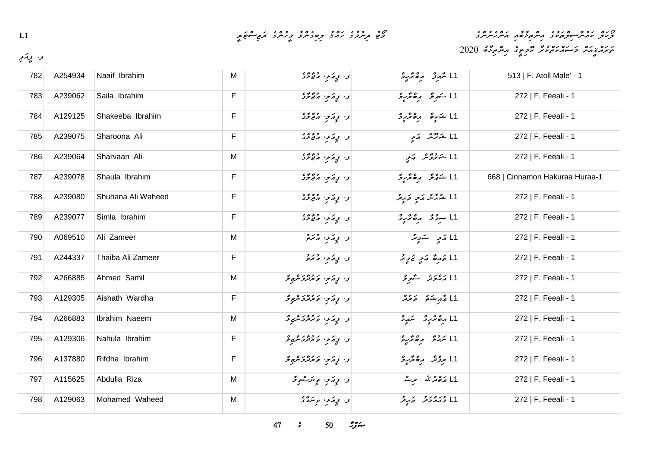*sCw7q7s5w7m< o<n9nOoAw7o< sCq;mAwBoEw7q<m; wBm;vB* م من المرة المرة المرة المرجع المرجع المرجع في 2020<br>مجم*د المريض المرجع المرجع المرجع المرجع المراجع المراجع الم*رجع

| 782 | A254934 | Naaif Ibrahim      | M           | اور ويرتموا المقومي              | L1 متربر و م <i>صرَّرِ</i> 3    | 513   F. Atoll Male' - 1       |
|-----|---------|--------------------|-------------|----------------------------------|---------------------------------|--------------------------------|
| 783 | A239062 | Saila Ibrahim      | $\mathsf F$ | ادا وٍ په داره په دون            | L1 سَمبِ مَدَّ مِنْ مِرْدِدْ    | 272   F. Feeali - 1            |
| 784 | A129125 | Shakeeba Ibrahim   | $\mathsf F$ | ادا وٍ پَرِ مِنْ الْمُتَحَرِّدُ  | L1 شَرِيعٌ مِنْ مَحْرِدٌ        | 272   F. Feeali - 1            |
| 785 | A239075 | Sharoona Ali       | $\mathsf F$ | ادا وٍ مَعِن المُقَوَّى          | L1 شەنژى <i>گە مەم</i> ر        | 272   F. Feeali - 1            |
| 786 | A239064 | Sharvaan Ali       | M           | اور وٍ مَعَ مُنْ مُحَمَّد        | L1 خەنزۇش ك <i>ەي</i>           | 272   F. Feeali - 1            |
| 787 | A239078 | Shaula Ibrahim     | $\mathsf F$ | والإمكن المقحى                   | L1 شەرىخ م <i>ەھترى</i> دى      | 668   Cinnamon Hakuraa Huraa-1 |
| 788 | A239080 | Shuhana Ali Waheed | $\mathsf F$ | ادا ويركب المقومى                | L1 شەبر تەرىپە ق <i>ەبەي</i> تر | 272   F. Feeali - 1            |
| 789 | A239077 | Simla Ibrahim      | $\mathsf F$ | وا وٍ مَعَ مُقَوَّى              | L1 سوء م م م م م ديد م بر د     | 272   F. Feeali - 1            |
| 790 | A069510 | Ali Zameer         | M           | ن وٍ دَمِنٍ المعلمة              | L1 ر <sub>َم</sub> ح سَوِیْر    | 272   F. Feeali - 1            |
| 791 | A244337 | Thaiba Ali Zameer  | $\mathsf F$ | اور وٍ پرس المريزه               | L1 بَوَرةَ    يَوٍ   يَوِيزُ    | 272   F. Feeali - 1            |
| 792 | A266885 | Ahmed Samil        | M           | والإركاح والمتفرد شيافى          | L1 رەرو ش <sub>ى</sub> رو       | 272   F. Feeali - 1            |
| 793 | A129305 | Aishath Wardha     | $\mathsf F$ | والإركاح والمتفرد شيافى          | L1 مەم ھەر ئەرەم كەندىگە        | 272   F. Feeali - 1            |
| 794 | A266883 | Ibrahim Naeem      | M           | والإركاح والمتمرد شميرته         | L1 رەئزى <sub>ر</sub> و ئىرو    | 272   F. Feeali - 1            |
| 795 | A129306 | Nahula Ibrahim     | F           | و. وٍ مَرَمٍ، وَمُرْمَّرُوشَى وَ | L1 متركز م <i>ەمرى</i> رد       | 272   F. Feeali - 1            |
| 796 | A137880 | Rifdha Ibrahim     | $\mathsf F$ | ن وٍ رَمِن وَمِرْتَرْدَشْهِ وَ   | L1 بروْمَر مِرْمَرْرِدْ         | 272   F. Feeali - 1            |
| 797 | A115625 | Abdulla Riza       | M           | وا وٍمَنوا وٍسَرَ عَوَى          | L1 #چەتراللە مرتد               | 272   F. Feeali - 1            |
| 798 | A129063 | Mohamed Waheed     | M           | ن وٍ پَرَمٍ وَسَعَرَ             | L1 <i>ۇنەۋەتى قەي</i> قر        | 272   F. Feeali - 1            |

*47 sC 50 nNw?mS*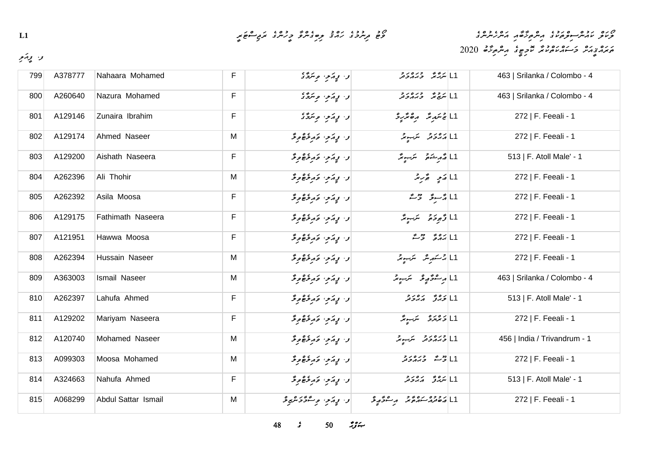*sCw7q7s5w7m< o<n9nOoAw7o< sCq;mAwBoEw7q<m; wBm;vB* م من المرة المرة المرة المرجع المرجع المرجع في 2020<br>مجم*د المريض المرجع المرجع المرجع المرجع المراجع المراجع الم*رجع

| 799 | A378777 | Nahaara Mohamed     | $\mathsf F$  | ادا وٍ مَنْ وَسَعْدً            | L1 ىترىتر بەرەردىر                        | 463   Srilanka / Colombo - 4 |
|-----|---------|---------------------|--------------|---------------------------------|-------------------------------------------|------------------------------|
| 800 | A260640 | Nazura Mohamed      | $\mathsf{F}$ | ادا وٍمَوا وَسَعْدٌ             | L1 سَمِع شَرِ وَبَرَ مِرْدَ وَبِر         | 463   Srilanka / Colombo - 4 |
| 801 | A129146 | Zunaira Ibrahim     | F            | والإرتوا ويمكى                  | L1 ئ <i>ىتىدىنگە م</i> ەھ <i>ترى</i> د    | 272   F. Feeali - 1          |
| 802 | A129174 | Ahmed Naseer        | M            | ادا وٍ مَرَى عَهُ وَقَامِرٌ     | L1  <i>ەَ بْدْدَة</i> مَ <i>تب</i> ومْر   | 272   F. Feeali - 1          |
| 803 | A129200 | Aishath Naseera     | F            | وسومية ومروفي وق                | L1 مەم ھۇسى ئىسى ئىكەن ئىسى ئىك           | 513   F. Atoll Male' - 1     |
| 804 | A262396 | Ali Thohir          | M            | ر ، وٍ ړَی وَ دِیڅوونځ          | 1] <i>مَيْ پِيْ بِ</i>                    | 272   F. Feeali - 1          |
| 805 | A262392 | Asila Moosa         | F            | وسومنوس وكربح فالمحمو           | L1 م <sup>ح</sup> ر سبرتمت حرمت           | 272   F. Feeali - 1          |
| 806 | A129175 | Fathimath Naseera   | $\mathsf{F}$ | والإمكن المتوقي ولمحافي         | L1  <i>وُّهِ دَهُ</i> مَرْسِو <i>مُ</i> ّ | 272   F. Feeali - 1          |
| 807 | A121951 | Hawwa Moosa         | F            | اور ويزوا التموقي والحراثة      | $23$ $52/11$                              | 272   F. Feeali - 1          |
| 808 | A262394 | Hussain Naseer      | M            | ر ، وٍ ړَی وَ دِ دُعْوَو دُ     | L1 پرستمبریش مترسویٹر                     | 272   F. Feeali - 1          |
| 809 | A363003 | Ismail Naseer       | M            | وسوٍ مَرَى وَمَرِ وَحَاوِرَةٌ   | 1ـام سىمۇرچى سىرىيەتمە                    | 463   Srilanka / Colombo - 4 |
| 810 | A262397 | Lahufa Ahmed        | $\mathsf{F}$ | ن وٍ رَمَوا عَهُ وَقَوْمٌ       | L1 <i>خ</i> رگ مرور د                     | 513   F. Atoll Male' - 1     |
| 811 | A129202 | Mariyam Naseera     | $\mathsf{F}$ | ادا وٍ مَعَ عَمَدِ وَحَافِظٍ وَ | L1  <i>5\$\$\$ مترسي¥</i>                 | 272   F. Feeali - 1          |
| 812 | A120740 | Mohamed Naseer      | M            | وسوٍ مَرَى وَمَرِ وَحَاوِرَةٌ   | L1  <i>وزەدەر مەبب</i> وتر                | 456   India / Trivandrum - 1 |
| 813 | A099303 | Moosa Mohamed       | M            | ر ، وٍ ړَی وَ دِ دُعْوَو دُ     | L1 تۇنتە ئەيرە ئەر                        | 272   F. Feeali - 1          |
| 814 | A324663 | Nahufa Ahmed        | $\mathsf{F}$ | ادا وٍ مَرَى عَهُ وَقَامِرٌ     | L1 يره تخ <sub>ص</sub> دور د              | 513   F. Atoll Male' - 1     |
| 815 | A068299 | Abdul Sattar Ismail | M            | وا وٍړَی وِسُوَّرَسُهو          | 1] رووه ره دو د مشوره و                   | 272   F. Feeali - 1          |

*48 sC 50 nNw?mS*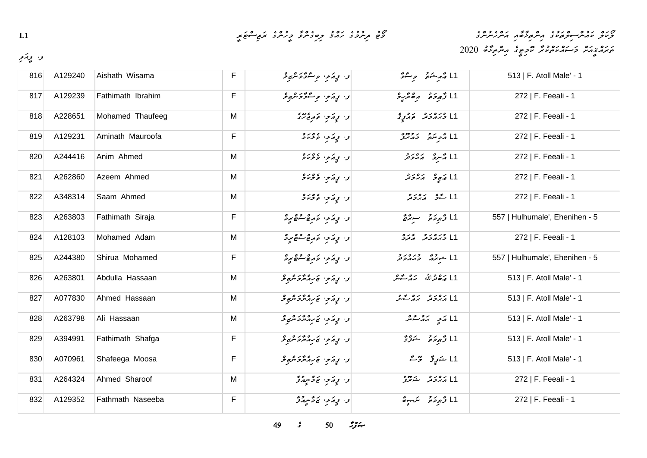*sCw7q7s5w7m< o<n9nOoAw7o< sCq;mAwBoEw7q<m; wBm;vB* م من المرة المرة المرة المرجع المرجع المرجع في 2020<br>مجم*د المريض المرجع المرجع المرجع المرجع المراجع المراجع الم*رجع

| 816 | A129240 | Aishath Wisama    | F           | ادا وٍ ړَی وِ د څڅه د شمېر و                    | L1 مُرمِنَعْمُ وِسُعَرَّ                   | 513   F. Atoll Male' - 1       |
|-----|---------|-------------------|-------------|-------------------------------------------------|--------------------------------------------|--------------------------------|
| 817 | A129239 | Fathimath Ibrahim | F           | و ، ڕٍ؞ؙو ، و ځوً د عمو د                       | L1 <i>وَّجِوحَةُ م</i> ِ صَمَّرٍ مِنْ      | 272   F. Feeali - 1            |
| 818 | A228651 | Mohamed Thaufeeg  | M           | او ، وٍ پڑو، نوپرون                             | L1 <i>ۋېزو دې مخ م</i> رکو په              | 272   F. Feeali - 1            |
| 819 | A129231 | Aminath Mauroofa  | F           | وا وٍمَوا ءُوْلَاوُ                             | L1 أَمُّ مِسَمَّدٍ مَصَمَّرٌ               | 272   F. Feeali - 1            |
| 820 | A244416 | Anim Ahmed        | M           | اوس ويمنوا المولاكي                             | L1 أُمُّ سِرْحَ أَمَدُونَّكَرُ             | 272   F. Feeali - 1            |
| 821 | A262860 | Azeem Ahmed       | M           | والمحضر والمحاملين                              | L1 كەيپى ھەر ئەردىتە                       | 272   F. Feeali - 1            |
| 822 | A348314 | Saam Ahmed        | M           | اد ، دٍ پَرَمٍ ، ءَوَءَ وَ                      | L1 گەنى ئەرەر بەر                          | 272   F. Feeali - 1            |
| 823 | A263803 | Fathimath Siraja  | $\mathsf F$ | وسومن وروع مقورة                                | L1 <i>وَّهِ دَهْ</i> سِيَّةً               | 557   Hulhumale', Ehenihen - 5 |
| 824 | A128103 | Mohamed Adam      | M           | وسوموس ومصاحفتهم                                | L1 <i>32825 مح</i> مدة                     | 272   F. Feeali - 1            |
| 825 | A244380 | Shirua Mohamed    | F           | اور ويزوا التموه والمقابرة                      | L1 جو <i>مرة</i> وبرودر                    | 557   Hulhumale', Ehenihen - 5 |
| 826 | A263801 | Abdulla Hassaan   | M           | والمحمد والمتحر والمتحارث المرابع والمحمد       | L1 مَرْهُ مِّرَاللّه بَرْمَرْ مُسَمَّر     | 513   F. Atoll Male' - 1       |
| 827 | A077830 | Ahmed Hassaan     | M           | والمحمد والمتحر والمتحارث المرابع والمحمد       | L1 <i>أرْبُرْدَ بْنْ بِهُ سُ</i> مَّتْر    | 513   F. Atoll Male' - 1       |
| 828 | A263798 | Ali Hassaan       | M           | و . وٍ مَرَ يَحْرِ مِهْ مَرَّدَ مَّرْ مِنْ مِنْ | L1 <i>ھَ جِي ش</i> گشر                     | 513   F. Atoll Male' - 1       |
| 829 | A394991 | Fathimath Shafga  | F           | ا و ، و مرکز ، می مرکز مرکز مرکز و د            | L1 زَّەپرىق شۇرْ ئىل                       | 513   F. Atoll Male' - 1       |
| 830 | A070961 | Shafeega Moosa    | $\mathsf F$ | و . وٍ مَرِ يَجْ بِمُ مَرَّدَ مَرْ عَلَيْهِ وَ  | L1  ڪري <sup>5</sup> ڏ <sup>ه</sup>        | 513   F. Atoll Male' - 1       |
| 831 | A264324 | Ahmed Sharoof     | M           | و. وٍ <i>مَو، چَوُسِم</i> ُوَ                   | L1 كەبرى ھەمدىق                            | 272   F. Feeali - 1            |
| 832 | A129352 | Fathmath Naseeba  | F           | ا و و مرکز استخابهد                             | L1 <i>وَّج</i> وحَ مَحْ سَرَسِر <i>ة</i> ُ | 272   F. Feeali - 1            |

*49 s* 50 *i*<sub>s</sub> $\approx$